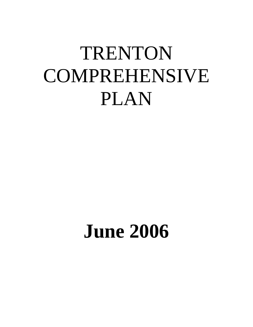# TRENTON COMPREHENSIVE PLAN

# **June 2006**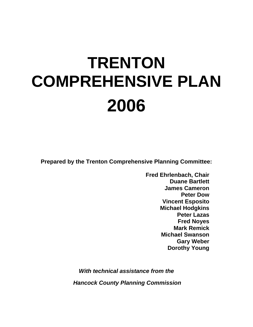# **TRENTON COMPREHENSIVE PLAN 2006**

**Prepared by the Trenton Comprehensive Planning Committee:** 

**Fred Ehrlenbach, Chair Duane Bartlett James Cameron Peter Dow Vincent Esposito Michael Hodgkins Peter Lazas Fred Noyes Mark Remick Michael Swanson Gary Weber Dorothy Young** 

*With technical assistance from the Hancock County Planning Commission*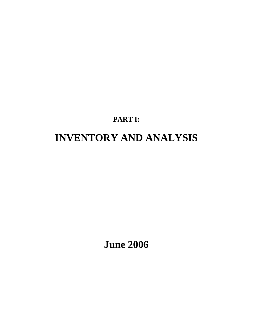# **PART I: INVENTORY AND ANALYSIS**

**June 2006**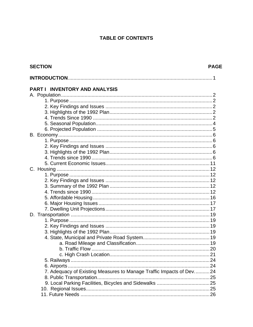## **TABLE OF CONTENTS**

| <b>SECTION</b><br><b>PAGE</b>                                        |  |  |  |
|----------------------------------------------------------------------|--|--|--|
|                                                                      |  |  |  |
| PART I INVENTORY AND ANALYSIS                                        |  |  |  |
|                                                                      |  |  |  |
|                                                                      |  |  |  |
|                                                                      |  |  |  |
|                                                                      |  |  |  |
|                                                                      |  |  |  |
|                                                                      |  |  |  |
|                                                                      |  |  |  |
|                                                                      |  |  |  |
|                                                                      |  |  |  |
|                                                                      |  |  |  |
|                                                                      |  |  |  |
|                                                                      |  |  |  |
|                                                                      |  |  |  |
|                                                                      |  |  |  |
|                                                                      |  |  |  |
|                                                                      |  |  |  |
|                                                                      |  |  |  |
|                                                                      |  |  |  |
|                                                                      |  |  |  |
|                                                                      |  |  |  |
|                                                                      |  |  |  |
|                                                                      |  |  |  |
|                                                                      |  |  |  |
|                                                                      |  |  |  |
|                                                                      |  |  |  |
|                                                                      |  |  |  |
|                                                                      |  |  |  |
|                                                                      |  |  |  |
|                                                                      |  |  |  |
|                                                                      |  |  |  |
|                                                                      |  |  |  |
| 7. Adequacy of Existing Measures to Manage Traffic Impacts of Dev 24 |  |  |  |
|                                                                      |  |  |  |
|                                                                      |  |  |  |
|                                                                      |  |  |  |
|                                                                      |  |  |  |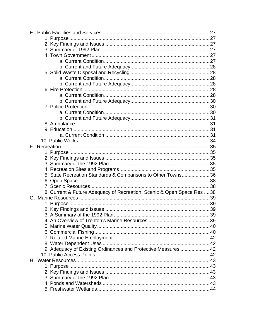| 5. State Recreation Standards & Comparisons to Other Towns36            |  |
|-------------------------------------------------------------------------|--|
|                                                                         |  |
|                                                                         |  |
| 8. Current & Future Adequacy of Recreation, Scenic & Open Space Res  38 |  |
|                                                                         |  |
|                                                                         |  |
|                                                                         |  |
|                                                                         |  |
|                                                                         |  |
|                                                                         |  |
|                                                                         |  |
|                                                                         |  |
|                                                                         |  |
| 9. Adequacy of Existing Ordinances and Protective Measures  42          |  |
|                                                                         |  |
|                                                                         |  |
|                                                                         |  |
|                                                                         |  |
|                                                                         |  |
|                                                                         |  |
|                                                                         |  |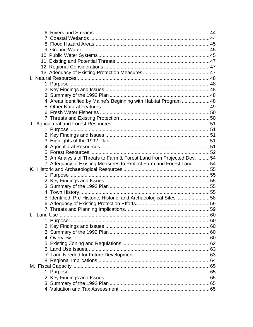| 4. Areas Identified by Maine's Beginning with Habitat Program  48      |  |
|------------------------------------------------------------------------|--|
|                                                                        |  |
|                                                                        |  |
|                                                                        |  |
|                                                                        |  |
|                                                                        |  |
|                                                                        |  |
|                                                                        |  |
|                                                                        |  |
|                                                                        |  |
| 6. An Analysis of Threats to Farm & Forest Land from Projected Dev. 54 |  |
| 7. Adequacy of Existing Measures to Protect Farm and Forest Land54     |  |
|                                                                        |  |
|                                                                        |  |
|                                                                        |  |
|                                                                        |  |
|                                                                        |  |
| 5. Identified, Pre-Historic, Historic, and Archaeological Sites58      |  |
|                                                                        |  |
|                                                                        |  |
|                                                                        |  |
|                                                                        |  |
|                                                                        |  |
|                                                                        |  |
|                                                                        |  |
|                                                                        |  |
|                                                                        |  |
|                                                                        |  |
|                                                                        |  |
|                                                                        |  |
|                                                                        |  |
|                                                                        |  |
|                                                                        |  |
|                                                                        |  |
|                                                                        |  |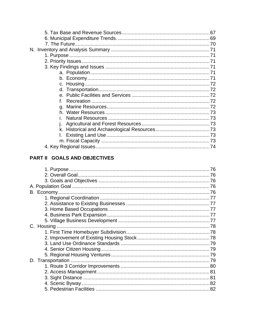# PART II GOALS AND OBJECTIVES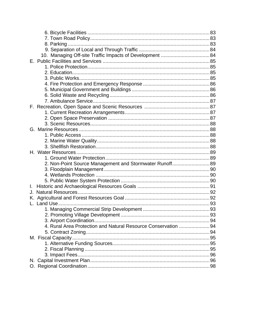|    | 2. Non-Point Source Management and Stormwater Runoff 89        |  |
|----|----------------------------------------------------------------|--|
|    |                                                                |  |
|    |                                                                |  |
|    |                                                                |  |
| L. |                                                                |  |
| J. |                                                                |  |
|    |                                                                |  |
|    |                                                                |  |
|    |                                                                |  |
|    |                                                                |  |
|    |                                                                |  |
|    | 4. Rural Area Protection and Natural Resource Conservation  94 |  |
|    |                                                                |  |
|    |                                                                |  |
|    |                                                                |  |
|    |                                                                |  |
|    |                                                                |  |
|    |                                                                |  |
|    |                                                                |  |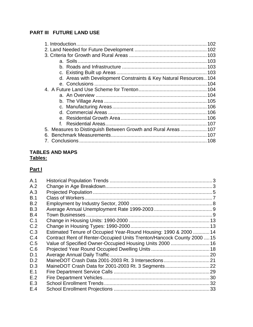# **PART III FUTURE LAND USE**

| d. Areas with Development Constraints & Key Natural Resources104 |  |
|------------------------------------------------------------------|--|
|                                                                  |  |
|                                                                  |  |
|                                                                  |  |
|                                                                  |  |
|                                                                  |  |
|                                                                  |  |
|                                                                  |  |
|                                                                  |  |
| 5. Measures to Distinguish Between Growth and Rural Areas  107   |  |
| 6                                                                |  |
|                                                                  |  |

## **TABLES AND MAPS Tables:**

# **Part I**

| A.1 |                                                                        |  |
|-----|------------------------------------------------------------------------|--|
| A.2 |                                                                        |  |
| A.3 |                                                                        |  |
| B.1 |                                                                        |  |
| B.2 |                                                                        |  |
| B.3 |                                                                        |  |
| B.4 |                                                                        |  |
| C.1 |                                                                        |  |
| C.2 |                                                                        |  |
| C.3 | Estimated Tenure of Occupied Year-Round Housing: 1990 & 2000  14       |  |
| C.4 | Contract Rent of Renter-Occupied Units Trenton/Hancock County 2000  15 |  |
| C.5 | Value of Specified Owner-Occupied Housing Units 2000  16               |  |
| C.6 |                                                                        |  |
| D.1 |                                                                        |  |
| D.2 |                                                                        |  |
| D.3 |                                                                        |  |
| E.1 |                                                                        |  |
| E.2 |                                                                        |  |
| E.3 |                                                                        |  |
| E.4 |                                                                        |  |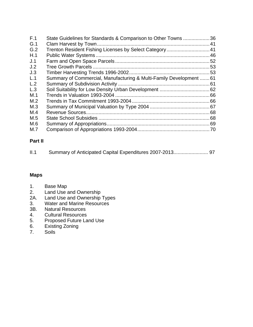| F.1 | State Guidelines for Standards & Comparison to Other Towns 36       |  |
|-----|---------------------------------------------------------------------|--|
| G.1 |                                                                     |  |
| G.2 | Trenton Resident Fishing Licenses by Select Category 41             |  |
| H.1 |                                                                     |  |
| J.1 |                                                                     |  |
| J.2 |                                                                     |  |
| J.3 |                                                                     |  |
| L.1 | Summary of Commercial, Manufacturing & Multi-Family Development  61 |  |
| L.2 |                                                                     |  |
| L.3 |                                                                     |  |
| M.1 |                                                                     |  |
| M.2 |                                                                     |  |
| M.3 |                                                                     |  |
| M.4 |                                                                     |  |
| M.5 |                                                                     |  |
| M.6 |                                                                     |  |
| M.7 |                                                                     |  |

# **Part II**

| II.1 |  |  |  |  |
|------|--|--|--|--|
|------|--|--|--|--|

### **Maps**

- 1. Base Map<br>2. Land Use a
- 2. Land Use and Ownership<br>2A. Land Use and Ownership
- Land Use and Ownership Types
- 3. Water and Marine Resources
- 3B. Natural Resources
- 4. Cultural Resources
- 5. Proposed Future Land Use
- 6. Existing Zoning<br>7. Soils
- **Soils**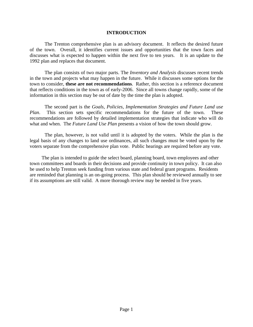#### **INTRODUCTION**

 The Trenton comprehensive plan is an advisory document. It reflects the desired future of the town. Overall, it identifies current issues and opportunities that the town faces and discusses what is expected to happen within the next five to ten years. It is an update to the 1992 plan and replaces that document.

 The plan consists of two major parts. The *Inventory and Analysis* discusses recent trends in the town and projects what may happen in the future. While it discusses some options for the town to consider, **these are not recommendations**. Rather, this section is a reference document that reflects conditions in the town as of early-2006. Since all towns change rapidly, some of the information in this section may be out of date by the time the plan is adopted.

 The second part is the *Goals, Policies, Implementation Strategies and Future Land use Plan*. This section sets specific recommendations for the future of the town. These recommendations are followed by detailed implementation strategies that indicate who will do what and when. The *Future Land Use Plan* presents a vision of how the town should grow.

The plan, however, is not valid until it is adopted by the voters. While the plan is the legal basis of any changes to land use ordinances, all such changes must be voted upon by the voters separate from the comprehensive plan vote. Public hearings are required before any vote.

 The plan is intended to guide the select board, planning board, town employees and other town committees and boards in their decisions and provide continuity in town policy. It can also be used to help Trenton seek funding from various state and federal grant programs. Residents are reminded that planning is an on-going process. This plan should be reviewed annually to see if its assumptions are still valid. A more thorough review may be needed in five years.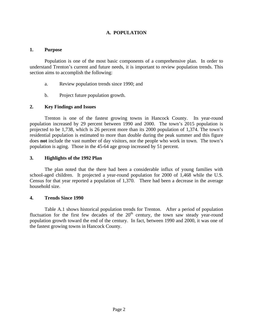#### **A. POPULATION**

#### **1. Purpose**

Population is one of the most basic components of a comprehensive plan. In order to understand Trenton's current and future needs, it is important to review population trends. This section aims to accomplish the following:

- a. Review population trends since 1990; and
- b. Project future population growth.

#### **2. Key Findings and Issues**

Trenton is one of the fastest growing towns in Hancock County. Its year-round population increased by 29 percent between 1990 and 2000. The town's 2015 population is projected to be 1,738, which is 26 percent more than its 2000 population of 1,374. The town's residential population is estimated to more than double during the peak summer and this figure does **not** include the vast number of day visitors, nor the people who work in town. The town's population is aging. Those in the 45-64 age group increased by 51 percent.

#### **3. Highlights of the 1992 Plan**

The plan noted that the there had been a considerable influx of young families with school-aged children. It projected a year-round population for 2000 of 1,468 while the U.S. Census for that year reported a population of 1,370. There had been a decrease in the average household size.

#### **4. Trends Since 1990**

Table A.1 shows historical population trends for Trenton. After a period of population fluctuation for the first few decades of the  $20<sup>th</sup>$  century, the town saw steady year-round population growth toward the end of the century. In fact, between 1990 and 2000, it was one of the fastest growing towns in Hancock County.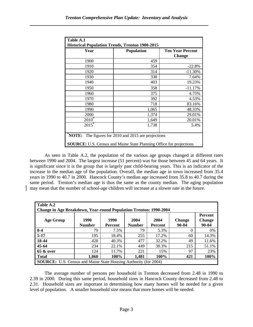| Table A.1                                                                  |                                              |               |  |  |  |  |
|----------------------------------------------------------------------------|----------------------------------------------|---------------|--|--|--|--|
| <b>Historical Population Trends, Trenton 1900-2015</b>                     |                                              |               |  |  |  |  |
| Year                                                                       | <b>Population</b><br><b>Ten Year Percent</b> |               |  |  |  |  |
|                                                                            |                                              | <b>Change</b> |  |  |  |  |
| 1900                                                                       | 459                                          |               |  |  |  |  |
| 1910                                                                       | 354                                          | $-22.8%$      |  |  |  |  |
| 1920                                                                       | 314                                          | $-11.30%$     |  |  |  |  |
| 1930                                                                       | 338                                          | 7.64%         |  |  |  |  |
| 1940                                                                       | 403                                          | 19.23%        |  |  |  |  |
| 1950                                                                       | 358                                          | $-11.17%$     |  |  |  |  |
| 1960                                                                       | 375                                          | 4.75%         |  |  |  |  |
| 1970                                                                       | 392                                          | 4.53%         |  |  |  |  |
| 1980                                                                       | 718                                          | 83.16%        |  |  |  |  |
| 1990                                                                       | 1,065                                        | 48.33%        |  |  |  |  |
| 2000                                                                       | 1,374                                        | 29.01%        |  |  |  |  |
| $2010^*$                                                                   | 1,649                                        | 20.01%        |  |  |  |  |
| $2015$ *                                                                   | 1,738                                        | 5.4%          |  |  |  |  |
|                                                                            |                                              |               |  |  |  |  |
| <b>NOTE:</b> The figures for 2010 and 2015 are projections                 |                                              |               |  |  |  |  |
| <b>SOURCE:</b> U.S. Census and Maine State Planning Office for projections |                                              |               |  |  |  |  |

As seen in Table A.2, the population of the various age groups changed at different rates between 1990 and 2004. The largest increase (51 percent) was for those between 45 and 64 years. It is significant since it is the group that is largely past child-bearing years. This is an indicator of the increase in the median age of the population. Overall, the median age in town increased from 35.4 years in 1990 to 40.7 in 2000. Hancock County's median age increased from 35.8 to 40.7 during the same period. Trenton's median age is thus the same as the county median. The aging population may mean that the number of school-age children will increase at a slower rate in the future.

| Table A.2<br><b>Change in Age Breakdown, Year-round Population Trenton: 1990-2004</b> |                       |                        |                       |                        |                            |                                   |
|---------------------------------------------------------------------------------------|-----------------------|------------------------|-----------------------|------------------------|----------------------------|-----------------------------------|
| Age Group                                                                             | 1990<br><b>Number</b> | 1990<br><b>Percent</b> | 2004<br><b>Number</b> | 2004<br><b>Percent</b> | <b>Change</b><br>$90 - 04$ | Percent<br><b>Change</b><br>90-04 |
| $0 - 4$                                                                               | 79                    | 7.5%                   | 79                    | 5.3%                   | $\Omega$                   | $0\%$                             |
| $5-17$                                                                                | 195                   | 18.4%                  | 255                   | 17.2%                  | 60                         | 14.3%                             |
| 18-44                                                                                 | 428                   | 40.3%                  | 477                   | 32.2%                  | 49                         | 11.6%                             |
| $45 - 64$                                                                             | 234                   | 22.1%                  | 449                   | 30.3%                  | 215                        | 51.1%                             |
| 65 & over                                                                             | 124                   | 11.7%                  | 221                   | 15%                    | 97                         | 23%                               |
| <b>Total</b>                                                                          | 1,060                 | 100%                   | 1,481                 | 100%                   | 421                        | 100%                              |
| <b>SOURCE:</b> U.S. Census and Maine State Housing Authority (for 2004)               |                       |                        |                       |                        |                            |                                   |

The average number of persons per household in Trenton decreased from 2.48 in 1990 to 2.39 in 2000. During this same period, household sizes in Hancock County decreased from 2.48 to 2.31. Household sizes are important in determining how many homes will be needed for a given level of population. A smaller household size means that more homes will be needed.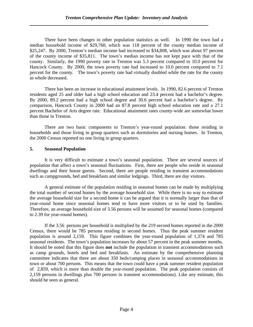There have been changes in other population statistics as well. In 1990 the town had a median household income of \$29,760, which was 118 percent of the county median income of \$25,247. By 2000, Trenton's median income had increased to \$34,808, which was about 97 percent of the county income of \$35,811. The town's median income has not kept pace with that of the county. Similarly, the 1990 poverty rate in Trenton was 5.3 percent compared to 10.0 percent for Hancock County. By 2000, the town poverty rate had increased to 10.0 percent compared to 7.1 percent for the county. The town's poverty rate had virtually doubled while the rate for the county as whole decreased.

There has been an increase in educational attainment levels. In 1990, 82.6 percent of Trenton residents aged 25 and older had a high school education and 23.4 percent had a bachelor's degree. By 2000, 89.2 percent had a high school degree and 30.6 percent had a bachelor's degree. By comparison, Hancock County in 2000 had an 87.8 percent high school education rate and a 27.1 percent Bachelor of Arts degree rate. Educational attainment rates county-wide are somewhat lower than those in Trenton.

There are two basic components to Trenton's year-round population: those residing in households and those living in group quarters such as dormitories and nursing homes. In Trenton, the 2000 Census reported no one living in group quarters.

#### **5. Seasonal Population**

 It is very difficult to estimate a town's seasonal population. There are several sources of population that affect a town's seasonal fluctuations. First, there are people who reside in seasonal dwellings and their house guests. Second, there are people residing in transient accommodations such as campgrounds, bed and breakfasts and similar lodgings. Third, there are day visitors.

 A general estimate of the population residing in seasonal homes can be made by multiplying the total number of second homes by the average household size. While there is no way to estimate the average household size for a second home it can be argued that it is normally larger than that of year-round home since seasonal homes tend to have more visitors or to be used by families. Therefore, an average household size of 3.56 persons will be assumed for seasonal homes (compared to 2.39 for year-round homes).

 If the 3.56 persons per household is multiplied by the 219 second homes reported in the 2000 Census, there would be 785 persons residing in second homes. Thus the peak summer resident population is around 2,159. This figure combines the year-round population of 1,374 and 785 seasonal residents. The town's population increases by about 57 percent in the peak summer months. It should be noted that this figure does **not** include the population in transient accommodations such as camp grounds, hotels and bed and breakfasts. An estimate by the comprehensive planning committee indicates that there are about 350 beds/camping places in seasonal accommodations in town or about 700 persons. This means that the town could have a peak summer resident population of 2,859, which is more than double the year-round population. The peak population consists of 2,159 persons in dwellings plus 700 persons in transient accommodations). Like any estimate, this should be seen as general.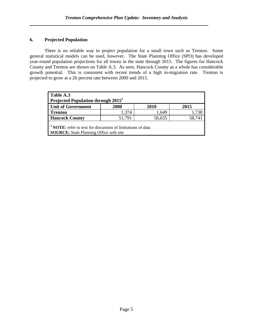#### **6. Projected Population**

There is no reliable way to project population for a small town such as Trenton. Some general statistical models can be used, however. The State Planning Office (SPO) has developed year-round population projections for all towns in the state through 2015. The figures for Hancock County and Trenton are shown on Table A.3. As seen, Hancock County as a whole has considerable growth potential. This is consistent with recent trends of a high in-migration rate. Trenton is projected to grow at a 26 percent rate between 2000 and 2015.

| Table A.3<br>Projected Population through 2015 <sup>1</sup>                                                             |        |        |        |
|-------------------------------------------------------------------------------------------------------------------------|--------|--------|--------|
| Unit of Government                                                                                                      | 2000   | 2010   | 2015   |
| <b>Trenton</b>                                                                                                          | 1,374  | 1,649  | 1,738  |
| <b>Hancock County</b>                                                                                                   | 51,791 | 56,635 | 58,741 |
| <sup>1</sup> NOTE: refer to text for discussion of limitations of data<br><b>SOURCE:</b> State Planning Office web site |        |        |        |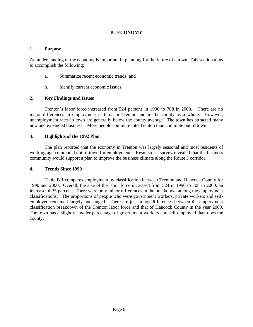#### **B. ECONOMY**

#### **1. Purpose**

An understanding of the economy is important in planning for the future of a town. This section aims to accomplish the following:

- a. Summarize recent economic trends; and
- b. Identify current economic issues.

#### **2. Key Findings and Issues**

Trenton's labor force increased from 524 persons in 1990 to 708 in 2000. There are no major differences in employment patterns in Trenton and in the county as a whole. However, unemployment rates in town are generally below the county average. The town has attracted many new and expanded business. More people commute into Trenton than commute out of town.

#### **3. Highlights of the 1992 Plan**

The plan reported that the economy in Trenton was largely seasonal and most residents of working age commuted out of town for employment. Results of a survey revealed that the business community would support a plan to improve the business climate along the Route 3 corridor.

#### **4. Trends Since 1990**

Table B.1 compares employment by classification between Trenton and Hancock County for 1990 and 2000. Overall, the size of the labor force increased from 524 in 1990 to 708 in 2000, an increase of 35 percent. There were only minor differences in the breakdown among the employment classifications. The proportions of people who were government workers, private workers and selfemployed remained largely unchanged. There are just minor differences between the employment classification breakdown of the Trenton labor force and that of Hancock County in the year 2000. The town has a slightly smaller percentage of government workers and self-employed than does the county.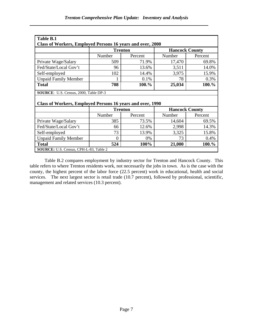| Table B.1                                                  |                |         |                       |         |  |
|------------------------------------------------------------|----------------|---------|-----------------------|---------|--|
| Class of Workers, Employed Persons 16 years and over, 2000 |                |         |                       |         |  |
|                                                            | <b>Trenton</b> |         | <b>Hancock County</b> |         |  |
|                                                            | Number         | Percent | Number                | Percent |  |
| Private Wage/Salary                                        | 509            | 71.9%   | 17,470                | 69.8%   |  |
| Fed/State/Local Gov't                                      | 96             | 13.6%   | 3,511                 | 14.0%   |  |
| Self-employed                                              | 102            | 14.4%   | 3,975                 | 15.9%   |  |
| <b>Unpaid Family Member</b>                                |                | 0.1%    | 78                    | 0.3%    |  |
| <b>Total</b>                                               | 708            | 100.%   | 25,034                | 100.%   |  |
| SOURCE: U.S. Census, 2000, Table DP-3                      |                |         |                       |         |  |
|                                                            |                |         |                       |         |  |
|                                                            |                |         |                       |         |  |
| Class of Workers, Employed Persons 16 years and over, 1990 |                |         |                       |         |  |
|                                                            | <b>Trenton</b> |         | <b>Hancock County</b> |         |  |
|                                                            | Number         | Percent | Number                | Percent |  |
| Private Wage/Salary                                        | 385            | 73.5%   | 14,604                | 69.5%   |  |
| Fed/State/Local Gov't                                      | 66             | 12.6%   | 2,998                 | 14.3%   |  |
| Self-employed                                              | 73             | 13.9%   | 3,325                 | 15.8%   |  |
| <b>Unpaid Family Member</b>                                | $\Omega$       | 0%      | 73                    | 0.4%    |  |
| <b>Total</b>                                               | 524            | 100%    | 21,000                | 100.%   |  |

Table B.2 compares employment by industry sector for Trenton and Hancock County. This table refers to where Trenton residents work, not necessarily the jobs in town. As is the case with the county, the highest percent of the labor force (22.5 percent) work in educational, health and social services. The next largest sector is retail trade (10.7 percent), followed by professional, scientific, management and related services (10.3 percent).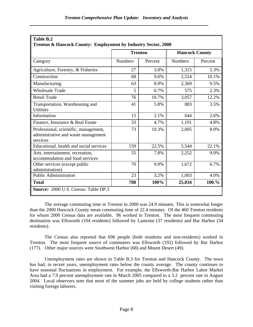|                                                                                          | <b>Trenton</b> |         | <b>Hancock County</b> |         |  |
|------------------------------------------------------------------------------------------|----------------|---------|-----------------------|---------|--|
| Category                                                                                 | <b>Numbers</b> | Percent | <b>Numbers</b>        | Percent |  |
| Agriculture, Forestry, & Fisheries                                                       | 27             | 3.8%    | 1,315                 | 5.3%    |  |
| Construction                                                                             | 68             | 9.6%    | 2,524                 | 10.1%   |  |
| Manufacturing                                                                            | 63             | 8.9%    | 2,369                 | 9.5%    |  |
| <b>Wholesale Trade</b>                                                                   | 5              | 0.7%    | 575                   | 2.3%    |  |
| <b>Retail Trade</b>                                                                      | 76             | 10.7%   | 3,057                 | 12.2%   |  |
| Transportation, Warehousing and<br><b>Utilities</b>                                      | 41             | 5.8%    | 883                   | 3.5%    |  |
| Information                                                                              | 15             | 2.1%    | 644                   | 2.6%    |  |
| Finance, Insurance & Real Estate                                                         | 33             | 4.7%    | 1,191                 | 4.8%    |  |
| Professional, scientific, management,<br>administrative and waste management<br>services | 73             | 10.3%   | 2,005                 | 8.0%    |  |
| Educational, health and social services                                                  | 159            | 22.5%   | 5,544                 | 22.1%   |  |
| Arts, entertainment, recreation,<br>accommodation and food services                      | 55             | 7.8%    | 2,252                 | 9.0%    |  |
| Other services (except public<br>administration)                                         | 70             | 9.9%    | 1,672                 | 6.7%    |  |
| <b>Public Administration</b>                                                             | 23             | 3.2%    | 1,003                 | 4.0%    |  |
| <b>Total</b>                                                                             | 708            | 100%    | 25,034                | 100.%   |  |

#### The average commuting time in Trenton in 2000 was 24.9 minutes. This is somewhat longer than the 2000 Hancock County mean commuting time of 22.4 minutes. Of the 460 Trenton residents for whom 2000 Census data are available, 96 worked in Trenton. The most frequent commuting destination was Ellsworth (104 residents) followed by Lamoine (37 residents) and Bar Harbor (34 residents).

The Census also reported that 696 people (both residents and non-residents) worked in Trenton. The most frequent source of commuters was Ellsworth (192) followed by Bar Harbor (177). Other major sources were Southwest Harbor (68) and Mount Desert (49).

Unemployment rates are shown in Table B.3 for Trenton and Hancock County. The town has had, in recent years, unemployment rates below the county average. The county continues to have seasonal fluctuations in employment. For example, the Ellsworth-Bar Harbor Labor Market Area had a 7.9 percent unemployment rate in March 2005 compared to a 3.2 percent rate in August 2004. Local observers note that most of the summer jobs are held by college students rather than visiting foreign laborers.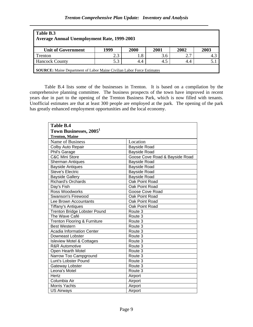| Table B.3<br><b>Average Annual Unemployment Rate, 1999-2003</b>               |      |      |      |      |      |  |
|-------------------------------------------------------------------------------|------|------|------|------|------|--|
| <b>Unit of Government</b>                                                     | 1999 | 2000 | 2001 | 2002 | 2003 |  |
| Trenton                                                                       | 2.3  | 1.8  | 3.6  | 2.7  | 4.3  |  |
| <b>Hancock County</b>                                                         | 5.3  | 4.4  | 4.5  | 4.4  |      |  |
| <b>SOURCE:</b> Maine Department of Labor Maine Civilian Labor Force Estimates |      |      |      |      |      |  |

 Table B.4 lists some of the businesses in Trenton. It is based on a compilation by the comprehensive planning committee. The business prospects of the town have improved in recent years due in part to the opening of the Trenton Business Park, which is now filled with tenants. Unofficial estimates are that at least 300 people are employed at the park. The opening of the park has greatly enhanced employment opportunities and the local economy.

| <b>Table B.4</b><br>Town Businesses, 2005 <sup>1</sup><br><b>Trenton, Maine</b> |                                |
|---------------------------------------------------------------------------------|--------------------------------|
| Name of Business                                                                | Location                       |
| Colby Auto Repair                                                               | <b>Bayside Road</b>            |
| Phil's Garage                                                                   | Bayside Road                   |
| <b>C&amp;C Mini Store</b>                                                       | Goose Cove Road & Bayside Road |
| <b>Sherman Antiques</b>                                                         | Bayside Road                   |
| <b>Bayside Antiques</b>                                                         | <b>Bayside Road</b>            |
| <b>Steve's Electric</b>                                                         | <b>Bayside Road</b>            |
| <b>Bayside Gallery</b>                                                          | Bayside Road                   |
| <b>Richard's Orchards</b>                                                       | Oak Point Road                 |
| Day's Fish                                                                      | Oak Point Road                 |
| Ross Woodworks                                                                  | Goose Cove Road                |
| Swanson's Firewood                                                              | Oak Point Road                 |
| Lee Brown Accountants                                                           | Oak Point Road                 |
| <b>Tiffany's Antiques</b>                                                       | Oak Point Road                 |
| <b>Trenton Bridge Lobster Pound</b>                                             | Route 3                        |
| The Wave Café                                                                   | Route 3                        |
| <b>Trenton Flooring &amp; Furniture</b>                                         | Route 3                        |
| <b>Best Western</b>                                                             | Route 3                        |
| <b>Acadia Information Center</b>                                                | Route 3                        |
| Downeast Lobster                                                                | Route 3                        |
| <b>Isleview Motel &amp; Cottages</b>                                            | Route 3                        |
| <b>R&amp;R Automotive</b>                                                       | Route 3                        |
| Open Hearth Motel                                                               | Route 3                        |
| Narrow Too Campground                                                           | Route 3                        |
| Lunt's Lobster Pound                                                            | Route 3                        |
| Gateway Lobster                                                                 | Route 3                        |
| Leona's Motel                                                                   | Route 3                        |
| Hertz                                                                           | Airport                        |
| Columbia Air                                                                    | Airport                        |
| Morris Yachts                                                                   | Airport                        |
| <b>US Airways</b>                                                               | Airport                        |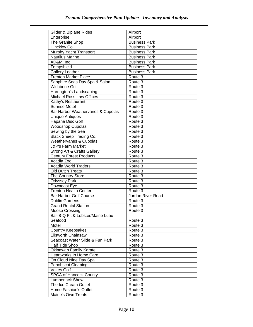| Glider & Biplane Rides                     | Airport              |
|--------------------------------------------|----------------------|
| Enterprise                                 | Airport              |
| The Granite Shop                           | <b>Business Park</b> |
| Hinckley Co.                               | <b>Business Park</b> |
| Murphy Yacht Transport                     | <b>Business Park</b> |
| <b>Nautilus Marine</b>                     | <b>Business Park</b> |
| AD&M, Inc.                                 | <b>Business Park</b> |
| Tempshield                                 | <b>Business Park</b> |
| Gallery Leather                            | <b>Business Park</b> |
| <b>Trenton Market Place</b>                | Route 3              |
| Sapphire Seas Day Spa & Salon              | Route 3              |
| Wishbone Grill                             | Route 3              |
| Harrington's Landscaping                   | Route 3              |
| <b>Michael Ross Law Offices</b>            | Route 3              |
| Kathy's Restaurant                         | Route 3              |
| <b>Sunrise Motel</b>                       | Route 3              |
| Bar Harbor Weathervanes & Cupolas          | Route 3              |
|                                            | Route 3              |
| <b>Unique Antiques</b><br>Hapana Disc Golf |                      |
|                                            | Route 3              |
| <b>Woodshop Cupolas</b>                    | Route 3              |
| Sewing by the Sea                          | Route 3              |
| <b>Black Sheep Trading Co.</b>             | Route 3              |
| Weathervanes & Cupolas                     | Route 3              |
| <b>J&amp;P's Farm Market</b>               | Route 3              |
| Strong Art & Crafts Gallery                | Route 3              |
| <b>Century Forest Products</b>             | Route 3              |
| Acadia Zoo                                 | Route 3              |
| <b>Acadia World Traders</b>                | Route 3              |
| <b>Old Dutch Treats</b>                    | Route 3              |
| The Country Store                          | Route 3              |
| <b>Odyssey Park</b>                        | Route 3              |
| Downeast Eye                               | Route 3              |
| <b>Trenton Health Center</b>               | Route 3              |
| <b>Bar Harbor Golf Course</b>              | Jordan River Road    |
| <b>Dublin Gardens</b>                      | Route 3              |
| <b>Grand Rental Station</b>                | Route 3              |
| <b>Moose Crossing</b>                      | Route 3              |
| Bar-B-Q Pit & Lobster/Maine Luau           |                      |
| Seafood                                    | Route 3              |
| Motel                                      | Route 3              |
| Country Keepsakes                          | Route 3              |
| <b>Ellsworth Chainsaw</b>                  | Route 3              |
| Seacoast Water Slide & Fun Park            | Route 3              |
| Half Tide Shop                             | Route 3              |
| Okinawan Family Karate                     | Route 3              |
| <b>Heartworks In Home Care</b>             | Route 3              |
| On Cloud Nine Day Spa                      | Route 3              |
| Penobscot Cleaning                         | Route 3              |
| <b>Vokes Golf</b>                          | Route 3              |
| <b>SPCA of Hancock County</b>              | Route 3              |
| Lumberjack Show                            | Route 3              |
| The Ice Cream Outlet                       | Route 3              |
| Home Fashion's Outlet                      | Route 3              |
| Maine's Own Treats                         | Route 3              |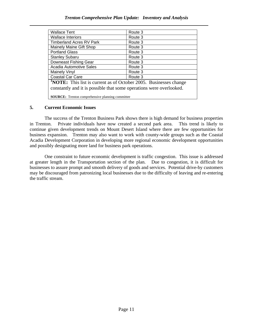#### *Trenton Comprehensive Plan Update: Inventory and Analysis*

| <b>Wallace Tent</b>                                                                                                                            | Route 3 |
|------------------------------------------------------------------------------------------------------------------------------------------------|---------|
| <b>Wallace Interiors</b>                                                                                                                       | Route 3 |
| <b>Timberland Acres RV Park</b>                                                                                                                | Route 3 |
| Mainely Maine Gift Shop                                                                                                                        | Route 3 |
| <b>Portland Glass</b>                                                                                                                          | Route 3 |
| <b>Stanley Subaru</b>                                                                                                                          | Route 3 |
| Downeast Fishing Gear                                                                                                                          | Route 3 |
| Acadia Automotive Sales                                                                                                                        | Route 3 |
| <b>Mainely Vinyl</b>                                                                                                                           | Route 3 |
| <b>Coastal Car Care</b>                                                                                                                        | Route 3 |
| <b>NOTE:</b> This list is current as of October 2005. Businesses change<br>constantly and it is possible that some operations were overlooked. |         |
| <b>SOURCE:</b> Trenton comprehensive planning committee                                                                                        |         |

#### **5. Current Economic Issues**

 The success of the Trenton Business Park shows there is high demand for business properties in Trenton. Private individuals have now created a second park area. This trend is likely to continue given development trends on Mount Desert Island where there are few opportunities for business expansion. Trenton may also want to work with county-wide groups such as the Coastal Acadia Development Corporation in developing more regional economic development opportunities and possibly designating more land for business park operations.

 One constraint to future economic development is traffic congestion. This issue is addressed at greater length in the Transportation section of the plan. Due to congestion, it is difficult for businesses to assure prompt and smooth delivery of goods and services. Potential drive-by customers may be discouraged from patronizing local businesses due to the difficulty of leaving and re-entering the traffic stream.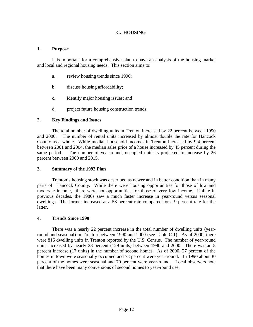#### **C. HOUSING**

#### **1. Purpose**

 It is important for a comprehensive plan to have an analysis of the housing market and local and regional housing needs. This section aims to:

- a.. review housing trends since 1990;
- b. discuss housing affordability;
- c. identify major housing issues; and
- d. project future housing construction trends.

#### **2. Key Findings and Issues**

The total number of dwelling units in Trenton increased by 22 percent between 1990 and 2000. The number of rental units increased by almost double the rate for Hancock County as a whole. While median household incomes in Trenton increased by 9.4 percent between 2001 and 2004, the median sales price of a house increased by 45 percent during the same period. The number of year-round, occupied units is projected to increase by 26 percent between 2000 and 2015,

#### **3. Summary of the 1992 Plan**

Trenton's housing stock was described as newer and in better condition than in many parts of Hancock County. While there were housing opportunities for those of low and moderate income, there were not opportunities for those of very low income. Unlike in previous decades, the 1980s saw a much faster increase in year-round versus seasonal dwellings. The former increased at a 58 percent rate compared for a 9 percent rate for the latter.

#### **4. Trends Since 1990**

There was a nearly 22 percent increase in the total number of dwelling units (yearround and seasonal) in Trenton between 1990 and 2000 (see Table C.1). As of 2000, there were 816 dwelling units in Trenton reported by the U.S. Census. The number of year-round units increased by nearly 28 percent (129 units) between 1990 and 2000. There was an 8 percent increase (17 units) in the number of second homes. As of 2000, 27 percent of the homes in town were seasonally occupied and 73 percent were year-round. In 1990 about 30 percent of the homes were seasonal and 70 percent were year-round. Local observers note that there have been many conversions of second homes to year-round use.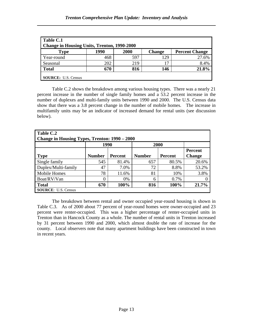| Table C.1<br><b>Change in Housing Units, Trenton, 1990-2000</b> |      |      |               |                       |  |  |  |
|-----------------------------------------------------------------|------|------|---------------|-----------------------|--|--|--|
| <b>Type</b>                                                     | 1990 | 2000 | <b>Change</b> | <b>Percent Change</b> |  |  |  |
| Year-round                                                      | 468  | 597  | 129           | 27.6%                 |  |  |  |
| Seasonal                                                        | 202  | 219  |               | 8.4%                  |  |  |  |
| <b>Total</b>                                                    | 670  | 816  | 146           | 21.8%                 |  |  |  |
| <b>SOURCE:</b> U.S. Census                                      |      |      |               |                       |  |  |  |

Table C.2 shows the breakdown among various housing types. There was a nearly 21 percent increase in the number of single family homes and a 53.2 percent increase in the number of duplexes and multi-family units between 1990 and 2000. The U.S. Census data show that there was a 3.8 percent change in the number of mobile homes. The increase in multifamily units may be an indicator of increased demand for rental units (see discussion below).

| Table C.2<br>Change in Housing Types, Trenton: 1990 – 2000 |               |                |               |         |                          |  |  |
|------------------------------------------------------------|---------------|----------------|---------------|---------|--------------------------|--|--|
|                                                            | 1990<br>2000  |                |               |         |                          |  |  |
| <b>Type</b>                                                | <b>Number</b> | <b>Percent</b> | <b>Number</b> | Percent | Percent<br><b>Change</b> |  |  |
| Single family                                              | 545           | 81.4%          | 657           | 80.5%   | 20.6%                    |  |  |
| Duplex/Multi-family                                        | 47            | 7.0%           | 72            | 8.8%    | 53.2%                    |  |  |
| <b>Mobile Homes</b>                                        | 78            | 11.6%          | 81            | 10%     | 3.8%                     |  |  |
| Boat/RV/Van                                                |               | $0\%$          | 6             | 0.7%    |                          |  |  |
| <b>Total</b>                                               | 670           | 100%           | 816           | 100%    | 21.7%                    |  |  |
| <b>SOURCE: U.S. Census</b>                                 |               |                |               |         |                          |  |  |

The breakdown between rental and owner occupied year-round housing is shown in Table C.3. As of 2000 about 77 percent of year-round homes were owner-occupied and 23 percent were renter-occupied. This was a higher percentage of renter-occupied units in Trenton than in Hancock County as a whole. The number of rental units in Trenton increased by 31 percent between 1990 and 2000, which almost double the rate of increase for the county. Local observers note that many apartment buildings have been constructed in town in recent years.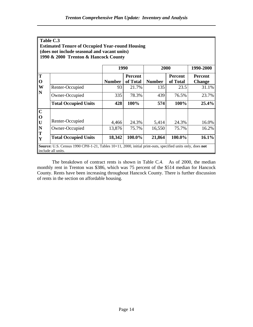| Table C.3   |                                                                                                                                 |               |          |               |                |               |
|-------------|---------------------------------------------------------------------------------------------------------------------------------|---------------|----------|---------------|----------------|---------------|
|             | <b>Estimated Tenure of Occupied Year-round Housing</b>                                                                          |               |          |               |                |               |
|             | (does not include seasonal and vacant units)                                                                                    |               |          |               |                |               |
|             | 1990 & 2000 Trenton & Hancock County                                                                                            |               |          |               |                |               |
|             |                                                                                                                                 |               |          |               |                |               |
|             |                                                                                                                                 | 1990          |          | 2000          |                | 1990-2000     |
| T           |                                                                                                                                 |               | Percent  |               | <b>Percent</b> | Percent       |
| $\mathbf 0$ |                                                                                                                                 | <b>Number</b> | of Total | <b>Number</b> | of Total       | <b>Change</b> |
| W           | Renter-Occupied                                                                                                                 | 93            | 21.7%    | 135           | 23.5           | 31.1%         |
| N           | Owner-Occupied                                                                                                                  | 335           | 78.3%    | 439           | 76.5%          | 23.7%         |
|             | <b>Total Occupied Units</b>                                                                                                     | 428           | 100%     | 574           | 100%           | $25.4\%$      |
| $\mathbf C$ |                                                                                                                                 |               |          |               |                |               |
| $\mathbf 0$ |                                                                                                                                 |               |          |               |                |               |
| U           | Renter-Occupied                                                                                                                 | 4,466         | 24.3%    | 5,414         | 24.3%          | 16.0%         |
| N           | Owner-Occupied                                                                                                                  | 13,876        | 75.7%    | 16,550        | 75.7%          | 16.2%         |
| T<br>Y      | <b>Total Occupied Units</b>                                                                                                     | 18,342        | 100.0%   | 21,864        | 100.0%         | 16.1%         |
|             | Source: U.S. Census 1990 CPH-1-21, Tables 10+11, 2000, initial print-outs, specified units only, does not<br>include all units. |               |          |               |                |               |

The breakdown of contract rents is shown in Table C.4. As of 2000, the median monthly rent in Trenton was \$386, which was 75 percent of the \$514 median for Hancock County. Rents have been increasing throughout Hancock County. There is further discussion of rents in the section on affordable housing.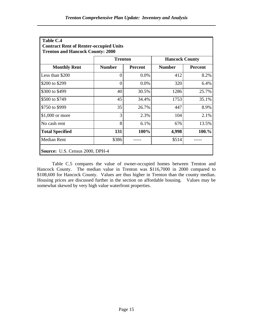| Table C.4<br><b>Contract Rent of Renter-occupied Units</b><br><b>Trenton and Hancock County: 2000</b> |                |                |                       |                |  |  |
|-------------------------------------------------------------------------------------------------------|----------------|----------------|-----------------------|----------------|--|--|
|                                                                                                       | <b>Trenton</b> |                | <b>Hancock County</b> |                |  |  |
| <b>Monthly Rent</b>                                                                                   | <b>Number</b>  | <b>Percent</b> | <b>Number</b>         | <b>Percent</b> |  |  |
| Less than \$200                                                                                       | 0              | $0.0\%$        | 412                   | 8.2%           |  |  |
| \$200 to \$299                                                                                        | $\theta$       | 0.0%           | 320                   | 6.4%           |  |  |
| \$300 to \$499                                                                                        | 40             | 30.5%          | 1286                  | 25.7%          |  |  |
| S500 to \$749                                                                                         | 45             | 34.4%          | 1753                  | 35.1%          |  |  |
| \$750 to \$999                                                                                        | 35             | 26.7%          | 447                   | 8.9%           |  |  |
| $\parallel$ \$1,000 or more                                                                           | 3              | 2.3%           | 104                   | 2.1%           |  |  |
| $\vert$ No cash rent                                                                                  | 8              | 6.1%           | 676                   | 13.5%          |  |  |
| Total Specified                                                                                       | 131            | 100%           | 4,998                 | 100.%          |  |  |
| Median Rent                                                                                           | \$386          |                | \$514                 |                |  |  |
| <b>Source:</b> U.S. Census 2000, DPH-4                                                                |                |                |                       |                |  |  |

Table C.5 compares the value of owner-occupied homes between Trenton and Hancock County. The median value in Trenton was \$116,7000 in 2000 compared to \$108,600 for Hancock County. Values are thus higher in Trenton than the county median. Housing prices are discussed further in the section on affordable housing. Values may be somewhat skewed by very high value waterfront properties.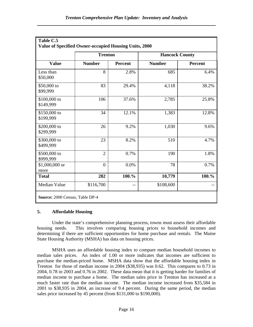| Value of Specified Owner-occupied Housing Units, 2000 |                |                |                       |         |  |  |  |
|-------------------------------------------------------|----------------|----------------|-----------------------|---------|--|--|--|
|                                                       | <b>Trenton</b> |                | <b>Hancock County</b> |         |  |  |  |
| <b>Value</b><br>Less than<br>\$50,000                 | <b>Number</b>  | <b>Percent</b> | <b>Number</b>         | Percent |  |  |  |
|                                                       | 8              | 2.8%           | 685                   | 6.4%    |  |  |  |
| \$50,000 to<br>\$99,999                               | 83             | 29.4%          | 4,118                 | 38.2%   |  |  |  |
| \$100,000 to<br>\$149,999                             | 106            | 37.6%          | 2,785                 | 25.8%   |  |  |  |
| \$150,000 to<br>\$199,999                             | 34             | 12.1%          | 1,383                 | 12.8%   |  |  |  |
| \$200,000 to<br>\$299,999                             | 26             | 9.2%           | 1,030                 | 9.6%    |  |  |  |
| \$300,000 to<br>\$499,999                             | 23             | 8.2%           | 510                   | 4.7%    |  |  |  |
| \$500,000 to<br>\$999,999                             | $\overline{2}$ | 0.7%           | 190                   | 1.8%    |  |  |  |
| $$1,000,000$ or<br>more                               | $\overline{0}$ | 0.0%           | 78                    | 0.7%    |  |  |  |
| <b>Total</b>                                          | 282            | 100.%          | 10,779                | 100.%   |  |  |  |
| Median Value                                          | \$116,700      |                | \$108,600             |         |  |  |  |

#### **5. Affordable Housing**

Under the state's comprehensive planning process, towns must assess their affordable housing needs. This involves comparing housing prices to household incomes and determining if there are sufficient opportunities for home purchase and rentals. The Maine State Housing Authority (MSHA) has data on housing prices.

MSHA uses an affordable housing index to compare median household incomes to median sales prices. An index of 1.00 or more indicates that incomes are sufficient to purchase the median-priced home. MSHA data show that the affordable housing index in Trenton for those of median income in 2004 (\$38,935) was 0.62. This compares to 0.73 in 2004, 0.78 in 2003 and 0.76 in 2002. These data mean that it is getting harder for families of median income to purchase a home. The median sales price in Trenton has increased at a much faster rate than the median income. The median income increased from \$35,584 in 2001 to \$38,935 in 2004, an increase of 9.4 percent. During the same period, the median sales price increased by 45 percent (from \$131,000 to \$190,000).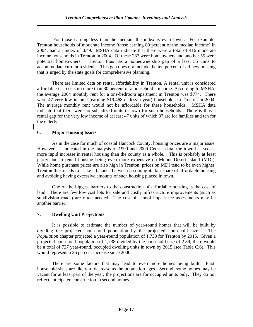For those earning less than the median, the index is even lower. For example, Trenton households of moderate income (those earning 80 percent of the median income) in 2004, had an index of 0.49. MSHA data indicate that there were a total of 416 moderate income households in Trenton in 2004. Of these 287 were homeowners and another 55 were potential homeowners. Trenton thus has a homeownership gap of a least 55 units to accommodate current residents. This gap does not include the ten percent of all new housing that is urged by the state goals for comprehensive planning.

There are limited data on rental affordability in Trenton. A rental unit is considered affordable if it costs no more than 30 percent of a household's income. According to MSHA, the average 2004 monthly rent for a one-bedroom apartment in Trenton was \$774. There were 47 very low income (earning \$19,468 or less a year) households in Trenton in 2004. The average monthly rent would not be affordable for these households. MSHA data indicate that there were no subsidized units in town for such households. There is thus a rental gap for the very low income of at least 47 units of which 37 are for families and ten for the elderly.

#### **6. Major Housing Issues**

As in the case for much of coastal Hancock County, housing prices are a major issue. However, as indicated in the analysis of 1990 and 2000 Census data, the town has seen a more rapid increase in rental housing than the county as a whole. This is probably at least partly due to rental housing being even more expensive on Mount Desert Island (MDI). While home purchase prices are also high in Trenton, prices on MDI tend to be even higher. Trenton thus needs to strike a balance between assuming its fair share of affordable housing and avoiding having excessive amounts of such housing placed in town.

 One of the biggest barriers to the construction of affordable housing is the cost of land. There are few low cost lots for sale and costly infrastructure improvements (such as subdivision roads) are often needed. The cost of school impact fee assessments may be another barrier.

#### **7. Dwelling Unit Projections**

It is possible to estimate the number of year-round homes that will be built by dividing the projected household population by the projected household size. The *Population* chapter projected a year-round population of 1,738 for Trenton by 2015. Given a projected household population of 1,738 divided by the household size of 2.39, there would be a total of 727 year-round, occupied dwelling units in town by 2015 (see Table C.6). This would represent a 26 percent increase since 2000.

There are some factors that may lead to even more homes being built. First, household sizes are likely to decrease as the population ages. Second, some homes may be vacant for at least part of the year; the projections are for occupied units only. They do not reflect anticipated construction in second homes.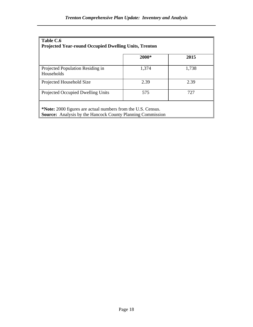| Table C.6<br><b>Projected Year-round Occupied Dwelling Units, Trenton</b>                                                         |       |       |  |  |  |
|-----------------------------------------------------------------------------------------------------------------------------------|-------|-------|--|--|--|
|                                                                                                                                   | 2000* | 2015  |  |  |  |
| Projected Population Residing in<br>Households                                                                                    | 1,374 | 1,738 |  |  |  |
| Projected Household Size                                                                                                          | 2.39  | 2.39  |  |  |  |
| Projected Occupied Dwelling Units                                                                                                 | 575   | 727   |  |  |  |
| *Note: 2000 figures are actual numbers from the U.S. Census.<br><b>Source:</b> Analysis by the Hancock County Planning Commission |       |       |  |  |  |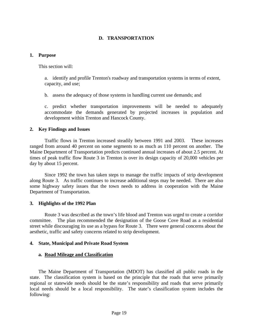#### **D. TRANSPORTATION**

#### **1. Purpose**

This section will:

 a. identify and profile Trenton's roadway and transportation systems in terms of extent, capacity, and use;

b. assess the adequacy of those systems in handling current use demands; and

 c. predict whether transportation improvements will be needed to adequately accommodate the demands generated by projected increases in population and development within Trenton and Hancock County.

#### **2. Key Findings and Issues**

 Traffic flows in Trenton increased steadily between 1991 and 2003. These increases ranged from around 40 percent on some segments to as much as 110 percent on another. The Maine Department of Transportation predicts continued annual increases of about 2.5 percent. At times of peak traffic flow Route 3 in Trenton is over its design capacity of 20,000 vehicles per day by about 15 percent.

 Since 1992 the town has taken steps to manage the traffic impacts of strip development along Route 3. As traffic continues to increase additional steps may be needed. There are also some highway safety issues that the town needs to address in cooperation with the Maine Department of Transportation.

#### **3. Highlights of the 1992 Plan**

 Route 3 was described as the town's life blood and Trenton was urged to create a corridor committee. The plan recommended the designation of the Goose Cove Road as a residential street while discouraging its use as a bypass for Route 3. There were general concerns about the aesthetic, traffic and safety concerns related to strip development.

#### **4. State, Municipal and Private Road System**

#### **a. Road Mileage and Classification**

The Maine Department of Transportation (MDOT) has classified all public roads in the state. The classification system is based on the principle that the roads that serve primarily regional or statewide needs should be the state's responsibility and roads that serve primarily local needs should be a local responsibility. The state's classification system includes the following: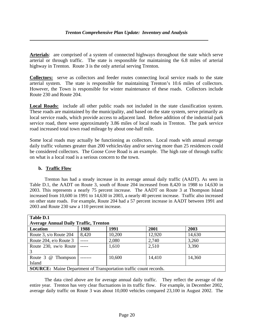**Arterials**: are comprised of a system of connected highways throughout the state which serve arterial or through traffic. The state is responsible for maintaining the 6.8 miles of arterial highway in Trenton. Route 3 is the only arterial serving Trenton.

**Collectors:** serve as collectors and feeder routes connecting local service roads to the state arterial system. The state is responsible for maintaining Trenton's 10.6 miles of collectors. However, the Town is responsible for winter maintenance of these roads. Collectors include Route 230 and Route 204.

**Local Roads:** include all other public roads not included in the state classification system. These roads are maintained by the municipality, and based on the state system, serve primarily as local service roads, which provide access to adjacent land. Before addition of the industrial park service road, there were approximately 3.86 miles of local roads in Trenton. The park service road increased total town road mileage by about one-half mile.

Some local roads may actually be functioning as collectors. Local roads with annual average daily traffic volumes greater than 200 vehicles/day and/or serving more than 25 residences could be considered collectors. The Goose Cove Road is an example. The high rate of through traffic on what is a local road is a serious concern to the town.

#### **b. Traffic Flow**

Trenton has had a steady increase in its average annual daily traffic (AADT). As seen in Table D.1, the AADT on Route 3, south of Route 204 increased from 8,420 in 1988 to 14,630 in 2003. This represents a nearly 75 percent increase. The AADT on Route 3 at Thompson Island increased from 10,600 in 1991 to 14,630 in 2003, a nearly 40 percent increase. Traffic also increased on other state roads. For example, Route 204 had a 57 percent increase in AADT between 1991 and 2003 and Route 230 saw a 110 percent increase.

| <b>Table D.1</b>                                                         |       |        |        |        |  |
|--------------------------------------------------------------------------|-------|--------|--------|--------|--|
| <b>Average Annual Daily Traffic, Trenton</b>                             |       |        |        |        |  |
| Location                                                                 | 1988  | 1991   | 2001   | 2003   |  |
| Route 3, s/o Route 204                                                   | 8,420 | 10,200 | 12,920 | 14,630 |  |
| Route 204, e/o Route 3                                                   |       | 2,080  | 2,740  | 3,260  |  |
| Route 230, sw/o Route                                                    |       | 1,610  | 2,510  | 3,390  |  |
| 3                                                                        |       |        |        |        |  |
| Route 3 @ Thompson                                                       |       | 10,600 | 14,410 | 14,360 |  |
| Island                                                                   |       |        |        |        |  |
| <b>SOURCE:</b> Maine Department of Transportation traffic count records. |       |        |        |        |  |

 The data cited above are for average annual daily traffic. They reflect the average of the entire year. Trenton has very clear fluctuations in its traffic flow. For example, in December 2002, average daily traffic on Route 3 was about 10,000 vehicles compared 23,100 in August 2002. The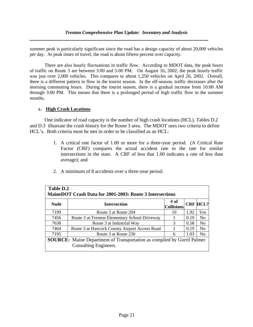summer peak is particularly significant since the road has a design capacity of about 20,000 vehicles per day. At peak times of travel, the road is about fifteen percent over capacity.

 There are also hourly fluctuations in traffic flow. According to MDOT data, the peak hours of traffic on Route 3 are between 3:00 and 5:00 PM. On August 16, 2002, the peak hourly traffic was just over 2,000 vehicles. This compares to about 1,250 vehicles on April 26, 2002. Overall, there is a different pattern in flow in the tourist season. In the off-season, traffic decreases after the morning commuting hours. During the tourist season, there is a gradual increase from 10:00 AM through 3:00 PM. This means that there is a prolonged period of high traffic flow in the summer months.

#### **c. High Crash Locations**

One indicator of road capacity is the number of high crash locations (HCL). Tables D.2 and D.3 illustrate the crash history for the Route 3 area. The MDOT uses two criteria to define HCL's. Both criteria must be met in order to be classified as an HCL:

- 1. A critical rate factor of 1.00 or more for a three-year period. (A Critical Rate Factor (CRF) compares the actual accident rate to the rate for similar intersections in the state. A CRF of less that 1.00 indicates a rate of less than average); and
- 2. A minimum of 8 accidents over a three-year period.

| Table D.2<br>MaineDOT Crash Data for 2001-2003: Route 3 Intersections                                   |                                               |                           |      |                 |  |  |
|---------------------------------------------------------------------------------------------------------|-----------------------------------------------|---------------------------|------|-----------------|--|--|
| <b>Node</b>                                                                                             | <b>Intersection</b>                           | # of<br><b>Collisions</b> |      | <b>CRF HCL?</b> |  |  |
| 7199                                                                                                    | Route 3 at Route 204                          | 10                        | 1.92 | <b>Yes</b>      |  |  |
| 7456                                                                                                    | Route 3 at Trenton Elementary School Driveway |                           | 0.19 | No              |  |  |
| 7638                                                                                                    | Route 3 at Industrial Way                     | 3                         | 0.58 | N <sub>o</sub>  |  |  |
| 7464                                                                                                    | Route 3 at Hancock County Airport Access Road |                           | 0.19 | No              |  |  |
| 7195                                                                                                    | Route 3 at Route 230                          | 6                         | 1.03 | N <sub>o</sub>  |  |  |
| <b>SOURCE:</b> Maine Department of Transportation as compiled by Gorril Palmer<br>Consulting Engineers. |                                               |                           |      |                 |  |  |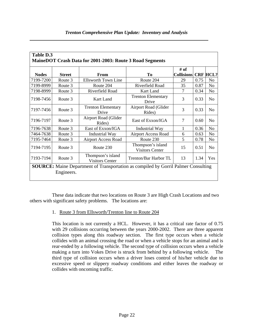| Table D.3<br>MaineDOT Crash Data for 2001-2003: Route 3 Road Segments                                   |               |                                             |                                                   |                             |      |                 |
|---------------------------------------------------------------------------------------------------------|---------------|---------------------------------------------|---------------------------------------------------|-----------------------------|------|-----------------|
| <b>Nodes</b>                                                                                            | <b>Street</b> | <b>From</b>                                 | To                                                | $#$ of<br><b>Collisions</b> |      | <b>CRF HCL?</b> |
| 7199-7200                                                                                               | Route 3       | <b>Ellsworth Town Line</b>                  | Route 204                                         | 29                          | 0.75 | N <sub>o</sub>  |
| 7199-8999                                                                                               | Route 3       | Route 204                                   | Riverfield Road                                   | 35                          | 0.87 | N <sub>o</sub>  |
| 7198-8999                                                                                               | Route 3       | Riverfield Road                             | Kart Land                                         | $\tau$                      | 0.34 | No              |
| 7198-7456                                                                                               | Route 3       | Kart Land                                   | <b>Trenton Elementary</b><br>Drive                | 3                           | 0.33 | N <sub>o</sub>  |
| 7197-7456                                                                                               | Route 3       | <b>Trenton Elementary</b><br>Drive          | Airport Road (Glider<br>Rides)                    | 3                           | 0.33 | N <sub>0</sub>  |
| 7196-7197                                                                                               | Route 3       | Airport Road (Glider<br>Rides)              | East of Exxon/IGA                                 | 7                           | 0.60 | N <sub>0</sub>  |
| 7196-7638                                                                                               | Route 3       | East of Exxon/IGA                           | 1<br><b>Industrial Way</b>                        |                             | 0.36 | N <sub>o</sub>  |
| 7464-7638                                                                                               | Route 3       | <b>Industrial Way</b>                       | <b>Airport Access Road</b><br>6                   |                             | 0.63 | N <sub>o</sub>  |
| 7195-7464                                                                                               | Route 3       | <b>Airport Access Road</b>                  | 5<br>Route 230                                    |                             | 0.78 | N <sub>0</sub>  |
| 7194-7195                                                                                               | Route 3       | Route 230                                   | Thompson's island<br>15<br><b>Visitors Center</b> |                             | 0.51 | N <sub>0</sub>  |
| 7193-7194                                                                                               | Route 3       | Thompson's island<br><b>Visitors Center</b> | Trenton/Bar Harbor TL<br>13                       |                             | 1.34 | Yes             |
| <b>SOURCE:</b> Maine Department of Transportation as compiled by Gorril Palmer Consulting<br>Engineers. |               |                                             |                                                   |                             |      |                 |

These data indicate that two locations on Route 3 are High Crash Locations and two others with significant safety problems. The locations are:

### 1. Route 3 from Ellsworth/Trenton line to Route 204

This location is not currently a HCL. However, it has a critical rate factor of 0.75 with 29 collisions occurring between the years 2000-2002. There are three apparent collision types along this roadway section. The first type occurs when a vehicle collides with an animal crossing the road or when a vehicle stops for an animal and is rear-ended by a following vehicle. The second type of collision occurs when a vehicle making a turn into Vokes Drive is struck from behind by a following vehicle. The third type of collision occurs when a driver loses control of his/her vehicle due to excessive speed or slippery roadway conditions and either leaves the roadway or collides with oncoming traffic.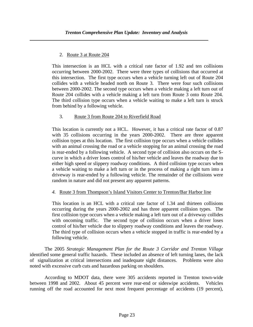#### 2. Route 3 at Route 204

This intersection is an HCL with a critical rate factor of 1.92 and ten collisions occurring between 2000-2002. There were three types of collisions that occurred at this intersection. The first type occurs when a vehicle turning left out of Route 204 collides with a vehicle headed north on Route 3. There were four such collisions between 2000-2002. The second type occurs when a vehicle making a left turn out of Route 204 collides with a vehicle making a left turn from Route 3 onto Route 204. The third collision type occurs when a vehicle waiting to make a left turn is struck from behind by a following vehicle.

#### 3. Route 3 from Route 204 to Riverfield Road

This location is currently not a HCL. However, it has a critical rate factor of 0.87 with 35 collisions occurring in the years 2000-2002. There are three apparent collision types at this location. The first collision type occurs when a vehicle collides with an animal crossing the road or a vehicle stopping for an animal crossing the road is rear-ended by a following vehicle. A second type of collision also occurs on the Scurve in which a driver loses control of his/her vehicle and leaves the roadway due to either high speed or slippery roadway conditions. A third collision type occurs when a vehicle waiting to make a left turn or in the process of making a right turn into a driveway is rear-ended by a following vehicle. The remainder of the collisions were random in nature and did not present any apparent patterns.

#### *4.* Route 3 from Thompson's Island Visitors Center to Trenton/Bar Harbor line

This location is an HCL with a critical rate factor of 1.34 and thirteen collisions occurring during the years 2000-2002 and has three apparent collision types. The first collision type occurs when a vehicle making a left turn out of a driveway collides with oncoming traffic. The second type of collision occurs when a driver loses control of his/her vehicle due to slippery roadway conditions and leaves the roadway. The third type of collision occurs when a vehicle stopped in traffic is rear-ended by a following vehicle.

 The 2005 *Strategic Management Plan for the Route 3 Corridor and Trenton Village* identified some general traffic hazards. These included an absence of left turning lanes, the lack of signalization at critical intersections and inadequate sight distances. Problems were also noted with excessive curb cuts and hazardous parking on shoulders.

 According to MDOT data, there were 305 accidents reported in Trenton town-wide between 1998 and 2002. About 45 percent were rear-end or sideswipe accidents. Vehicles running off the road accounted for next most frequent percentage of accidents (19 percent),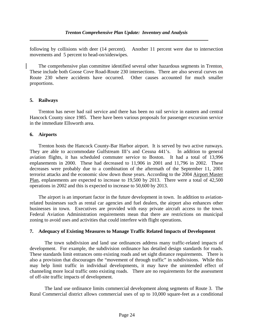following by collisions with deer (14 percent). Another 11 percent were due to intersection movements and 5 percent to head-on/sideswipes.

The comprehensive plan committee identified several other hazardous segments in Trenton. These include both Goose Cove Road-Route 230 intersections. There are also several curves on Route 230 where accidents have occurred. Other causes accounted for much smaller proportions.

#### **5. Railways**

 Trenton has never had rail service and there has been no rail service in eastern and central Hancock County since 1985. There have been various proposals for passenger excursion service in the immediate Ellsworth area.

#### **6. Airports**

 Trenton hosts the Hancock County-Bar Harbor airport. It is served by two active runways. They are able to accommodate Gulfstream III's and Cessna 441's. In addition to general aviation flights, it has scheduled commuter service to Boston. It had a total of 13,996 enplanements in 2000. These had decreased to 11,906 in 2001 and 11,796 in 2002. These decreases were probably due to a combination of the aftermath of the September 11, 2001 terrorist attacks and the economic slow down those years. According to the 2004 Airport Master Plan, enplanements are expected to increase to 19,500 by 2013. There were a total of 42,500 operations in 2002 and this is expected to increase to 50,600 by 2013.

 The airport is an important factor in the future development in town. In addition to aviationrelated businesses such as rental car agencies and fuel dealers, the airport also enhances other businesses in town. Executives are provided with easy private aircraft access to the town. Federal Aviation Administration requirements mean that there are restrictions on municipal zoning to avoid uses and activities that could interfere with flight operations.

#### **7. Adequacy of Existing Measures to Manage Traffic Related Impacts of Development**

The town subdivision and land use ordinances address many traffic-related impacts of development. For example, the subdivision ordinance has detailed design standards for roads. These standards limit entrances onto existing roads and set sight distance requirements. There is also a provision that discourages the "movement of through traffic" in subdivisions. While this may help limit traffic in individual developments, it may have the unintended effect of channeling more local traffic onto existing roads. There are no requirements for the assessment of off-site traffic impacts of development.

 The land use ordinance limits commercial development along segments of Route 3. The Rural Commercial district allows commercial uses of up to 10,000 square-feet as a conditional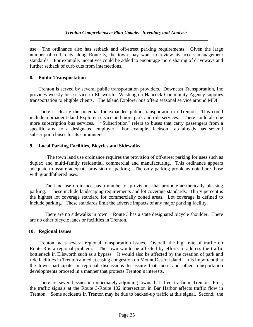#### *Trenton Comprehensive Plan Update: Inventory and Analysis*

use. The ordinance also has setback and off-street parking requirements. Given the large number of curb cuts along Route 3, the town may want to review its access management standards. For example, incentives could be added to encourage more sharing of driveways and further setback of curb cuts from intersections.

#### **8. Public Transportation**

 Trenton is served by several public transportation providers. Downeast Transportation, Inc provides weekly bus service to Ellsworth. Washington Hancock Community Agency supplies transportation to eligible clients. The Island Explorer bus offers seasonal service around MDI.

 There is clearly the potential for expanded public transportation in Trenton. This could include a broader Island Explorer service and more park and ride services. There could also be more subscription bus services. "Subscription" refers to buses that carry passengers from a specific area to a designated employer. For example, Jackson Lab already has several subscription buses for its commuters.

#### **9. Local Parking Facilities, Bicycles and Sidewalks**

 The town land use ordinance requires the provision of off-street parking for uses such as duplex and multi-family residential, commercial and manufacturing. This ordinance appears adequate to assure adequate provision of parking. The only parking problems noted are those with grandfathered uses.

 The land use ordinance has a number of provisions that promote aesthetically pleasing parking. These include landscaping requirements and lot coverage standards. Thirty percent is the highest lot coverage standard for commercially zoned areas. Lot coverage is defined to include parking. These standards limit the adverse impacts of any major parking facility.

 There are no sidewalks in town. Route 3 has a state designated bicycle shoulder. There are no other bicycle lanes or facilities in Trenton.

#### **10. Regional Issues**

 Trenton faces several regional transportation issues. Overall, the high rate of traffic on Route 3 is a regional problem. The town would be affected by efforts to address the traffic bottleneck in Ellsworth such as a bypass. It would also be affected by the creation of park and ride facilities in Trenton aimed at easing congestion on Mount Desert Island. It is important that the town participate in regional discussions to assure that these and other transportation developments proceed in a manner that protects Trenton's interests.

 There are several issues in immediately adjoining towns that affect traffic in Trenton. First, the traffic signals at the Route 3-Route 102 intersection in Bar Harbor affects traffic flow in Trenton. Some accidents in Trenton may be due to backed-up traffic at this signal. Second, the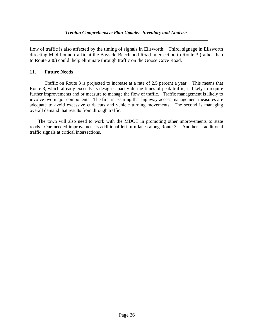flow of traffic is also affected by the timing of signals in Ellsworth. Third, signage in Ellsworth directing MDI-bound traffic at the Bayside-Beechland Road intersection to Route 3 (rather than to Route 230) could help eliminate through traffic on the Goose Cove Road.

#### **11. Future Needs**

 Traffic on Route 3 is projected to increase at a rate of 2.5 percent a year. This means that Route 3, which already exceeds its design capacity during times of peak traffic, is likely to require further improvements and or measure to manage the flow of traffic. Traffic management is likely to involve two major components. The first is assuring that highway access management measures are adequate to avoid excessive curb cuts and vehicle turning movements. The second is managing overall demand that results from through traffic.

 The town will also need to work with the MDOT in promoting other improvements to state roads. One needed improvement is additional left turn lanes along Route 3. Another is additional traffic signals at critical intersections.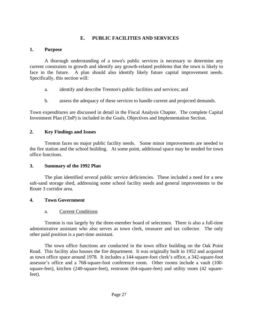## **E. PUBLIC FACILITIES AND SERVICES**

## **1. Purpose**

 A thorough understanding of a town's public services is necessary to determine any current constraints to growth and identify any growth-related problems that the town is likely to face in the future. A plan should also identify likely future capital improvement needs. Specifically, this section will:

- a. identify and describe Trenton's public facilities and services; and
- b. assess the adequacy of these services to handle current and projected demands.

Town expenditures are discussed in detail in the Fiscal Analysis Chapter. The complete Capital Investment Plan (CInP) is included in the Goals, Objectives and Implementation Section.

## **2. Key Findings and Issues**

 Trenton faces no major public facility needs. Some minor improvements are needed to the fire station and the school building. At some point, additional space may be needed for town office functions.

## **3. Summary of the 1992 Plan**

 The plan identified several public service deficiencies. These included a need for a new salt-sand storage shed, addressing some school facility needs and general improvements to the Route 3 corridor area.

## **4. Town Government**

## a. Current Conditions

 Trenton is run largely by the three-member board of selectmen. There is also a full-time administrative assistant who also serves as town clerk, treasurer and tax collector. The only other paid position is a part-time assistant.

 The town office functions are conducted in the town office building on the Oak Point Road. This facility also houses the fire department. It was originally built in 1952 and acquired as town office space around 1978. It includes a 144-square-foot clerk's office, a 342-square-foot assessor's office and a 768-square-foot conference room. Other rooms include a vault (100 square-feet), kitchen (240-square-feet), restroom (64-square-feet) and utility room (42 squarefeet).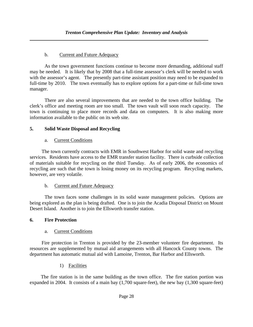## b. Current and Future Adequacy

 As the town government functions continue to become more demanding, additional staff may be needed. It is likely that by 2008 that a full-time assessor's clerk will be needed to work with the assessor's agent. The presently part-time assistant position may need to be expanded to full-time by 2010. The town eventually has to explore options for a part-time or full-time town manager.

 There are also several improvements that are needed to the town office building. The clerk's office and meeting room are too small. The town vault will soon reach capacity. The town is continuing to place more records and data on computers. It is also making more information available to the public on its web site.

## **5. Solid Waste Disposal and Recycling**

## a. Current Conditions

 The town currently contracts with EMR in Southwest Harbor for solid waste and recycling services. Residents have access to the EMR transfer station facility. There is curbside collection of materials suitable for recycling on the third Tuesday. As of early 2006, the economics of recycling are such that the town is losing money on its recycling program. Recycling markets, however, are very volatile.

### b. Current and Future Adequacy

 The town faces some challenges in its solid waste management policies. Options are being explored as the plan is being drafted. One is to join the Acadia Disposal District on Mount Desert Island. Another is to join the Ellsworth transfer station.

### **6. Fire Protection**

## a. Current Conditions

 Fire protection in Trenton is provided by the 23-member volunteer fire department. Its resources are supplemented by mutual aid arrangements with all Hancock County towns. The department has automatic mutual aid with Lamoine, Trenton, Bar Harbor and Ellsworth.

1) Facilities

The fire station is in the same building as the town office. The fire station portion was expanded in 2004. It consists of a main bay (1,700 square-feet), the new bay (1,300 square-feet)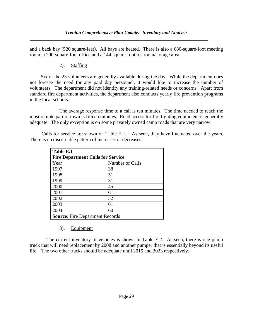and a back bay (520 square-feet). All bays are heated. There is also a 680-square-foot meeting room, a 200-square-foot office and a 144-square-foot restroom/storage area.

2). Staffing

Six of the 23 volunteers are generally available during the day. While the department does not foresee the need for any paid day personnel, it would like to increase the number of volunteers. The department did not identify any training-related needs or concerns. Apart from standard fire department activities, the department also conducts yearly fire prevention programs in the local schools.

 The average response time to a call is ten minutes. The time needed to reach the most remote part of town is fifteen minutes. Road access for fire fighting equipment is generally adequate. The only exception is on some privately owned camp roads that are very narrow.

Calls for service are shown on Table E. l. As seen, they have fluctuated over the years. There is no discernable pattern of increases or decreases.

| Table E.1                                |                 |  |  |  |  |
|------------------------------------------|-----------------|--|--|--|--|
| <b>Fire Department Calls for Service</b> |                 |  |  |  |  |
| Year                                     | Number of Calls |  |  |  |  |
| 1997                                     | 38              |  |  |  |  |
| 1998                                     | 51              |  |  |  |  |
| 1999                                     | 31              |  |  |  |  |
| 2000                                     | 45              |  |  |  |  |
| 2001                                     | 61              |  |  |  |  |
| 2002                                     | 52              |  |  |  |  |
| 2003                                     | 61              |  |  |  |  |
| 2004                                     | 60              |  |  |  |  |
| <b>Source:</b> Fire Department Records   |                 |  |  |  |  |

3). Equipment

 The current inventory of vehicles is shown in Table E.2. As seen, there is one pump truck that will need replacement by 2008 and another pumper that is essentially beyond its useful life. The two other trucks should be adequate until 2015 and 2023 respectively.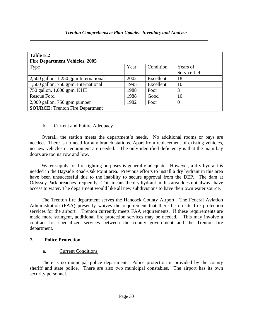| Table E.2                              |      |           |              |
|----------------------------------------|------|-----------|--------------|
| <b>Fire Department Vehicles, 2005</b>  |      |           |              |
| Type                                   | Year | Condition | Years of     |
|                                        |      |           | Service Left |
| 2,500 gallon, 1,250 gpm International  | 2002 | Excellent | 18           |
| 1,500 gallon, 750 gpm, International   | 1995 | Excellent | 10           |
| 750 gallon, 1,000 gpm, KHE             | 1988 | Poor      | 3            |
| <b>Rescue Ford</b>                     | 1988 | Good      | 10           |
| $2,000$ gallon, 750 gpm pumper         | 1982 | Poor      | $\theta$     |
| <b>SOURCE:</b> Trenton Fire Department |      |           |              |

#### *Trenton Comprehensive Plan Update: Inventory and Analysis*

### b. Current and Future Adequacy

 Overall, the station meets the department's needs. No additional rooms or bays are needed. There is no need for any branch stations. Apart from replacement of existing vehicles, no new vehicles or equipment are needed. The only identified deficiency is that the main bay doors are too narrow and low.

 Water supply for fire fighting purposes is generally adequate. However, a dry hydrant is needed in the Bayside Road-Oak Point area. Previous efforts to install a dry hydrant in this area have been unsuccessful due to the inability to secure approval from the DEP. The dam at Odyssey Park breaches frequently. This means the dry hydrant in this area does not always have access to water. The department would like all new subdivisions to have their own water source.

 The Trenton fire department serves the Hancock County Airport. The Federal Aviation Administration (FAA) presently waives the requirement that there be on-site fire protection services for the airport. Trenton currently meets FAA requirements. If these requirements are made more stringent, additional fire protection services may be needed. This may involve a contract for specialized services between the county government and the Trenton fire department.

### **7. Police Protection**

### a. Current Conditions

 There is no municipal police department. Police protection is provided by the county sheriff and state police. There are also two municipal constables. The airport has its own security personnel.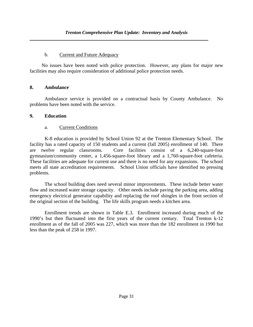### b. Current and Future Adequacy

 No issues have been noted with police protection. However, any plans for major new facilities may also require consideration of additional police protection needs.

## **8. Ambulance**

 Ambulance service is provided on a contractual basis by County Ambulance. No problems have been noted with the service.

## **9. Education**

## a. Current Conditions

 K-8 education is provided by School Union 92 at the Trenton Elementary School. The facility has a rated capacity of 150 students and a current (fall 2005) enrollment of 140. There are twelve regular classrooms. Core facilities consist of a 6,240-square-foot gymnasium/community center, a 1,456-square-foot library and a 1,760-square-foot cafeteria. These facilities are adequate for current use and there is no need for any expansions. The school meets all state accreditation requirements. School Union officials have identified no pressing problems.

 The school building does need several minor improvements. These include better water flow and increased water storage capacity. Other needs include paving the parking area, adding emergency electrical generator capability and replacing the roof shingles in the front section of the original section of the building. The life skills program needs a kitchen area.

 Enrollment trends are shown in Table E.3. Enrollment increased during much of the 1990's but then fluctuated into the first years of the current century. Total Trenton k-12 enrollment as of the fall of 2005 was 227, which was more than the 182 enrollment in 1990 but less than the peak of 258 in 1997.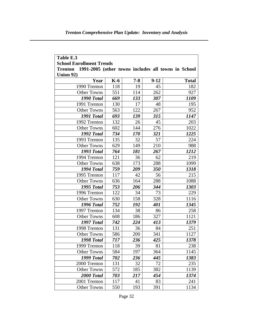| Table E.3                                                             |       |         |        |              |  |  |  |  |  |  |
|-----------------------------------------------------------------------|-------|---------|--------|--------------|--|--|--|--|--|--|
| <b>School Enrollment Trends</b>                                       |       |         |        |              |  |  |  |  |  |  |
| 1991-2005 (other towns includes all towns in School<br><b>Trenton</b> |       |         |        |              |  |  |  |  |  |  |
| Union 92)                                                             |       |         |        |              |  |  |  |  |  |  |
| Year                                                                  | $K-6$ | $7 - 8$ | $9-12$ | <b>Total</b> |  |  |  |  |  |  |
| 1990 Trenton                                                          | 118   | 19      | 45     | 182          |  |  |  |  |  |  |
| <b>Other Towns</b>                                                    | 551   | 114     | 262    | 927          |  |  |  |  |  |  |
| 1990 Total                                                            | 669   | 133     | 307    | 1109         |  |  |  |  |  |  |
| 1991 Trenton                                                          | 130   | 17      | 48     | 195          |  |  |  |  |  |  |
| <b>Other Towns</b>                                                    | 563   | 122     | 267    | 952          |  |  |  |  |  |  |
| 1991 Total                                                            | 693   | 139     | 315    | 1147         |  |  |  |  |  |  |
| 1992 Trenton                                                          | 132   | 26      | 45     | 203          |  |  |  |  |  |  |
| <b>Other Towns</b>                                                    | 602   | 144     | 276    | 1022         |  |  |  |  |  |  |
| 1992 Total                                                            | 734   | 170     | 321    | 1225         |  |  |  |  |  |  |
| 1993 Trenton                                                          | 135   | 32      | 57     | 224          |  |  |  |  |  |  |
| <b>Other Towns</b>                                                    | 629   | 149     | 210    | 988          |  |  |  |  |  |  |
| 1993 Total                                                            | 764   | 181     | 267    | 1212         |  |  |  |  |  |  |
| 1994 Trenton                                                          | 121   | 36      | 62     | 219          |  |  |  |  |  |  |
| <b>Other Towns</b>                                                    | 638   | 173     | 288    | 1099         |  |  |  |  |  |  |
| 1994 Total                                                            | 759   | 209     | 350    | 1318         |  |  |  |  |  |  |
| 1995 Trenton                                                          | 117   | 42      | 56     | 215          |  |  |  |  |  |  |
| <b>Other Towns</b>                                                    | 636   | 164     | 288    | 1088         |  |  |  |  |  |  |
| 1995 Total                                                            | 753   | 206     | 344    | 1303         |  |  |  |  |  |  |
| 1996 Trenton                                                          | 122   | 34      | 73     | 229          |  |  |  |  |  |  |
| <b>Other Towns</b>                                                    | 630   | 158     | 328    | 1116         |  |  |  |  |  |  |
| 1996 Total                                                            | 752   | 192     | 401    | 1345         |  |  |  |  |  |  |
| 1997 Trenton                                                          | 134   | 38      | 86     | 258          |  |  |  |  |  |  |
| <b>Other Towns</b>                                                    | 608   | 186     | 327    | 1121         |  |  |  |  |  |  |
| 1997 Total                                                            | 742   | 224     | 413    | 1379         |  |  |  |  |  |  |
| 1998 Trenton                                                          | 131   | 36      | 84     | 251          |  |  |  |  |  |  |
| <b>Other Towns</b>                                                    | 586   | 200     | 341    | 1127         |  |  |  |  |  |  |
| 1998 Total                                                            | 717   | 236     | 425    | 1378         |  |  |  |  |  |  |
| 1999 Trenton                                                          | 118   | 39      | 81     | 238          |  |  |  |  |  |  |
| <b>Other Towns</b>                                                    | 584   | 197     | 364    | 1145         |  |  |  |  |  |  |
| 1999 Total                                                            | 702   | 236     | 445    | 1383         |  |  |  |  |  |  |
| 2000 Trenton                                                          | 131   | 32      | 72     | 235          |  |  |  |  |  |  |
| <b>Other Towns</b>                                                    | 572   | 185     | 382    | 1139         |  |  |  |  |  |  |
| 2000 Total                                                            | 703   | 217     | 454    | 1374         |  |  |  |  |  |  |
| 2001 Trenton                                                          | 117   | 41      | 83     | 241          |  |  |  |  |  |  |
| <b>Other Towns</b>                                                    | 550   | 193     | 391    | 1134         |  |  |  |  |  |  |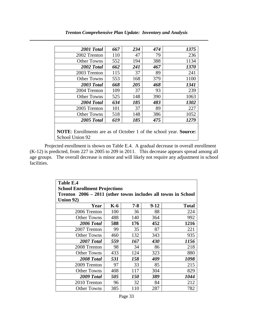| 2001 Total                                                                                         | 667 | 234 | 474 | 1375 |  |  |
|----------------------------------------------------------------------------------------------------|-----|-----|-----|------|--|--|
| 2002 Trenton                                                                                       | 110 | 47  | 79  | 236  |  |  |
| <b>Other Towns</b>                                                                                 | 552 | 194 | 388 | 1134 |  |  |
| 2002 Total                                                                                         | 662 | 241 | 467 | 1370 |  |  |
| 2003 Trenton                                                                                       | 115 | 37  | 89  | 241  |  |  |
| Other Towns                                                                                        | 553 | 168 | 379 | 1100 |  |  |
| 2003 Total                                                                                         | 668 | 205 | 468 | 1341 |  |  |
| 2004 Trenton                                                                                       | 109 | 37  | 93  | 239  |  |  |
| <b>Other Towns</b>                                                                                 | 525 | 148 | 390 | 1063 |  |  |
| 2004 Total                                                                                         | 634 | 185 | 483 | 1302 |  |  |
| 2005 Trenton                                                                                       | 101 | 37  | 89  | 227  |  |  |
| <b>Other Towns</b>                                                                                 | 518 | 148 | 386 | 1052 |  |  |
| 2005 Total                                                                                         | 619 | 185 | 475 | 1279 |  |  |
| <b>NOTE:</b> Enrollments are as of October 1 of the school year. <b>Source:</b><br>School Union 92 |     |     |     |      |  |  |

*Trenton Comprehensive Plan Update: Inventory and Analysis* 

Projected enrollment is shown on Table E.4. A gradual decrease in overall enrollment (K-12) is predicted, from 227 in 2005 to 209 in 2011. This decrease appears spread among all age groups. The overall decrease is minor and will likely not require any adjustment in school facilities.

| <b>Table E.4</b>                                              |     |            |        |              |  |  |
|---------------------------------------------------------------|-----|------------|--------|--------------|--|--|
| <b>School Enrollment Projections</b>                          |     |            |        |              |  |  |
| Trenton 2006 - 2011 (other towns includes all towns in School |     |            |        |              |  |  |
| Union 92)                                                     |     |            |        |              |  |  |
| Year                                                          | K-6 | $7 - 8$    | $9-12$ | <b>Total</b> |  |  |
| 2006 Trenton                                                  | 100 | 36         | 88     | 224          |  |  |
| <b>Other Towns</b>                                            | 488 | 140        | 364    | 992          |  |  |
| 2006 Total                                                    | 588 | 176        | 452    | 1216         |  |  |
| 2007 Trenton                                                  | 99  | 35         | 87     | 221          |  |  |
| <b>Other Towns</b>                                            | 460 | 132        | 343    | 935          |  |  |
| 2007 Total                                                    | 559 | 167        | 430    | 1156         |  |  |
| 2008 Trenton                                                  | 98  | 34         | 86     | 218          |  |  |
| <b>Other Towns</b>                                            | 433 | 124        | 323    | 880          |  |  |
| 2008 Total                                                    | 531 | 158        | 409    | 1098         |  |  |
| 2009 Trenton                                                  | 97  | 33         | 85     | 215          |  |  |
| <b>Other Towns</b>                                            | 408 | 117        | 304    | 829          |  |  |
| 2009 Total                                                    | 505 | <i>150</i> | 389    | 1044         |  |  |
| 2010 Trenton                                                  | 96  | 32         | 84     | 212          |  |  |
| Other Towns                                                   | 385 | 110        | 287    | 782          |  |  |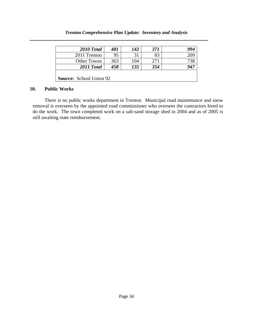#### *Trenton Comprehensive Plan Update: Inventory and Analysis*

| 2010 Total                     | 481 | 142 | 371 | 994 |  |  |
|--------------------------------|-----|-----|-----|-----|--|--|
| 2011 Trenton                   | 95  | 31  | 83  | 209 |  |  |
| <b>Other Towns</b>             | 363 | 104 | 271 | 738 |  |  |
| 2011 Total                     | 458 | 135 | 354 | 947 |  |  |
| <b>Source:</b> School Union 92 |     |     |     |     |  |  |

#### **10. Public Works**

 There is no public works department in Trenton. Municipal road maintenance and snow removal is overseen by the appointed road commissioner who oversees the contractors hired to do the work. The town completed work on a salt-sand storage shed in 2004 and as of 2005 is still awaiting state reimbursement.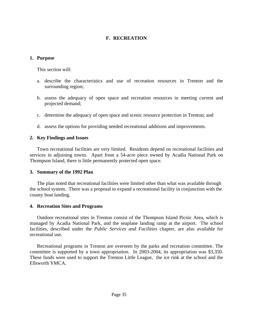## **F. RECREATION**

#### **1. Purpose**

This section will:

- a. describe the characteristics and use of recreation resources in Trenton and the surrounding region;
- b. assess the adequacy of open space and recreation resources in meeting current and projected demand;
- c. determine the adequacy of open space and scenic resource protection in Trenton; and
- d. assess the options for providing needed recreational additions and improvements.

### **2. Key Findings and Issues**

 Town recreational facilities are very limited. Residents depend on recreational facilities and services in adjoining towns. Apart from a 54-acre piece owned by Acadia National Park on Thompson Island, there is little permanently protected open space.

### **3. Summary of the 1992 Plan**

The plan noted that recreational facilities were limited other than what was available through the school system. There was a proposal to expand a recreational facility in conjunction with the county boat landing.

### **4. Recreation Sites and Programs**

 Outdoor recreational sites in Trenton consist of the Thompson Island Picnic Area, which is managed by Acadia National Park, and the seaplane landing ramp at the airport. The school facilities, described under the *Public Services and Facilities* chapter, are also available for recreational use.

 Recreational programs in Trenton are overseen by the parks and recreation committee. The committee is supported by a town appropriation. In 2003-2004, its appropriation was \$3,350. These funds were used to support the Trenton Little League, the ice rink at the school and the Ellsworth YMCA.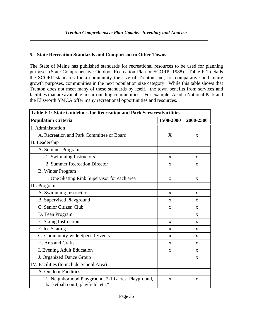### **5. State Recreation Standards and Comparison to Other Towns**

The State of Maine has published standards for recreational resources to be used for planning purposes (State Comprehensive Outdoor Recreation Plan or SCORP, 1988). Table F.1 details the SCORP standards for a community the size of Trenton and, for comparative and future growth purposes, communities in the next population size category. While this table shows that Trenton does not meet many of these standards by itself, the town benefits from services and facilities that are available in surrounding communities. For example, Acadia National Park and the Ellsworth YMCA offer many recreational opportunities and resources.

| Table F.1: State Guidelines for Recreation and Park Services/Facilities                   |              |              |  |  |  |
|-------------------------------------------------------------------------------------------|--------------|--------------|--|--|--|
| <b>Population Criteria</b>                                                                | 1500-2000    | 2000-2500    |  |  |  |
| I. Administration                                                                         |              |              |  |  |  |
| A. Recreation and Park Committee or Board                                                 | X            | X            |  |  |  |
| II. Leadership                                                                            |              |              |  |  |  |
| A. Summer Program                                                                         |              |              |  |  |  |
| 1. Swimming Instructors                                                                   | X            | X            |  |  |  |
| 2. Summer Recreation Director                                                             | X            | X            |  |  |  |
| <b>B.</b> Winter Program                                                                  |              |              |  |  |  |
| 1. One Skating Rink Supervisor for each area                                              | X            | X            |  |  |  |
| III. Program                                                                              |              |              |  |  |  |
| A. Swimming Instruction                                                                   | X            | X            |  |  |  |
| <b>B.</b> Supervised Playground                                                           | X            | X            |  |  |  |
| C. Senior Citizen Club                                                                    | X            | X            |  |  |  |
| D. Teen Program                                                                           |              | X            |  |  |  |
| E. Skiing Instruction                                                                     | X            | X            |  |  |  |
| F. Ice Skating                                                                            | X            | X            |  |  |  |
| G. Community-wide Special Events                                                          | $\mathbf{x}$ | $\mathbf{X}$ |  |  |  |
| H. Arts and Crafts                                                                        | X            | X            |  |  |  |
| I. Evening Adult Education                                                                | X            | $\mathbf{X}$ |  |  |  |
| J. Organized Dance Group                                                                  |              | X            |  |  |  |
| IV. Facilities (to include School Area)                                                   |              |              |  |  |  |
| A. Outdoor Facilities                                                                     |              |              |  |  |  |
| 1. Neighborhood Playground, 2-10 acres: Playground,<br>basketball court, playfield, etc.* | X            | $\mathbf X$  |  |  |  |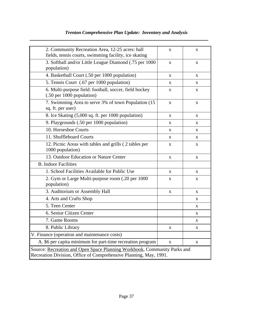# *Trenton Comprehensive Plan Update: Inventory and Analysis*

| 2. Community Recreation Area, 12-25 acres: ball<br>fields, tennis courts, swimming facility, ice skating                                      | X            | X            |  |  |  |
|-----------------------------------------------------------------------------------------------------------------------------------------------|--------------|--------------|--|--|--|
| 3. Softball and/or Little League Diamond (.75 per 1000<br>population)                                                                         | $\mathbf X$  | $\mathbf X$  |  |  |  |
| 4. Basketball Court (.50 per 1000 population)                                                                                                 | $\mathbf{x}$ | X            |  |  |  |
| 5. Tennis Court (.67 per 1000 population)                                                                                                     | $\mathbf{X}$ | $\mathbf{X}$ |  |  |  |
| 6. Multi-purpose field: football, soccer, field hockey<br>(.50 per 1000 population)                                                           | X            | X            |  |  |  |
| 7. Swimming Area to serve 3% of town Population (15<br>sq. ft. per user)                                                                      | $\mathbf X$  | $\mathbf X$  |  |  |  |
| 8. Ice Skating (5,000 sq. ft. per 1000 population)                                                                                            | X            | X            |  |  |  |
| 9. Playgrounds (.50 per 1000 population)                                                                                                      | X            | X            |  |  |  |
| 10. Horseshoe Courts                                                                                                                          | X            | X            |  |  |  |
| 11. Shuffleboard Courts                                                                                                                       | X            | X            |  |  |  |
| 12. Picnic Areas with tables and grills (2 tables per<br>1000 population)                                                                     | X            | X            |  |  |  |
| 13. Outdoor Education or Nature Center                                                                                                        | X            | X            |  |  |  |
| <b>B.</b> Indoor Facilities                                                                                                                   |              |              |  |  |  |
| 1. School Facilities Available for Public Use                                                                                                 | X            | X            |  |  |  |
| 2. Gym or Large Multi-purpose room (.20 per 1000<br>population)                                                                               | X            | X            |  |  |  |
| 3. Auditorium or Assembly Hall                                                                                                                | X            | X            |  |  |  |
| 4. Arts and Crafts Shop                                                                                                                       |              | X            |  |  |  |
| 5. Teen Center                                                                                                                                |              | X            |  |  |  |
| 6. Senior Citizen Center                                                                                                                      |              | $\mathbf{X}$ |  |  |  |
| 7. Game Rooms                                                                                                                                 |              | X            |  |  |  |
| 8. Public Library                                                                                                                             | X            | X            |  |  |  |
| V. Finance (operation and maintenance costs)                                                                                                  |              |              |  |  |  |
| A. \$6 per capita minimum for part-time recreation program<br>X<br>X                                                                          |              |              |  |  |  |
| Source: Recreation and Open Space Planning Workbook, Community Parks and<br>Recreation Division, Office of Comprehensive Planning, May, 1991. |              |              |  |  |  |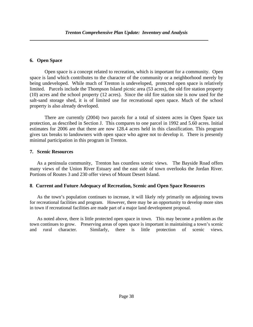### **6. Open Space**

 Open space is a concept related to recreation, which is important for a community. Open space is land which contributes to the character of the community or a neighborhood merely by being undeveloped. While much of Trenton is undeveloped, protected open space is relatively limited. Parcels include the Thompson Island picnic area (53 acres), the old fire station property (10) acres and the school property (12 acres). Since the old fire station site is now used for the salt-sand storage shed, it is of limited use for recreational open space. Much of the school property is also already developed.

 There are currently (2004) two parcels for a total of sixteen acres in Open Space tax protection, as described in Section J. This compares to one parcel in 1992 and 5.60 acres. Initial estimates for 2006 are that there are now 128.4 acres held in this classification. This program gives tax breaks to landowners with open space who agree not to develop it. There is presently minimal participation in this program in Trenton.

### **7. Scenic Resources**

 As a peninsula community, Trenton has countless scenic views. The Bayside Road offers many views of the Union River Estuary and the east side of town overlooks the Jordan River. Portions of Routes 3 and 230 offer views of Mount Desert Island.

### **8**. **Current and Future Adequacy of Recreation, Scenic and Open Space Resources**

As the town's population continues to increase, it will likely rely primarily on adjoining towns for recreational facilities and program. However, there may be an opportunity to develop more sites in town if recreational facilities are made part of a major land development proposal.

As noted above, there is little protected open space in town. This may become a problem as the town continues to grow. Preserving areas of open space is important in maintaining a town's scenic and rural character. Similarly, there is little protection of scenic views.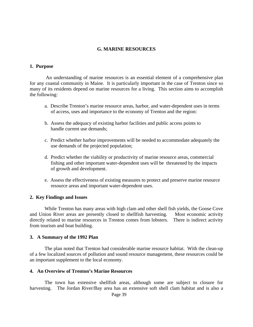#### **G. MARINE RESOURCES**

#### **1. Purpose**

 An understanding of marine resources is an essential element of a comprehensive plan for any coastal community in Maine. It is particularly important in the case of Trenton since so many of its residents depend on marine resources for a living. This section aims to accomplish the following:

- a. Describe Trenton's marine resource areas, harbor, and water-dependent uses in terms of access, uses and importance to the economy of Trenton and the region:
- b. Assess the adequacy of existing harbor facilities and public access points to handle current use demands;
- c. Predict whether harbor improvements will be needed to accommodate adequately the use demands of the projected population;
- d. Predict whether the viability or productivity of marine resource areas, commercial fishing and other important water-dependent uses will be threatened by the impacts of growth and development.
- e. Assess the effectiveness of existing measures to protect and preserve marine resource resource areas and important water-dependent uses.

#### **2. Key Findings and Issues**

While Trenton has many areas with high clam and other shell fish yields, the Goose Cove and Union River areas are presently closed to shellfish harvesting. Most economic activity directly related to marine resources in Trenton comes from lobsters. There is indirect activity from tourism and boat building.

#### **3. A Summary of the 1992 Plan**

The plan noted that Trenton had considerable marine resource habitat. With the clean-up of a few localized sources of pollution and sound resource management, these resources could be an important supplement to the local economy.

#### **4. An Overview of Trenton's Marine Resources**

The town has extensive shellfish areas, although some are subject to closure for harvesting. The Jordan River/Bay area has an extensive soft shell clam habitat and is also a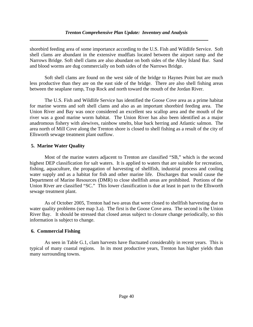shorebird feeding area of some importance according to the U.S. Fish and Wildlife Service. Soft shell clams are abundant in the extensive mudflats located between the airport ramp and the Narrows Bridge. Soft shell clams are also abundant on both sides of the Alley Island Bar. Sand and blood worms are dug commercially on both sides of the Narrows Bridge.

Soft shell clams are found on the west side of the bridge to Haynes Point but are much less productive than they are on the east side of the bridge. There are also shell fishing areas between the seaplane ramp, Trap Rock and north toward the mouth of the Jordan River.

 The U.S. Fish and Wildlife Service has identified the Goose Cove area as a prime habitat for marine worms and soft shell clams and also as an important shorebird feeding area. The Union River and Bay was once considered an excellent sea scallop area and the mouth of the river was a good marine worm habitat. The Union River has also been identified as a major anadromous fishery with alewives, rainbow smelts, blue back herring and Atlantic salmon. The area north of Mill Cove along the Trenton shore is closed to shell fishing as a result of the city of Ellsworth sewage treatment plant outflow.

## **5. Marine Water Quality**

Most of the marine waters adjacent to Trenton are classified "SB," which is the second highest DEP classification for salt waters. It is applied to waters that are suitable for recreation, fishing, aquaculture, the propagation of harvesting of shellfish, industrial process and cooling water supply and as a habitat for fish and other marine life. Discharges that would cause the Department of Marine Resources (DMR) to close shellfish areas are prohibited. Portions of the Union River are classified "SC." This lower classification is due at least in part to the Ellsworth sewage treatment plant.

 As of October 2005, Trenton had two areas that were closed to shellfish harvesting due to water quality problems (see map 3.a). The first is the Goose Cove area. The second is the Union River Bay. It should be stressed that closed areas subject to closure change periodically, so this information is subject to change.

## **6. Commercial Fishing**

As seen in Table G.1, clam harvests have fluctuated considerably in recent years. This is typical of many coastal regions. In its most productive years, Trenton has higher yields than many surrounding towns.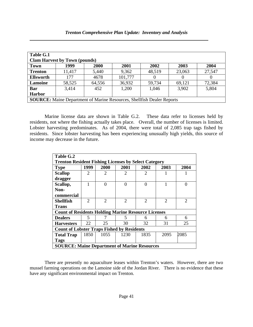| Table G.1        |                                      |        |         |                                                                               |          |        |
|------------------|--------------------------------------|--------|---------|-------------------------------------------------------------------------------|----------|--------|
|                  | <b>Clam Harvest by Town (pounds)</b> |        |         |                                                                               |          |        |
| <b>Town</b>      | 1999                                 | 2000   | 2001    | 2002                                                                          | 2003     | 2004   |
| <b>Trenton</b>   | 11,417                               | 5,440  | 9,362   | 48,519                                                                        | 23,063   | 27,547 |
| <b>Ellsworth</b> | 177                                  | 4678   | 101,777 | 0                                                                             | $\theta$ | 0      |
| Lamoine          | 58,525                               | 64,556 | 36,932  | 59,734                                                                        | 69,121   | 72,384 |
| <b>Bar</b>       | 3,414                                | 452    | 1,200   | 1,046                                                                         | 3,902    | 5,804  |
| <b>Harbor</b>    |                                      |        |         |                                                                               |          |        |
|                  |                                      |        |         | <b>SOURCE:</b> Maine Department of Marine Resources, Shellfish Dealer Reports |          |        |

Marine license data are shown in Table G.2. These data refer to licenses held by residents, not where the fishing actually takes place. Overall, the number of licenses is limited. Lobster harvesting predominates. As of 2004, there were total of 2,085 trap tags fished by residents. Since lobster harvesting has been experiencing unusually high yields, this source of income may decrease in the future.

| Table G.2                                                  |                                                             |                             |                             |                |                             |                             |  |  |
|------------------------------------------------------------|-------------------------------------------------------------|-----------------------------|-----------------------------|----------------|-----------------------------|-----------------------------|--|--|
|                                                            | <b>Trenton Resident Fishing Licenses by Select Category</b> |                             |                             |                |                             |                             |  |  |
| <b>Type</b>                                                | 1999                                                        | <b>2000</b>                 | 2001                        | 2002           | 2003                        | 2004                        |  |  |
| <b>Scallop</b>                                             | 2                                                           | 2                           | 2                           | 2              |                             |                             |  |  |
| dragger                                                    |                                                             |                             |                             |                |                             |                             |  |  |
| Scallop,                                                   |                                                             | 0                           | 0                           | $\Omega$       |                             | $\Omega$                    |  |  |
| Non-                                                       |                                                             |                             |                             |                |                             |                             |  |  |
| commercial                                                 |                                                             |                             |                             |                |                             |                             |  |  |
| Shellfish                                                  | $\mathcal{D}_{\mathcal{L}}$                                 | $\mathcal{D}_{\mathcal{A}}$ | $\mathcal{D}_{\mathcal{L}}$ | $\mathfrak{D}$ | $\mathcal{D}_{\mathcal{A}}$ | $\mathcal{D}_{\mathcal{L}}$ |  |  |
| Trans                                                      |                                                             |                             |                             |                |                             |                             |  |  |
| <b>Count of Residents Holding Marine Resource Licenses</b> |                                                             |                             |                             |                |                             |                             |  |  |
| <b>Dealers</b>                                             | 5                                                           |                             | 5                           | 6              | 6                           | 6                           |  |  |
| <b>Harvesters</b>                                          | 22                                                          | 25                          | 30                          | 32             | 31                          | 25                          |  |  |
| <b>Count of Lobster Traps Fished by Residents</b>          |                                                             |                             |                             |                |                             |                             |  |  |
| <b>Total Trap</b>                                          | 1850                                                        | 1055                        | 1230                        | 1835           | 2095                        | 2085                        |  |  |
| Tags                                                       |                                                             |                             |                             |                |                             |                             |  |  |
| <b>SOURCE: Maine Department of Marine Resources</b>        |                                                             |                             |                             |                |                             |                             |  |  |

 There are presently no aquaculture leases within Trenton's waters. However, there are two mussel farming operations on the Lamoine side of the Jordan River. There is no evidence that these have any significant environmental impact on Trenton.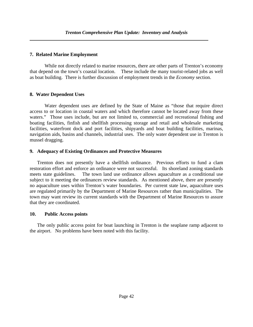#### **7. Related Marine Employment**

 While not directly related to marine resources, there are other parts of Trenton's economy that depend on the town's coastal location. These include the many tourist-related jobs as well as boat building. There is further discussion of employment trends in the *Economy* section.

### **8. Water Dependent Uses**

Water dependent uses are defined by the State of Maine as "those that require direct access to or location in coastal waters and which therefore cannot be located away from these waters." Those uses include, but are not limited to, commercial and recreational fishing and boating facilities, finfish and shellfish processing storage and retail and wholesale marketing facilities, waterfront dock and port facilities, shipyards and boat building facilities, marinas, navigation aids, basins and channels, industrial uses. The only water dependent use in Trenton is mussel dragging.

#### **9. Adequacy of Existing Ordinances and Protective Measures**

Trenton does not presently have a shellfish ordinance. Previous efforts to fund a clam restoration effort and enforce an ordinance were not successful. Its shoreland zoning standards meets state guidelines. The town land use ordinance allows aquaculture as a conditional use subject to it meeting the ordinances review standards. As mentioned above, there are presently no aquaculture uses within Trenton's water boundaries. Per current state law, aquaculture uses are regulated primarily by the Department of Marine Resources rather than municipalities. The town may want review its current standards with the Department of Marine Resources to assure that they are coordinated.

### **10. Public Access points**

The only public access point for boat launching in Trenton is the seaplane ramp adjacent to the airport. No problems have been noted with this facility.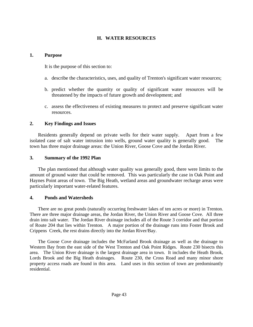## **H. WATER RESOURCES**

#### **1. Purpose**

It is the purpose of this section to:

- a. describe the characteristics, uses, and quality of Trenton's significant water resources;
- b. predict whether the quantity or quality of significant water resources will be threatened by the impacts of future growth and development; and
- c. assess the effectiveness of existing measures to protect and preserve significant water resources.

## **2. Key Findings and Issues**

 Residents generally depend on private wells for their water supply. Apart from a few isolated case of salt water intrusion into wells, ground water quality is generally good. The town has three major drainage areas: the Union River, Goose Cove and the Jordan River.

## **3. Summary of the 1992 Plan**

 The plan mentioned that although water quality was generally good, there were limits to the amount of ground water that could be removed. This was particularly the case in Oak Point and Haynes Point areas of town. The Big Heath, wetland areas and groundwater recharge areas were particularly important water-related features.

### **4. Ponds and Watersheds**

 There are no great ponds (naturally occurring freshwater lakes of ten acres or more) in Trenton. There are three major drainage areas, the Jordan River, the Union River and Goose Cove. All three drain into salt water. The Jordan River drainage includes all of the Route 3 corridor and that portion of Route 204 that lies within Trenton. A major portion of the drainage runs into Foster Brook and Crippens Creek, the rest drains directly into the Jordan River/Bay.

 The Goose Cove drainage includes the McFarland Brook drainage as well as the drainage to Western Bay from the east side of the West Trenton and Oak Point Ridges. Route 230 bisects this area. The Union River drainage is the largest drainage area in town. It includes the Heath Brook, Lords Brook and the Big Heath drainages. Route 230, the Cross Road and many minor shore property access roads are found in this area. Land uses in this section of town are predominantly residential.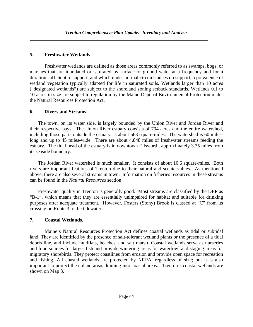## **5. Freshwater Wetlands**

Freshwater wetlands are defined as those areas commonly referred to as swamps, bogs, or marshes that are inundated or saturated by surface or ground water at a frequency and for a duration sufficient to support, and which under normal circumstances do support, a prevalence of wetland vegetation typically adapted for life in saturated soils. Wetlands larger than 10 acres ("designated wetlands") are subject to the shoreland zoning setback standards. Wetlands 0.1 to 10 acres in size are subject to regulation by the Maine Dept. of Environmental Protection under the Natural Resources Protection Act.

### **6. Rivers and Streams**

 The town, on its water side, is largely bounded by the Union River and Jordan River and their respective bays. The Union River estuary consists of 794 acres and the entire watershed, including those parts outside the estuary, is about 563 square-miles. The watershed is 60 mileslong and up to 45 miles-wide. There are about 4,848 miles of freshwater streams feeding the estuary. The tidal head of the estuary is in downtown Ellsworth, approximately 3.75 miles from its seaside boundary.

 The Jordan River watershed is much smaller. It consists of about 10.6 square-miles. Both rivers are important features of Trenton due to their natural and scenic values. As mentioned above, there are also several streams in town. Information on fisheries resources in these streams can be found in the *Natural Resources* section.

 Freshwater quality in Trenton is generally good. Most streams are classified by the DEP as "B-1", which means that they are essentially unimpaired for habitat and suitable for drinking purposes after adequate treatment. However, Fosters (Stony) Brook is classed at "C" from its crossing on Route 3 to the tidewater.

## **7. Coastal Wetlands.**

Maine's Natural Resources Protection Act defines coastal wetlands as tidal or subtidal land. They are identified by the presence of salt-tolerant wetland plants or the presence of a tidal debris line, and include mudflats, beaches, and salt marsh. Coastal wetlands serve as nurseries and food sources for larger fish and provide wintering areas for waterfowl and staging areas for migratory shorebirds. They protect coastlines from erosion and provide open space for recreation and fishing. All coastal wetlands are protected by NRPA, regardless of size; but it is also important to protect the upland areas draining into coastal areas. Trenton's coastal wetlands are shown on Map 3.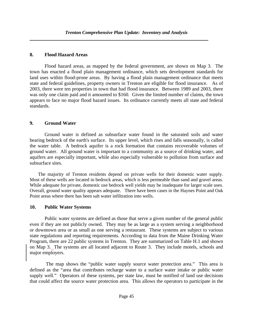## **8. Flood Hazard Areas**

Flood hazard areas, as mapped by the federal government, are shown on Map 3. The town has enacted a flood plain management ordinance, which sets development standards for land uses within flood-prone areas. By having a flood plain management ordinance that meets state and federal guidelines, property owners in Trenton are eligible for flood insurance. As of 2003, there were ten properties in town that had flood insurance. Between 1989 and 2003, there was only one claim paid and it amounted to \$160. Given the limited number of claims, the town appears to face no major flood hazard issues. Its ordinance currently meets all state and federal standards.

## **9. Ground Water**

Ground water is defined as subsurface water found in the saturated soils and water bearing bedrock of the earth's surface. Its upper level, which rises and falls seasonally, is called the water table. A bedrock aquifer is a rock formation that contains recoverable volumes of ground water. All ground water is important to a community as a source of drinking water, and aquifers are especially important, while also especially vulnerable to pollution from surface and subsurface sites.

 The majority of Trenton residents depend on private wells for their domestic water supply. Most of these wells are located in bedrock areas, which is less permeable than sand and gravel areas. While adequate for private, domestic use bedrock well yields may be inadequate for larger scale uses. Overall, ground water quality appears adequate. There have been cases in the Haynes Point and Oak Point areas where there has been salt water infiltration into wells.

## **10. Public Water Systems**

Public water systems are defined as those that serve a given number of the general public even if they are not publicly owned. They may be as large as a system serving a neighborhood or downtown area or as small as one serving a restaurant. These systems are subject to various state regulations and reporting requirements. According to data from the Maine Drinking Water Program, there are 22 public systems in Trenton. They are summarized on Table H.1 and shown on Map 3. The systems are all located adjacent to Route 3. They include motels, schools and major employers.

 The map shows the "public water supply source water protection area." This area is defined as the "area that contributes recharge water to a surface water intake or public water supply well." Operators of these systems, per state law, must be notified of land use decisions that could affect the source water protection area. This allows the operators to participate in the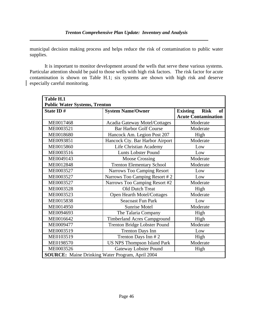municipal decision making process and helps reduce the risk of contamination to public water supplies.

It is important to monitor development around the wells that serve these various systems. Particular attention should be paid to those wells with high risk factors. The risk factor for acute contamination is shown on Table H.1; six systems are shown with high risk and deserve especially careful monitoring.

| Table H.1                                               |                                      |                                             |  |  |
|---------------------------------------------------------|--------------------------------------|---------------------------------------------|--|--|
| <b>Public Water Systems, Trenton</b>                    |                                      |                                             |  |  |
| State ID#                                               | <b>System Name/Owner</b>             | <b>of</b><br><b>Existing</b><br><b>Risk</b> |  |  |
|                                                         |                                      | <b>Acute Contamination</b>                  |  |  |
| ME0017468                                               | <b>Acadia Gateway Motel/Cottages</b> | Moderate                                    |  |  |
| ME0003521                                               | <b>Bar Harbor Golf Course</b>        | Moderate                                    |  |  |
| ME0018680                                               | Hancock Am. Legion Post 207          | High                                        |  |  |
| ME0093851                                               | Hancock Cty. Bar Harbor Airport      | Moderate                                    |  |  |
| ME0015860                                               | Life Christian Academy               | Low                                         |  |  |
| ME0003516                                               | <b>Lunts Lobster Pound</b>           | Low                                         |  |  |
| ME0049143                                               | Moose Crossing                       | Moderate                                    |  |  |
| ME0012848                                               | <b>Trenton Elementary School</b>     | Moderate                                    |  |  |
| ME0003527                                               | <b>Narrows Too Camping Resort</b>    | Low                                         |  |  |
| ME0003527                                               | Narrows Too Camping Resort #2        | Low                                         |  |  |
| ME0003527                                               | Narrows Too Camping Resort #2        | Moderate                                    |  |  |
| ME0003528                                               | <b>Old Dutch Treat</b>               | High                                        |  |  |
| ME0003523                                               | Open Hearth Motel/Cottages           | Moderate                                    |  |  |
| ME0015838                                               | <b>Seacoast Fun Park</b>             | Low                                         |  |  |
| ME0014950                                               | <b>Sunrise Motel</b>                 | Moderate                                    |  |  |
| ME0094693                                               | The Talaria Company                  | High                                        |  |  |
| ME0016642                                               | <b>Timberland Acres Campground</b>   | High                                        |  |  |
| ME0009477                                               | Trenton Bridge Lobster Pound         | Moderate                                    |  |  |
| ME0003519                                               | <b>Trenton Days Inn</b>              | Low                                         |  |  |
| ME0103519                                               | Trenton Days Inn #2                  | High                                        |  |  |
| ME0198570                                               | <b>US NPS Thompson Island Park</b>   | Moderate                                    |  |  |
| ME0003526                                               | <b>Gateway Lobster Pound</b>         | High                                        |  |  |
| <b>SOURCE:</b> Maine Drinking Water Program, April 2004 |                                      |                                             |  |  |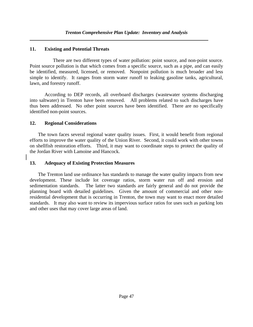## **11. Existing and Potential Threats**

 There are two different types of water pollution: point source, and non-point source. Point source pollution is that which comes from a specific source, such as a pipe, and can easily be identified, measured, licensed, or removed. Nonpoint pollution is much broader and less simple to identify. It ranges from storm water runoff to leaking gasoline tanks, agricultural, lawn, and forestry runoff.

According to DEP records, all overboard discharges (wastewater systems discharging into saltwater) in Trenton have been removed. All problems related to such discharges have thus been addressed. No other point sources have been identified. There are no specifically identified non-point sources.

### **12. Regional Considerations**

 The town faces several regional water quality issues. First, it would benefit from regional efforts to improve the water quality of the Union River. Second, it could work with other towns on shellfish restoration efforts. Third, it may want to coordinate steps to protect the quality of the Jordan River with Lamoine and Hancock.

## **13. Adequacy of Existing Protection Measures**

 The Trenton land use ordinance has standards to manage the water quality impacts from new development. These include lot coverage ratios, storm water run off and erosion and sedimentation standards. The latter two standards are fairly general and do not provide the planning board with detailed guidelines. Given the amount of commercial and other nonresidential development that is occurring in Trenton, the town may want to enact more detailed standards. It may also want to review its impervious surface ratios for uses such as parking lots and other uses that may cover large areas of land.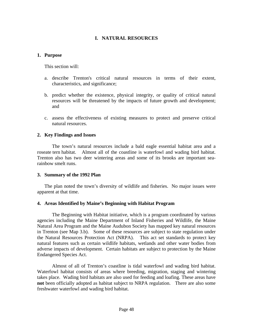## **I. NATURAL RESOURCES**

#### **1. Purpose**

This section will:

- a. describe Trenton's critical natural resources in terms of their extent, characteristics, and significance;
- b. predict whether the existence, physical integrity, or quality of critical natural resources will be threatened by the impacts of future growth and development; and
- c. assess the effectiveness of existing measures to protect and preserve critical natural resources.

### **2. Key Findings and Issues**

 The town's natural resources include a bald eagle essential habitat area and a roseate tern habitat. Almost all of the coastline is waterfowl and wading bird habitat. Trenton also has two deer wintering areas and some of its brooks are important searainbow smelt runs.

### **3. Summary of the 1992 Plan**

 The plan noted the town's diversity of wildlife and fisheries. No major issues were apparent at that time.

### **4. Areas Identified by Maine's Beginning with Habitat Program**

 The Beginning with Habitat initiative, which is a program coordinated by various agencies including the Maine Department of Inland Fisheries and Wildlife, the Maine Natural Area Program and the Maine Audubon Society has mapped key natural resources in Trenton (see Map 3.b). Some of these resources are subject to state regulation under the Natural Resources Protection Act (NRPA). This act set standards to protect key natural features such as certain wildlife habitats, wetlands and other water bodies from adverse impacts of development. Certain habitats are subject to protection by the Maine Endangered Species Act.

 Almost of all of Trenton's coastline is tidal waterfowl and wading bird habitat. Waterfowl habitat consists of areas where breeding, migration, staging and wintering takes place. Wading bird habitats are also used for feeding and loafing. These areas have **not** been officially adopted as habitat subject to NRPA regulation. There are also some freshwater waterfowl and wading bird habitat.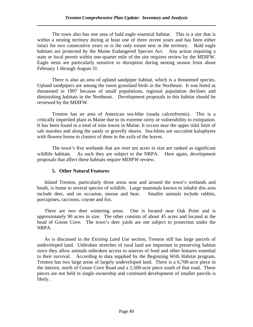The town also has one area of bald eagle essential habitat. This is a site that is within a nesting territory during at least one of three recent years and has been either intact for two consecutive years or is the only extant nest in the territory. Bald eagle habitats are protected by the Maine Endangered Species Act. Any action requiring a state or local permit within one-quarter mile of the site requires review by the MDIFW. Eagle nests are particularly sensitive to disruption during nesting season from about February 1 through August 31.

 There is also an area of upland sandpiper habitat, which is a threatened species. Upland sandpipers are among the rarest grassland birds in the Northeast. It was listed as threatened in 1997 because of small populations, regional population declines and diminishing habitats in the Northeast. Development proposals in this habitat should be reviewed by the MDIFW.

 Trenton has an area of American sea-blite (suada calceoformis). This is a critically imperiled plant in Maine due to its extreme rarity or vulnerability to extirpation. It has been found in a total of nine towns in Maine. It occurs near the upper tidal limit of salt marshes and along the sandy or gravelly shores. Sea-blites are succulent kalophytes with flowers borne in clusters of three in the axils of the leaves.

 The town's five wetlands that are over ten acres in size are ranked as significant wildlife habitats. As such they are subject to the NRPA. Here again, development proposals that affect these habitats require MDIFW review.

#### **5. Other Natural Features**

 Inland Trenton, particularly those areas near and around the town's wetlands and heath, is home to several species of wildlife. Large mammals known to inhabit this area include deer, and on occasion, moose and bear. Smaller animals include rabbits, porcupines, raccoons, coyote and fox.

 There are two deer wintering areas. One is located near Oak Point and is approximately 90 acres in size. The other consists of about 45 acres and located at the head of Goose Cove. The town's deer yards are not subject to protection under the NRPA.

 As is discussed in the *Existing Land Use* section, Trenton still has large parcels of undeveloped land. Unbroken stretches of rural land are important in preserving habitat since they allow animals unbroken access to sources of food and other features essential to their survival. According to data supplied by the Beginning With Habitat program, Trenton has two large areas of largely undeveloped land. There is a 6,700-acre piece in the interior, north of Goose Cove Road and a 1,500-acre piece south of that road. These pieces are not held in single ownership and continued development of smaller parcels is likely.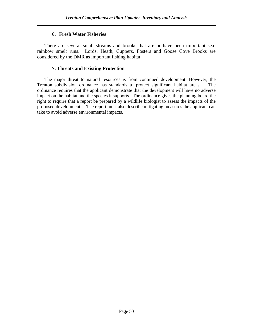#### **6. Fresh Water Fisheries**

 There are several small streams and brooks that are or have been important searainbow smelt runs. Lords, Heath, Cuppers, Fosters and Goose Cove Brooks are considered by the DMR as important fishing habitat.

#### **7. Threats and Existing Protection**

 The major threat to natural resources is from continued development. However, the Trenton subdivision ordinance has standards to protect significant habitat areas. The ordinance requires that the applicant demonstrate that the development will have no adverse impact on the habitat and the species it supports. The ordinance gives the planning board the right to require that a report be prepared by a wildlife biologist to assess the impacts of the proposed development. The report must also describe mitigating measures the applicant can take to avoid adverse environmental impacts.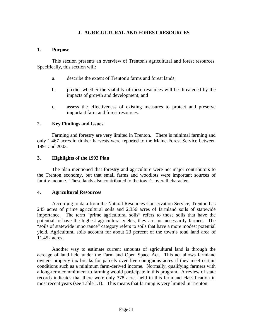### **J. AGRICULTURAL AND FOREST RESOURCES**

#### **1. Purpose**

 This section presents an overview of Trenton's agricultural and forest resources. Specifically, this section will:

- a. describe the extent of Trenton's farms and forest lands;
- b. predict whether the viability of these resources will be threatened by the impacts of growth and development; and
- c. assess the effectiveness of existing measures to protect and preserve important farm and forest resources.

#### **2. Key Findings and Issues**

Farming and forestry are very limited in Trenton. There is minimal farming and only 1,467 acres in timber harvests were reported to the Maine Forest Service between 1991 and 2003.

#### **3. Highlights of the 1992 Plan**

 The plan mentioned that forestry and agriculture were not major contributors to the Trenton economy, but that small farms and woodlots were important sources of family income. These lands also contributed to the town's overall character.

#### **4. Agricultural Resources**

According to data from the Natural Resources Conservation Service, Trenton has 245 acres of prime agricultural soils and 2,356 acres of farmland soils of statewide importance. The term "prime agricultural soils" refers to those soils that have the potential to have the highest agricultural yields, they are not necessarily farmed. The "soils of statewide importance" category refers to soils that have a more modest potential yield. Agricultural soils account for about 23 percent of the town's total land area of 11,452 acres.

 Another way to estimate current amounts of agricultural land is through the acreage of land held under the Farm and Open Space Act. This act allows farmland owners property tax breaks for parcels over five contiguous acres if they meet certain conditions such as a minimum farm-derived income. Normally, qualifying farmers with a long-term commitment to farming would participate in this program. A review of state records indicates that there were only 378 acres held in this farmland classification in most recent years (see Table J.1). This means that farming is very limited in Trenton.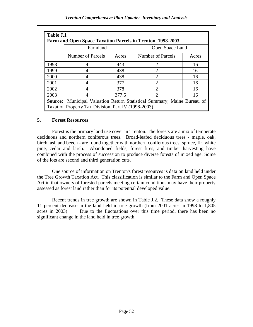| Table J.1                                                         |                                                                                |                   |                             |    |  |  |  |  |
|-------------------------------------------------------------------|--------------------------------------------------------------------------------|-------------------|-----------------------------|----|--|--|--|--|
| <b>Farm and Open Space Taxation Parcels in Trenton, 1998-2003</b> |                                                                                |                   |                             |    |  |  |  |  |
|                                                                   | Farmland                                                                       |                   | Open Space Land             |    |  |  |  |  |
|                                                                   | Number of Parcels                                                              | Number of Parcels | Acres                       |    |  |  |  |  |
| 1998                                                              |                                                                                | 443               | 2                           | 16 |  |  |  |  |
| 1999                                                              |                                                                                | 438               | 2                           | 16 |  |  |  |  |
| 2000                                                              |                                                                                | 438               | 2                           | 16 |  |  |  |  |
| 2001                                                              |                                                                                | 377               | $\mathcal{D}_{\mathcal{A}}$ | 16 |  |  |  |  |
| 2002                                                              |                                                                                | 378               | $\mathcal{D}_{\mathcal{L}}$ | 16 |  |  |  |  |
| 2003                                                              |                                                                                | 377.5             | റ                           | 16 |  |  |  |  |
|                                                                   | <b>Source:</b> Municipal Valuation Return Statistical Summary, Maine Bureau of |                   |                             |    |  |  |  |  |
|                                                                   | Taxation Property Tax Division, Part IV (1998-2003)                            |                   |                             |    |  |  |  |  |

#### **5. Forest Resources**

 Forest is the primary land use cover in Trenton. The forests are a mix of temperate deciduous and northern coniferous trees. Broad-leafed deciduous trees - maple, oak, birch, ash and beech - are found together with northern coniferous trees, spruce, fir, white pine, cedar and larch. Abandoned fields, forest fires, and timber harvesting have combined with the process of succession to produce diverse forests of mixed age. Some of the lots are second and third generation cuts.

 One source of information on Trenton's forest resources is data on land held under the Tree Growth Taxation Act. This classification is similar to the Farm and Open Space Act in that owners of forested parcels meeting certain conditions may have their property assessed as forest land rather than for its potential developed value.

Recent trends in tree growth are shown in Table J.2. These data show a roughly 11 percent decrease in the land held in tree growth (from 2001 acres in 1998 to 1,805 acres in 2003). Due to the fluctuations over this time period, there has been no significant change in the land held in tree growth.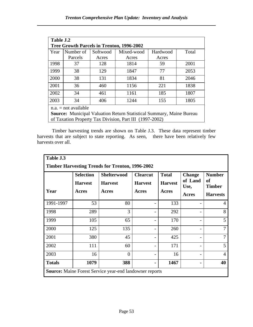| Table J.2                                                                   |           |          |            |          |       |
|-----------------------------------------------------------------------------|-----------|----------|------------|----------|-------|
| <b>Tree Growth Parcels in Trenton, 1996-2002</b>                            |           |          |            |          |       |
| Year                                                                        | Number of | Softwood | Mixed-wood | Hardwood | Total |
|                                                                             | Parcels   | Acres    | Acres      | Acres    |       |
| 1998                                                                        | 37        | 128      | 1814       | 59       | 2001  |
| 1999                                                                        | 38        | 129      | 1847       | 77       | 2053  |
| 2000                                                                        | 38        | 131      | 1834       | 81       | 2046  |
| 2001                                                                        | 36        | 460      | 1156       | 221      | 1838  |
| 2002                                                                        | 34        | 461      | 1161       | 185      | 1807  |
| 2003                                                                        | 34        | 406      | 1244       | 155      | 1805  |
| $n.a. = not available$                                                      |           |          |            |          |       |
| <b>Source:</b> Municipal Valuation Return Statistical Summary, Maine Bureau |           |          |            |          |       |
| of Taxation Property Tax Division, Part III (1997-2002)                     |           |          |            |          |       |

Timber harvesting trends are shown on Table J.3. These data represent timber harvests that are subject to state reporting. As seen, there have been relatively few harvests over all.

| Table J.3                                                      |                  |                    |                 |                |                 |                            |
|----------------------------------------------------------------|------------------|--------------------|-----------------|----------------|-----------------|----------------------------|
| <b>Timber Harvesting Trends for Trenton, 1996-2002</b>         |                  |                    |                 |                |                 |                            |
|                                                                | <b>Selection</b> | <b>Shelterwood</b> | <b>Clearcut</b> | <b>Total</b>   | <b>Change</b>   | <b>Number</b>              |
|                                                                | <b>Harvest</b>   | <b>Harvest</b>     | <b>Harvest</b>  | <b>Harvest</b> | of Land<br>Use, | <b>of</b><br><b>Timber</b> |
| Year                                                           | Acres            | Acres              | Acres           | Acres          | <b>Acres</b>    | <b>Harvests</b>            |
| 1991-1997                                                      | 53               | 80                 |                 | 133            |                 | 4                          |
| 1998                                                           | 289              | 3                  |                 | 292            |                 | 8                          |
| 1999                                                           | 105              | 65                 |                 | 170            |                 | 5                          |
| 2000                                                           | 125              | 135                |                 | 260            |                 | 7                          |
| 2001                                                           | 380              | 45                 |                 | 425            |                 | $\overline{7}$             |
| 2002                                                           | 111              | 60                 |                 | 171            |                 | 5 <sup>1</sup>             |
| 2003                                                           | 16               | $\theta$           |                 | 16             |                 | 4                          |
| <b>Totals</b>                                                  | 1079             | 388                |                 | 1467           |                 | 40                         |
| <b>Source:</b> Maine Forest Service year-end landowner reports |                  |                    |                 |                |                 |                            |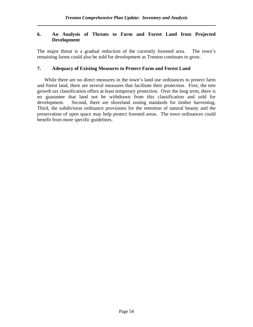#### **6. An Analysis of Threats to Farm and Forest Land from Projected Development**

The major threat is a gradual reduction of the currently forested area. The town's remaining farms could also be sold for development as Trenton continues to grow.

#### **7. Adequacy of Existing Measures to Protect Farm and Forest Land**

While there are no direct measures in the town's land use ordinances to protect farm and forest land, there are several measures that facilitate their protection. First, the tree growth tax classification offers at least temporary protection. Over the long term, there is no guarantee that land not be withdrawn from this classification and sold for development. Second, there are shoreland zoning standards for timber harvesting. Third, the subdivision ordinance provisions for the retention of natural beauty and the preservation of open space may help protect forested areas. The town ordinances could benefit from more specific guidelines.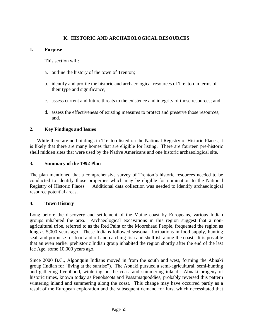## **K. HISTORIC AND ARCHAEOLOGICAL RESOURCES**

#### **1. Purpose**

This section will:

- a. outline the history of the town of Trenton;
- b. identify and profile the historic and archaeological resources of Trenton in terms of their type and significance;
- c. assess current and future threats to the existence and integrity of those resources; and
- d. assess the effectiveness of existing measures to protect and preserve those resources; and.

#### **2. Key Findings and Issues**

While there are no buildings in Trenton listed on the National Registry of Historic Places, it is likely that there are many homes that are eligible for listing. There are fourteen pre-historic shell midden sites that were used by the Native Americans and one historic archaeological site.

#### **3. Summary of the 1992 Plan**

The plan mentioned that a comprehensive survey of Trenton's historic resources needed to be conducted to identify those properties which may be eligible for nomination to the National Registry of Historic Places. Additional data collection was needed to identify archaeological resource potential areas.

### **4. Town History**

Long before the discovery and settlement of the Maine coast by Europeans, various Indian groups inhabited the area. Archaeological excavations in this region suggest that a nonagricultural tribe, referred to as the Red Paint or the Moorehead People, frequented the region as long as 5,000 years ago. These Indians followed seasonal fluctuations in food supply, hunting seal, and porpoise for food and oil and catching fish and shellfish along the coast. It is possible that an even earlier prehistoric Indian group inhabited the region shortly after the end of the last Ice Age, some 10,000 years ago.

Since 2000 B.C., Algonquin Indians moved in from the south and west, forming the Abnaki group (Indian for "living at the sunrise"). The Abnaki pursued a semi-agricultural, semi-hunting and gathering livelihood, wintering on the coast and summering inland. Abnaki progeny of historic times, known today as Penobscots and Passamaquoddies, probably reversed this pattern wintering inland and summering along the coast. This change may have occurred partly as a result of the European exploration and the subsequent demand for furs, which necessitated that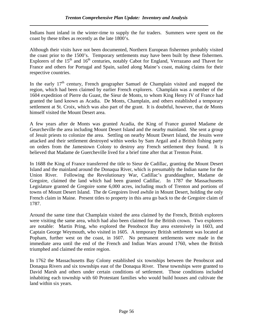Indians hunt inland in the winter-time to supply the fur traders. Summers were spent on the coast by these tribes as recently as the late 1800's.

Although their visits have not been documented, Northern European fishermen probably visited the coast prior to the 1500's. Temporary settlements may have been built by these fishermen. Explorers of the 15<sup>th</sup> and 16<sup>th</sup> centuries, notably Cabot for England, Verrazano and Thavet for France and others for Portugal and Spain, sailed along Maine's coast, making claims for their respective countries.

In the early  $17<sup>th</sup>$  century, French geographer Samuel de Champlain visited and mapped the region, which had been claimed by earlier French explorers. Champlain was a member of the 1604 expedition of Pierre du Guast, the Sieur de Monts, to whom King Henry IV of France had granted the land known as Acadia. De Monts, Champlain, and others established a temporary settlement at St. Croix, which was also part of the grant. It is doubtful, however, that de Monts himself visited the Mount Desert area.

A few years after de Monts was granted Acadia, the King of France granted Madame de Geurcheville the area including Mount Desert Island and the nearby mainland. She sent a group of Jesuit priests to colonize the area. Settling on nearby Mount Desert Island, the Jesuits were attacked and their settlement destroyed within weeks by Sam Argail and a British fishing party on orders from the Jamestown Colony to destroy any French settlement they found. It is believed that Madame de Guercheville lived for a brief time after that at Trenton Point.

In 1688 the King of France transferred the title to Sieur de Cadillac, granting the Mount Desert Island and the mainland around the Donaqua River, which is presumably the Indian name for the Union River. Following the Revolutionary War, Cadillac's granddaughter, Madame de Gregoire, claimed the land which had been granted Cadillac. In 1787 the Massachusetts Legislature granted de Gregoire some 6,000 acres, including much of Trenton and portions of towns of Mount Desert Island. The de Gregoires lived awhile in Mount Desert, holding the only French claim in Maine. Present titles to property in this area go back to the de Gregoire claim of 1787.

Around the same time that Champlain visited the area claimed by the French, British explorers were visiting the same area, which had also been claimed for the British crown. Two explorers are notable: Martin Pring, who explored the Penobscot Bay area extensively in 1603, and Captain George Weymouth, who visited in 1605. A temporary British settlement was located at Popham, further west on the coast, in 1607. No permanent settlements were made in the immediate area until the end of the French and Indian Wars around 1760, when the British triumphed and claimed the entire region.

In 1762 the Massachusetts Bay Colony established six townships between the Penobscot and Donaqua Rivers and six townships east of the Donaqua River. These townships were granted to David Marsh and others under certain conditions of settlement. Those conditions included inhabiting each township with 60 Protestant families who would build houses and cultivate the land within six years.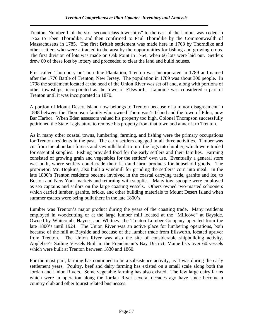Trenton, Number 1 of the six "second-class townships" to the east of the Union, was ceded in 1762 to Eben Thorndike, and then confirmed to Paul Thorndike by the Commonwealth of Massachusetts in 1785. The first British settlement was made here in 1763 by Thorndike and other settlers who were attracted to the area by the opportunities for fishing and growing crops. The first division of lots was made on Oak Point in 1764, when 66 lots were laid out. Settlers drew 60 of these lots by lottery and proceeded to clear the land and build houses.

First called Thornbury or Thorndike Plantation, Trenton was incorporated in 1789 and named after the 1776 Battle of Trenton, New Jersey. The population in 1789 was about 300 people. In 1798 the settlement located at the head of the Union River was set off and, along with portions of other townships, incorporated as the town of Ellsworth. Lamoine was considered a part of Trenton until it was incorporated in 1870.

A portion of Mount Desert Island now belongs to Trenton because of a minor disagreement in 1848 between the Thompson family who owned Thompson's Island and the town of Eden, now Bar Harbor. When Eden assessors valued his property too high, Colonel Thompson successfully petitioned the State Legislature to remove his property from that town and annex it to Trenton.

As in many other coastal towns, lumbering, farming, and fishing were the primary occupations for Trenton residents in the past. The early settlers engaged in all three activities. Timber was cut from the abundant forests and sawmills built to turn the logs into lumber, which were traded for essential supplies. Fishing provided food for the early settlers and their families. Farming consisted of growing grain and vegetables for the settlers' own use. Eventually a general store was built, where settlers could trade their fish and farm products for household goods. The proprietor, Mr. Hopkins, also built a windmill for grinding the settlers' corn into meal. In the late 1800's Trenton residents became involved in the coastal carrying trade, granite and ice, to Boston and New York markets and returning with supplies. Many townspeople were employed as sea captains and sailors on the large coasting vessels. Others owned two-masted schooners which carried lumber, granite, bricks, and other building materials to Mount Desert Island when summer estates were being built there in the late 1800's.

Lumber was Trenton's major product during the years of the coasting trade. Many residents employed in woodcutting or at the large lumber mill located at the "Millcove" at Bayside. Owned by Whitcomb, Haynes and Whitney, the Trenton Lumber Company operated from the late 1800's until 1924. The Union River was an active place for lumbering operations, both because of the mill at Bayside and because of the lumber trade from Ellsworth, located upriver from Trenton. The Union River was also the site of considerable shipbuilding activity. Applebee's Sailing Vessels Built in the Frenchman's Bay District, Maine lists over 60 vessels which were built at Trenton between 1830 and 1860.

For the most part, farming has continued to be a subsistence activity, as it was during the early settlement years. Poultry, beef and dairy farming has existed on a small scale along both the Jordan and Union Rivers. Some vegetable farming has also existed. The few large dairy farms which were in operation along the Jordan River several decades ago have since become a country club and other tourist related businesses.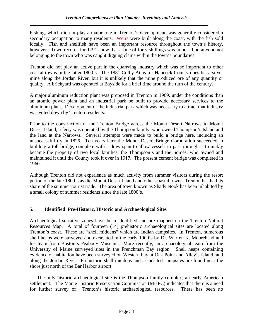Fishing, which did not play a major role in Trenton's development, was generally considered a secondary occupation to many residents. Weirs were built along the coast, with the fish sold locally. Fish and shellfish have been an important resource throughout the town's history, however. Town records for 1791 show that a fine of forty shillings was imposed on anyone not belonging to the town who was caught digging clams within the town's boundaries.

Trenton did not play an active part in the quarrying industry which was so important to other coastal towns in the latter 1800's. The 1881 Colby Atlas for Hancock County does list a silver mine along the Jordan River, but it is unlikely that the mine produced ore of any quantity or quality. A brickyard was operated at Bayside for a brief time around the turn of the century.

A major aluminum reduction plant was proposed in Trenton in 1969, under the conditions than an atomic power plant and an industrial park be built to provide necessary services to the aluminum plant. Development of the industrial park which was necessary to attract that industry was voted down by Trenton residents.

Prior to the construction of the Trenton Bridge across the Mount Desert Narrows to Mount Desert Island, a ferry was operated by the Thompson family, who owned Thompson's Island and the land at the Narrows. Several attempts were made to build a bridge here, including an unsuccessful try in 1826. Ten years later the Mount Desert Bridge Corporation succeeded in building a toll bridge, complete with a draw span to allow vessels to pass through. It quickly became the property of two local families, the Thompson's and the Somes, who owned and maintained it until the County took it over in 1917. The present cement bridge was completed in 1960.

Although Trenton did not experience as much activity from summer visitors during the resort period of the late 1800's as did Mount Desert Island and other coastal towns, Trenton has had its share of the summer tourist trade. The area of town known as Shady Nook has been inhabited by a small colony of summer residents since the late 1800's.

## **5. Identified Pre-Historic, Historic and Archaeological Sites**

Archaeological sensitive zones have been identified and are mapped on the Trenton Natural Resources Map. A total of fourteen (14) prehistoric archaeological sites are located along Trenton's coast. These are "shell middens" which are Indian campsites. In Trenton, numerous shell heaps were surveyed and excavated in the early 1900's by Dr. Warren K. Moorehead and his team from Boston's Peabody Museum. More recently, an archaeological team from the University of Maine surveyed sites in the Frenchman Bay region. Shell heaps containing evidence of habitation have been surveyed on Western bay at Oak Point and Alley's Island, and along the Jordan River. Prehistoric shell middens and associated campsites are found near the shore just north of the Bar Harbor airport.

 The only historic archaeological site is the Thompson family complex, an early American settlement. The Maine Historic Preservation Commission (MHPC) indicates that there is a need for further survey of Trenton's historic archaeological resources. There has been no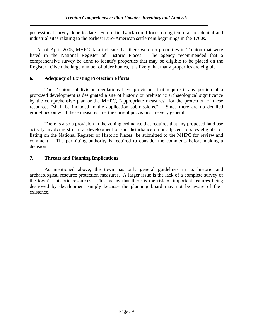professional survey done to date. Future fieldwork could focus on agricultural, residential and industrial sites relating to the earliest Euro-American settlement beginnings in the 1760s.

 As of April 2005, MHPC data indicate that there were no properties in Trenton that were listed in the National Register of Historic Places. The agency recommended that a comprehensive survey be done to identify properties that may be eligible to be placed on the Register. Given the large number of older homes, it is likely that many properties are eligible.

### **6. Adequacy of Existing Protection Efforts**

The Trenton subdivision regulations have provisions that require if any portion of a proposed development is designated a site of historic or prehistoric archaeological significance by the comprehensive plan or the MHPC, "appropriate measures" for the protection of these resources "shall be included in the application submissions." Since there are no detailed guidelines on what these measures are, the current provisions are very general.

There is also a provision in the zoning ordinance that requires that any proposed land use activity involving structural development or soil disturbance on or adjacent to sites eligible for listing on the National Register of Historic Places be submitted to the MHPC for review and comment. The permitting authority is required to consider the comments before making a decision.

## **7. Threats and Planning Implications**

 As mentioned above, the town has only general guidelines in its historic and archaeological resource protection measures. A larger issue is the lack of a complete survey of the town's historic resources. This means that there is the risk of important features being destroyed by development simply because the planning board may not be aware of their existence.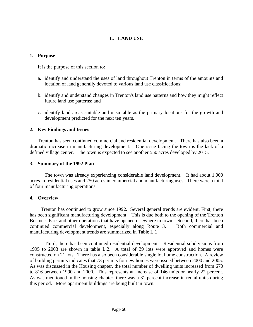## **L. LAND USE**

#### **1. Purpose**

It is the purpose of this section to:

- a. identify and understand the uses of land throughout Trenton in terms of the amounts and location of land generally devoted to various land use classifications;
- b. identify and understand changes in Trenton's land use patterns and how they might reflect future land use patterns; and
- c. identify land areas suitable and unsuitable as the primary locations for the growth and development predicted for the next ten years.

### **2. Key Findings and Issues**

Trenton has seen continued commercial and residential development. There has also been a dramatic increase in manufacturing development. One issue facing the town is the lack of a defined village center. The town is expected to see another 550 acres developed by 2015.

#### **3. Summary of the 1992 Plan**

 The town was already experiencing considerable land development. It had about 1,000 acres in residential uses and 250 acres in commercial and manufacturing uses. There were a total of four manufacturing operations.

#### **4. Overview**

 Trenton has continued to grow since 1992. Several general trends are evident. First, there has been significant manufacturing development. This is due both to the opening of the Trenton Business Park and other operations that have opened elsewhere in town. Second, there has been continued commercial development, especially along Route 3. Both commercial and manufacturing development trends are summarized in Table L.1

 Third, there has been continued residential development. Residential subdivisions from 1995 to 2003 are shown in table L.2. A total of 39 lots were approved and homes were constructed on 21 lots. There has also been considerable single lot home construction. A review of building permits indicates that 73 permits for new homes were issued between 2000 and 2005. As was discussed in the Housing chapter, the total number of dwelling units increased from 670 to 816 between 1990 and 2000. This represents an increase of 146 units or nearly 22 percent. As was mentioned in the housing chapter, there was a 31 percent increase in rental units during this period. More apartment buildings are being built in town.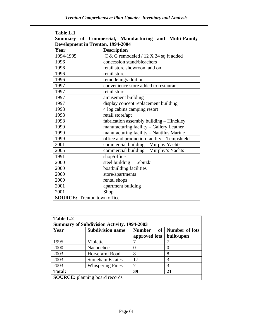| Table L.1                                             |                                             |  |  |  |
|-------------------------------------------------------|---------------------------------------------|--|--|--|
| Summary of Commercial, Manufacturing and Multi-Family |                                             |  |  |  |
| Development in Trenton, 1994-2004                     |                                             |  |  |  |
| Year                                                  | <b>Description</b>                          |  |  |  |
| 1994-1995                                             | C & G remodeled / 12 X 24 sq ft added       |  |  |  |
| 1996                                                  | concession stand/bleachers                  |  |  |  |
| 1996                                                  | retail store showroom add on                |  |  |  |
| 1996                                                  | retail store                                |  |  |  |
| 1996                                                  | remodeling/addition                         |  |  |  |
| 1997                                                  | convenience store added to restaurant       |  |  |  |
| 1997                                                  | retail store                                |  |  |  |
| 1997                                                  | amusement building                          |  |  |  |
| 1997                                                  | display concept replacement building        |  |  |  |
| 1998                                                  | 4 log cabins camping resort                 |  |  |  |
| 1998                                                  | retail store/apt                            |  |  |  |
| 1998                                                  | fabrication assembly building - Hinckley    |  |  |  |
| 1999                                                  | manufacturing facility - Gallery Leather    |  |  |  |
| 1999                                                  | manufacturing facility - Nautilus Marine    |  |  |  |
| 1999                                                  | office and production facility - Tempshield |  |  |  |
| 2001                                                  | commercial building - Murphy Yachts         |  |  |  |
| 2005                                                  | commercial building - Murphy's Yachts       |  |  |  |
| 1991                                                  | shop/office                                 |  |  |  |
| 2000                                                  | steel building - Lebitzki                   |  |  |  |
| 2000                                                  | boatbuilding facilities                     |  |  |  |
| 2000                                                  | store/apartments                            |  |  |  |
| 2000                                                  | rental shops                                |  |  |  |
| 2001                                                  | apartment building                          |  |  |  |
| 2001                                                  | Shop                                        |  |  |  |
| <b>SOURCE:</b> Trenton town office                    |                                             |  |  |  |

| Table L.2<br><b>Summary of Subdivision Activity, 1994-2003</b> |                         |                                             |                                     |  |  |
|----------------------------------------------------------------|-------------------------|---------------------------------------------|-------------------------------------|--|--|
| Year                                                           | <b>Subdivision name</b> | <b>Number</b><br><b>of</b><br>approved lots | <b>Number of lots</b><br>built-upon |  |  |
| 1995                                                           | Violette                |                                             |                                     |  |  |
| 2000                                                           | Nacoochee               |                                             |                                     |  |  |
| 2003                                                           | Horsefarm Road          | 8                                           | 8                                   |  |  |
| 2003                                                           | <b>Stoneham Estates</b> | 17                                          | 3                                   |  |  |
| 2003                                                           | <b>Whispering Pines</b> |                                             | 3                                   |  |  |
| <b>Total:</b>                                                  |                         | 39                                          | 21                                  |  |  |
| <b>SOURCE:</b> planning board records                          |                         |                                             |                                     |  |  |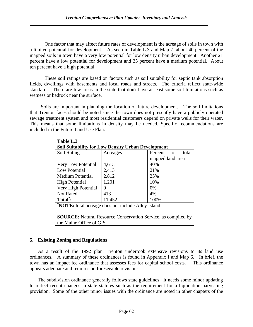One factor that may affect future rates of development is the acreage of soils in town with a limited potential for development. As seen in Table L.3 and Map 7, about 40 percent of the mapped soils in town have a very low potential for low density urban development. Another 21 percent have a low potential for development and 25 percent have a medium potential. About ten percent have a high potential.

 These soil ratings are based on factors such as soil suitability for septic tank absorption fields, dwellings with basements and local roads and streets. The criteria reflect state-wide standards. There are few areas in the state that don't have at least some soil limitations such as wetness or bedrock near the surface.

 Soils are important in planning the location of future development. The soil limitations that Trenton faces should be noted since the town does not presently have a publicly operated sewage treatment system and most residential customers depend on private wells for their water. This means that some limitations in density may be needed. Specific recommendations are included in the Future Land Use Plan.

| Table L.3                                                            |                   |                     |  |  |  |
|----------------------------------------------------------------------|-------------------|---------------------|--|--|--|
| <b>Soil Suitability for Low Density Urban Development</b>            |                   |                     |  |  |  |
| Soil Rating                                                          | Acreages          | Percent of<br>total |  |  |  |
|                                                                      |                   | mapped land area    |  |  |  |
| Very Low Potential                                                   | 4,613             | 40%                 |  |  |  |
| Low Potential                                                        | 2,413             | 21%                 |  |  |  |
| <b>Medium Potential</b>                                              | 2,812             | 25%                 |  |  |  |
| <b>High Potential</b>                                                | 1,201             | 10%                 |  |  |  |
| Very High Potential                                                  | $\mathbf{\Omega}$ | $0\%$               |  |  |  |
| Not Rated                                                            | 413               | 4%                  |  |  |  |
| Total:                                                               | 11,452            | 100%                |  |  |  |
| <b>NOTE:</b> total acreage does not include Alley Island             |                   |                     |  |  |  |
|                                                                      |                   |                     |  |  |  |
| <b>SOURCE:</b> Natural Resource Conservation Service, as compiled by |                   |                     |  |  |  |
| the Maine Office of GIS                                              |                   |                     |  |  |  |

#### **5. Existing Zoning and Regulations**

 As a result of the 1992 plan, Trenton undertook extensive revisions to its land use ordinances. A summary of these ordinances is found in Appendix I and Map 6. In brief, the town has an impact fee ordinance that assesses fees for capital school costs. This ordinance appears adequate and requires no foreseeable revisions.

 The subdivision ordinance generally follows state guidelines. It needs some minor updating to reflect recent changes in state statutes such as the requirement for a liquidation harvesting provision. Some of the other minor issues with the ordinance are noted in other chapters of the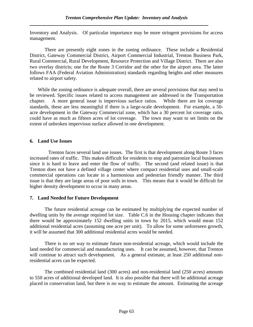Inventory and Analysis. Of particular importance may be more stringent provisions for access management.

 There are presently eight zones in the zoning ordinance. These include a Residential District, Gateway Commercial District, Airport Commercial Industrial, Trenton Business Park, Rural Commercial, Rural Development, Resource Protection and Village District. There are also two overlay districts; one for the Route 3 Corridor and the other for the airport area. The latter follows FAA (Federal Aviation Administration) standards regarding heights and other measures related to airport safety.

 While the zoning ordinance is adequate overall, there are several provisions that may need to be reviewed. Specific issues related to access management are addressed in the Transportation chapter. A more general issue is impervious surface ratios. While there are lot coverage standards, these are less meaningful if there is a large-scale development. For example, a 50 acre development in the Gateway Commercial zone, which has a 30 percent lot coverage ratio, could have as much as fifteen acres of lot coverage. The town may want to set limits on the extent of unbroken impervious surface allowed in one development.

#### **6. Land Use Issues**

 Trenton faces several land use issues. The first is that development along Route 3 faces increased rates of traffic. This makes difficult for residents to stop and patronize local businesses since it is hard to leave and enter the flow of traffic. The second (and related issue) is that Trenton does not have a defined village center where compact residential uses and small-scale commercial operations can locate in a harmonious and pedestrian friendly manner. The third issue is that they are large areas of poor soils in town. This means that it would be difficult for higher density development to occur in many areas.

#### **7. Land Needed for Future Development**

The future residential acreage can be estimated by multiplying the expected number of dwelling units by the average required lot size. Table C.6 in the Housing chapter indicates that there would be approximately 152 dwelling units in town by 2015, which would mean 152 additional residential acres (assuming one acre per unit). To allow for some unforeseen growth, it will be assumed that 300 additional residential acres would be needed.

 There is no set way to estimate future non-residential acreage, which would include the land needed for commercial and manufacturing uses. It can be assumed, however, that Trenton will continue to attract such development. As a general estimate, at least 250 additional nonresidential acres can be expected.

 The combined residential land (300 acres) and non-residential land (250 acres) amounts to 550 acres of additional developed land. It is also possible that there will be additional acreage placed in conservation land, but there is no way to estimate the amount. Estimating the acreage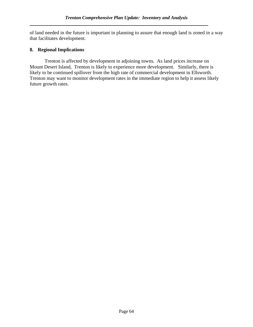of land needed in the future is important in planning to assure that enough land is zoned in a way that facilitates development.

#### **8. Regional Implications**

 Trenton is affected by development in adjoining towns. As land prices increase on Mount Desert Island, Trenton is likely to experience more development. Similarly, there is likely to be continued spillover from the high rate of commercial development in Ellsworth. Trenton may want to monitor development rates in the immediate region to help it assess likely future growth rates.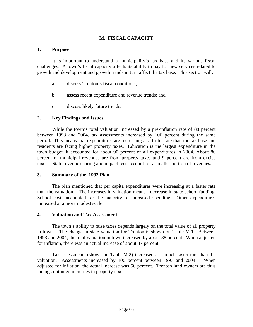#### **M. FISCAL CAPACITY**

#### **1. Purpose**

It is important to understand a municipality's tax base and its various fiscal challenges. A town's fiscal capacity affects its ability to pay for new services related to growth and development and growth trends in turn affect the tax base. This section will:

- a. discuss Trenton's fiscal conditions;
- b. assess recent expenditure and revenue trends; and
- c. discuss likely future trends.

#### **2. Key Findings and Issues**

While the town's total valuation increased by a pre-inflation rate of 88 percent between 1993 and 2004, tax assessments increased by 106 percent during the same period. This means that expenditures are increasing at a faster rate than the tax base and residents are facing higher property taxes. Education is the largest expenditure in the town budget, it accounted for about 90 percent of all expenditures in 2004. About 80 percent of municipal revenues are from property taxes and 9 percent are from excise taxes. State revenue sharing and impact fees account for a smaller portion of revenues.

#### **3. Summary of the 1992 Plan**

The plan mentioned that per capita expenditures were increasing at a faster rate than the valuation. The increases in valuation meant a decrease in state school funding. School costs accounted for the majority of increased spending. Other expenditures increased at a more modest scale.

#### **4. Valuation and Tax Assessment**

The town's ability to raise taxes depends largely on the total value of all property in town. The change in state valuation for Trenton is shown on Table M.1. Between 1993 and 2004, the total valuation in town increased by about 88 percent. When adjusted for inflation, there was an actual increase of about 37 percent.

Tax assessments (shown on Table M.2) increased at a much faster rate than the valuation. Assessments increased by 106 percent between 1993 and 2004. When adjusted for inflation, the actual increase was 50 percent. Trenton land owners are thus facing continued increases in property taxes.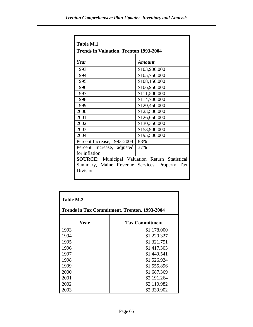| <b>Table M.1</b>                                      |               |  |
|-------------------------------------------------------|---------------|--|
| <b>Trends in Valuation, Trenton 1993-2004</b>         |               |  |
| Year                                                  | Amount        |  |
| 1993                                                  | \$103,900,000 |  |
| 1994                                                  | \$105,750,000 |  |
| 1995                                                  | \$108,150,000 |  |
| 1996                                                  | \$106,950,000 |  |
| 1997                                                  | \$111,500,000 |  |
| 1998                                                  | \$114,700,000 |  |
| 1999                                                  | \$120,450,000 |  |
| 2000                                                  | \$123,500,000 |  |
| 2001                                                  | \$126,650,000 |  |
| 2002                                                  | \$130,350,000 |  |
| 2003                                                  | \$153,900,000 |  |
| 2004                                                  | \$195,500,000 |  |
| Percent Increase, 1993-2004                           | 88%           |  |
| Percent Increase, adjusted                            | 37%           |  |
| for inflation                                         |               |  |
| <b>SOURCE:</b> Municipal Valuation Return Statistical |               |  |
| Summary, Maine Revenue Services, Property             | <b>Tax</b>    |  |
| Division                                              |               |  |
|                                                       |               |  |

| <b>Table M.2</b><br><b>Trends in Tax Commitment, Trenton, 1993-2004</b> |                       |  |
|-------------------------------------------------------------------------|-----------------------|--|
| Year                                                                    | <b>Tax Commitment</b> |  |
| 1993                                                                    | \$1,178,000           |  |
| 1994                                                                    | \$1,220,327           |  |
| 1995                                                                    | \$1,321,751           |  |
| 1996                                                                    | \$1,417,303           |  |
| 1997                                                                    | \$1,449,541           |  |
| 1998                                                                    | \$1,526,924           |  |
| 1999                                                                    | \$1,555,896           |  |
| 2000                                                                    | \$1,687,369           |  |
| 2001                                                                    | \$2,191,264           |  |
| 2002                                                                    | \$2,110,982           |  |
| 2003                                                                    | \$2,339,902           |  |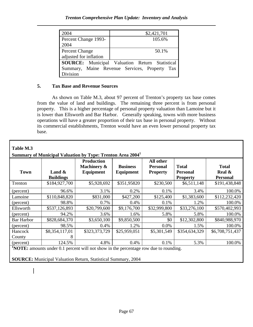| 2004                   | \$2,421,701                                           |  |
|------------------------|-------------------------------------------------------|--|
| Percent Change 1993-   | 105.6%                                                |  |
| 2004                   |                                                       |  |
| <b>Percent Change</b>  | 50.1%                                                 |  |
| adjusted for inflation |                                                       |  |
|                        | <b>SOURCE:</b> Municipal Valuation Return Statistical |  |
|                        | Summary, Maine Revenue Services, Property Tax         |  |
| <b>Division</b>        |                                                       |  |

# **5. Tax Base and Revenue Sources**

As shown on Table M.3, about 97 percent of Trenton's property tax base comes from the value of land and buildings. The remaining three percent is from personal property. This is a higher percentage of personal property valuation than Lamoine but it is lower than Ellsworth and Bar Harbor. Generally speaking, towns with more business operations will have a greater proportion of their tax base in personal property. Without its commercial establishments, Trenton would have an even lower personal property tax base.

| <b>Town</b>                                                                                 | Land $\&$           | <b>Production</b><br>Machinery &<br>Equipment | <b>Business</b><br>Equipment | All other<br><b>Personal</b><br><b>Property</b> | <b>Total</b><br><b>Personal</b> | <b>Total</b><br>Real $\&$ |
|---------------------------------------------------------------------------------------------|---------------------|-----------------------------------------------|------------------------------|-------------------------------------------------|---------------------------------|---------------------------|
|                                                                                             | <b>Buildings</b>    |                                               |                              |                                                 | <b>Property</b>                 | <b>Personal</b>           |
| Trenton                                                                                     | \$184,927,700       | \$5,928,692                                   | \$351,95820                  | \$230,500                                       | \$6,511,148                     | \$191,438,848             |
| (percent)                                                                                   | 96.6%               | 3.1%                                          | 0.2%                         | 0.1%                                            | 3.4%                            | 100.0%                    |
| Lamoine                                                                                     | \$110,848,820       | \$831,000                                     | \$427,200                    | \$125,400                                       | \$1,383,600                     | \$112,232,420             |
| (percent)                                                                                   | 98.8%               | 0.7%                                          | 0.4%                         | 0.1%                                            | 1.2%                            | 100.0%                    |
| Ellsworth                                                                                   | \$537,126,893       | \$20,799,600                                  | \$9,176,700                  | \$32,999,800                                    | \$33,276,100                    | \$570,402,993             |
| (percent)                                                                                   | 94.2%               | 3.6%                                          | 1.6%                         | 5.8%                                            | 5.8%                            | 100.0%                    |
| <b>Bar Harbor</b>                                                                           | \$828,684,370       | \$3,650,100                                   | \$9,850,500                  | \$0                                             | \$12,302,800                    | \$840,988,970             |
| (percent)                                                                                   | 98.5%               | 0.4%                                          | 1.2%                         | 0.0%                                            | 1.5%                            | 100.0%                    |
| Hancock<br>County                                                                           | \$8,354,117,01<br>8 | \$323,373,729                                 | \$25,959,051                 | \$5,301,549                                     | \$354,634,329                   | \$6,708,751,437           |
| (percent)                                                                                   | 124.5%              | 4.8%                                          | 0.4%                         | 0.1%                                            | 5.3%                            | 100.0%                    |
| <b>NOTE:</b> amounts under 0.1 percent will not show in the percentage row due to rounding. |                     |                                               |                              |                                                 |                                 |                           |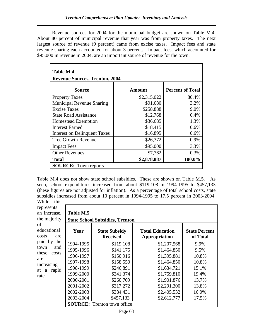Revenue sources for 2004 for the municipal budget are shown on Table M.4. About 80 percent of municipal revenue that year was from property taxes. The next largest source of revenue (9 percent) came from excise taxes. Impact fees and state revenue sharing each accounted for about 3 percent. Impact fees, which accounted for \$95,000 in revenue in 2004, are an important source of revenue for the town.

| <b>Table M.4</b>                      |               |                         |  |
|---------------------------------------|---------------|-------------------------|--|
| <b>Revenue Sources, Trenton, 2004</b> |               |                         |  |
| <b>Source</b>                         | <b>Amount</b> | <b>Percent of Total</b> |  |
| <b>Property Taxes</b>                 | \$2,315,022   | 80.4%                   |  |
| Municipal Revenue Sharing             | \$91,080      | 3.2%                    |  |
| <b>Excise Taxes</b>                   | \$258,888     | 9.0%                    |  |
| <b>State Road Assistance</b>          | \$12,768      | 0.4%                    |  |
| <b>Homestead Exemption</b>            | \$36,685      | 1.3%                    |  |
| <b>Interest Earned</b>                | \$18,415      | 0.6%                    |  |
| <b>Interest on Delinquent Taxes</b>   | \$16,895      | 0.6%                    |  |
| <b>Tree Growth Revenue</b>            | \$26,372      | 0.9%                    |  |
| <b>Impact Fees</b>                    | \$95,000      | 3.3%                    |  |
| <b>Other Revenues</b>                 | \$7,762       | 0.3%                    |  |
| <b>Total</b>                          | \$2,878,887   | 100.0%                  |  |
| <b>SOURCE:</b> Town reports           |               |                         |  |

Table M.4 does not show state school subsidies. These are shown on Table M.5. As seen, school expenditures increased from about \$119,108 in 1994-1995 to \$457,133 (these figures are not adjusted for inflation). As a percentage of total school costs, state subsidies increased from about 10 percent in 1994-1995 to 17.5 percent in 2003-2004. While this

| WHILE<br><b>THIS</b> |                                        |                                    |                        |                      |
|----------------------|----------------------------------------|------------------------------------|------------------------|----------------------|
| represents           |                                        |                                    |                        |                      |
| an increase,         | Table M.5                              |                                    |                        |                      |
| the majority         | <b>State School Subsidies, Trenton</b> |                                    |                        |                      |
| of                   |                                        |                                    |                        |                      |
| educational          | Year                                   | <b>State Subsidy</b>               | <b>Total Education</b> | <b>State Percent</b> |
| costs<br>are         |                                        | <b>Received</b>                    | Appropriation          | of Total             |
| paid by<br>the       | 1994-1995                              | \$119,108                          | \$1,207,568            | 9.9%                 |
| town<br>and          | 1995-1996                              | \$141,175                          | \$1,464,850            | 9.5%                 |
| these<br>costs       | 1996-1997                              | \$150,916                          | \$1,395,881            | 10.8%                |
| are<br>increasing    | 1997-1998                              | \$158,550                          | \$1,464,850            | 10.8%                |
| rapid<br>at a        | 1998-1999                              | \$246,891                          | \$1,634,721            | 15.1%                |
| rate.                | 1999-2000                              | \$341,374                          | \$1,759,810            | 19.4%                |
|                      | 2000-2001                              | \$260,709                          | \$1,901,876            | 13.7%                |
|                      | 2001-2002                              | \$317,272                          | \$2,291,300            | 13.8%                |
|                      | 2002-2003                              | \$384,431                          | \$2,405,532            | 16.0%                |
|                      | 2003-2004                              | \$457,133                          | \$2,612,777            | 17.5%                |
|                      |                                        | <b>SOURCE:</b> Trenton town office |                        |                      |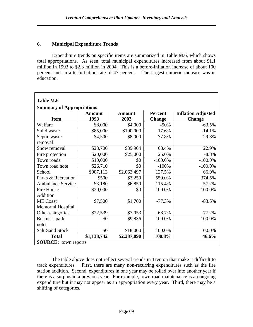#### **6. Municipal Expenditure Trends**

Expenditure trends on specific items are summarized in Table M.6, which shows total appropriations. As seen, total municipal expenditures increased from about \$1.1 million in 1993 to \$2.3 million in 2004. This is a before-inflation increase of about 100 percent and an after-inflation rate of 47 percent. The largest numeric increase was in education.

| Table M.6                        |               |               |                |                           |
|----------------------------------|---------------|---------------|----------------|---------------------------|
| <b>Summary of Appropriations</b> |               |               |                |                           |
|                                  | <b>Amount</b> | <b>Amount</b> | <b>Percent</b> | <b>Inflation Adjusted</b> |
| <b>Item</b>                      | 1993          | 2003          | <b>Change</b>  | <b>Change</b>             |
| Welfare                          | \$8,000       | \$4,000       | $-50%$         | $-63.5%$                  |
| Solid waste                      | \$85,000      | \$100,000     | 17.6%          | $-14.1%$                  |
| Septic waste                     | \$4,500       | \$8,000       | 77.8%          | 29.8%                     |
| removal                          |               |               |                |                           |
| Snow removal                     | \$23,700      | \$39,904      | 68.4%          | 22.9%                     |
| Fire protection                  | \$20,000      | \$25,000      | 25.0%          | $-8.8%$                   |
| Town roads                       | \$10,000      | \$0           | $-100.0\%$     | $-100.0\%$                |
| Town road note                   | \$26,710      | \$0           | $-100%$        | $-100.0\%$                |
| School                           | \$907,113     | \$2,063,497   | 127.5%         | 66.0%                     |
| Parks & Recreation               | \$500         | \$3,250       | 550.0%         | 374.5%                    |
| <b>Ambulance Service</b>         | \$3.180       | \$6,850       | 115.4%         | 57.2%                     |
| <b>Fire House</b>                | \$20,000      | \$0           | $-100.0\%$     | $-100.0\%$                |
| Addition                         |               |               |                |                           |
| <b>ME</b> Coast                  | \$7,500       | \$1,700       | $-77.3%$       | $-83.5%$                  |
| <b>Memorial Hospital</b>         |               |               |                |                           |
| Other categories                 | \$22,539      | \$7,053       | $-68.7%$       | $-77.2%$                  |
| Business park                    | \$0           | \$9,836       | 100.0%         | 100.0%                    |
| notes                            |               |               |                |                           |
| <b>Salt-Sand Stock</b>           | \$0           | \$18,000      | 100.0%         | 100.0%                    |
| <b>Total</b>                     | \$1,138,742   | \$2,287,090   | 100.8%         | 46.6%                     |
| <b>SOURCE:</b> town reports      |               |               |                |                           |

The table above does not reflect several trends in Trenton that make it difficult to track expenditures. First, there are many non-recurring expenditures such as the fire station addition. Second, expenditures in one year may be rolled over into another year if there is a surplus in a previous year. For example, town road maintenance is an ongoing expenditure but it may not appear as an appropriation every year. Third, there may be a shifting of categories.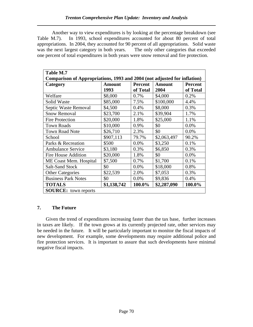Another way to view expenditures is by looking at the percentage breakdown (see Table M.7). In 1993, school expenditures accounted for about 80 percent of total appropriations. In 2004, they accounted for 90 percent of all appropriations. Solid waste was the next largest category in both years. The only other categories that exceeded one percent of total expenditures in both years were snow removal and fire protection.

| Table M.7                                                                |               |                |               |                |
|--------------------------------------------------------------------------|---------------|----------------|---------------|----------------|
| Comparison of Appropriations, 1993 and 2004 (not adjusted for inflation) |               |                |               |                |
| Category                                                                 | <b>Amount</b> | <b>Percent</b> | <b>Amount</b> | <b>Percent</b> |
|                                                                          | 1993          | of Total       | 2004          | of Total       |
| Welfare                                                                  | \$8,000       | 0.7%           | \$4,000       | 0.2%           |
| <b>Solid Waste</b>                                                       | \$85,000      | 7.5%           | \$100,000     | 4.4%           |
| Septic Waste Removal                                                     | \$4,500       | 0.4%           | \$8,000       | 0.3%           |
| <b>Snow Removal</b>                                                      | \$23,700      | 2.1%           | \$39,904      | 1.7%           |
| <b>Fire Protection</b>                                                   | \$20,000      | 1.8%           | \$25,000      | 1.1%           |
| <b>Town Roads</b>                                                        | \$10,000      | 0.9%           | \$0           | 0.0%           |
| <b>Town Road Note</b>                                                    | \$26,710      | 2.3%           | \$0           | 0.0%           |
| School                                                                   | \$907,113     | 79.7%          | \$2,063,497   | 90.2%          |
| Parks & Recreation                                                       | \$500         | $0.0\%$        | \$3,250       | 0.1%           |
| <b>Ambulance Service</b>                                                 | \$3,180       | 0.3%           | \$6,850       | 0.3%           |
| Fire House Addition                                                      | \$20,000      | 1.8%           | \$0           | 0.0%           |
| ME Coast Mem. Hospital                                                   | \$7,500       | 0.7%           | \$1,700       | 0.1%           |
| <b>Salt-Sand Stock</b>                                                   | \$0           | 0.0%           | \$18,000      | 0.8%           |
| <b>Other Categories</b>                                                  | \$22,539      | 2.0%           | \$7,053       | 0.3%           |
| <b>Business Park Notes</b>                                               | \$0           | 0.0%           | \$9,836       | 0.4%           |
| <b>TOTALS</b>                                                            | \$1,138,742   | 100.0%         | \$2,287,090   | 100.0%         |
| <b>SOURCE:</b> town reports                                              |               |                |               |                |

# **7. The Future**

 Given the trend of expenditures increasing faster than the tax base, further increases in taxes are likely. If the town grows at its currently projected rate, other services may be needed in the future. It will be particularly important to monitor the fiscal impacts of new development. For example, some developments may require additional police and fire protection services. It is important to assure that such developments have minimal negative fiscal impacts.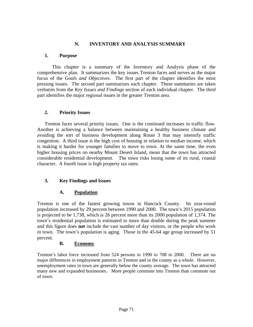#### **N. INVENTORY AND ANALYSIS SUMMARY**

#### **1. Purpose**

This chapter is a summary of the Inventory and Analysis phase of the comprehensive plan. It summarizes the key issues Trenton faces and serves as the major focus of the *Goals and Objectives*. The first part of the chapter identifies the most pressing issues. The second part summarizes each chapter. These summaries are taken verbatim from the *Key Issues and Findings* section of each individual chapter. The third part identifies the major regional issues in the greater Trenton area.

#### **2. Priority Issues**

Trenton faces several priority issues. One is the continued increases in traffic flow. Another is achieving a balance between maintaining a healthy business climate and avoiding the sort of business development along Route 3 that may intensify traffic congestion. A third issue is the high cost of housing in relation to median income, which is making it harder for younger families to move to town. At the same time, the even higher housing prices on nearby Mount Desert Island, mean that the town has attracted considerable residential development. The town risks losing some of its rural, coastal character. A fourth issue is high property tax rates.

#### **3. Key Findings and Issues**

# **A. Population**

Trenton is one of the fastest growing towns in Hancock County. Its year-round population increased by 29 percent between 1990 and 2000. The town's 2015 population is projected to be 1,738, which is 26 percent more than its 2000 population of 1,374. The town's residential population is estimated to more than double during the peak summer and this figure does **not** include the vast number of day visitors, or the people who work in town. The town's population is aging. Those in the 45-64 age group increased by 51 percent.

#### **B. Economy**

Trenton's labor force increased from 524 persons in 1990 to 708 in 2000. There are no major differences in employment patterns in Trenton and in the county as a whole. However, unemployment rates in town are generally below the county average. The town has attracted many new and expanded businesses. More people commute into Trenton than commute out of town.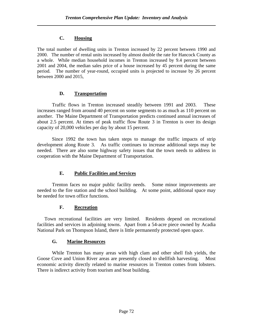#### **C. Housing**

The total number of dwelling units in Trenton increased by 22 percent between 1990 and 2000. The number of rental units increased by almost double the rate for Hancock County as a whole. While median household incomes in Trenton increased by 9.4 percent between 2001 and 2004, the median sales price of a house increased by 45 percent during the same period. The number of year-round, occupied units is projected to increase by 26 percent between 2000 and 2015,

# **D. Transportation**

 Traffic flows in Trenton increased steadily between 1991 and 2003. These increases ranged from around 40 percent on some segments to as much as 110 percent on another. The Maine Department of Transportation predicts continued annual increases of about 2.5 percent. At times of peak traffic flow Route 3 in Trenton is over its design capacity of 20,000 vehicles per day by about 15 percent.

 Since 1992 the town has taken steps to manage the traffic impacts of strip development along Route 3. As traffic continues to increase additional steps may be needed. There are also some highway safety issues that the town needs to address in cooperation with the Maine Department of Transportation.

# **E. Public Facilities and Services**

 Trenton faces no major public facility needs. Some minor improvements are needed to the fire station and the school building. At some point, additional space may be needed for town office functions.

#### **F. Recreation**

 Town recreational facilities are very limited. Residents depend on recreational facilities and services in adjoining towns. Apart from a 54-acre piece owned by Acadia National Park on Thompson Island, there is little permanently protected open space.

# **G. Marine Resources**

While Trenton has many areas with high clam and other shell fish yields, the Goose Cove and Union River areas are presently closed to shellfish harvesting. Most economic activity directly related to marine resources in Trenton comes from lobsters. There is indirect activity from tourism and boat building.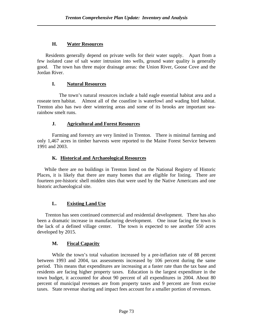#### **H. Water Resources**

 Residents generally depend on private wells for their water supply. Apart from a few isolated case of salt water intrusion into wells, ground water quality is generally good. The town has three major drainage areas: the Union River, Goose Cove and the Jordan River.

#### **I. Natural Resources**

 The town's natural resources include a bald eagle essential habitat area and a roseate tern habitat. Almost all of the coastline is waterfowl and wading bird habitat. Trenton also has two deer wintering areas and some of its brooks are important searainbow smelt runs.

#### **J. Agricultural and Forest Resources**

Farming and forestry are very limited in Trenton. There is minimal farming and only 1,467 acres in timber harvests were reported to the Maine Forest Service between 1991 and 2003.

# **K. Historical and Archaeological Resources**

 While there are no buildings in Trenton listed on the National Registry of Historic Places, it is likely that there are many homes that are eligible for listing. There are fourteen pre-historic shell midden sites that were used by the Native Americans and one historic archaeological site.

# **L. Existing Land Use**

Trenton has seen continued commercial and residential development. There has also been a dramatic increase in manufacturing development. One issue facing the town is the lack of a defined village center. The town is expected to see another 550 acres developed by 2015.

#### **M. Fiscal Capacity**

While the town's total valuation increased by a pre-inflation rate of 88 percent between 1993 and 2004, tax assessments increased by 106 percent during the same period. This means that expenditures are increasing at a faster rate than the tax base and residents are facing higher property taxes. Education is the largest expenditure in the town budget, it accounted for about 90 percent of all expenditures in 2004. About 80 percent of municipal revenues are from property taxes and 9 percent are from excise taxes. State revenue sharing and impact fees account for a smaller portion of revenues.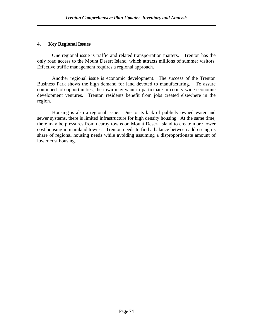#### **4. Key Regional Issues**

One regional issue is traffic and related transportation matters. Trenton has the only road access to the Mount Desert Island, which attracts millions of summer visitors. Effective traffic management requires a regional approach.

Another regional issue is economic development. The success of the Trenton Business Park shows the high demand for land devoted to manufacturing. To assure continued job opportunities, the town may want to participate in county-wide economic development ventures. Trenton residents benefit from jobs created elsewhere in the region.

Housing is also a regional issue. Due to its lack of publicly owned water and sewer systems, there is limited infrastructure for high density housing. At the same time, there may be pressures from nearby towns on Mount Desert Island to create more lower cost housing in mainland towns. Trenton needs to find a balance between addressing its share of regional housing needs while avoiding assuming a disproportionate amount of lower cost housing.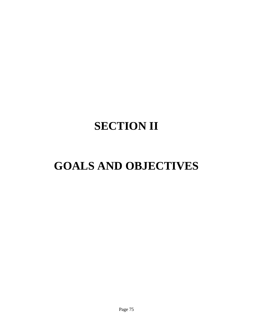# **SECTION II**

# **GOALS AND OBJECTIVES**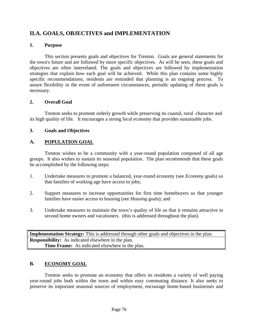# **II.A. GOALS, OBJECTIVES and IMPLEMENTATION**

#### **1. Purpose**

This section presents goals and objectives for Trenton. Goals are general statements for the town's future and are followed by more specific objectives. As will be seen, these goals and objectives are often interrelated. The goals and objectives are followed by implementation strategies that explain how each goal will be achieved. While this plan contains some highly specific recommendations, residents are reminded that planning is an ongoing process. To assure flexibility in the event of unforeseen circumstances, periodic updating of these goals is necessary.

# **2. Overall Goal**

Trenton seeks to promote orderly growth while preserving its coastal, rural character and its high quality of life. It encourages a strong local economy that provides sustainable jobs.

# **3. Goals and Objectives**

# **A. POPULATION GOAL**

Trenton wishes to be a community with a year-round population composed of all age groups. It also wishes to sustain its seasonal population. The plan recommends that these goals be accomplished by the following steps:

- 1. Undertake measures to promote a balanced, year-round economy (see *Economy* goals) so that families of working age have access to jobs;
- 2. Support measures to increase opportunities for first time homebuyers so that younger families have easier access to housing (see *Housing* goals); and
- 3. Undertake measures to maintain the town's quality of life so that it remains attractive to second home owners and vacationers. (this is addressed throughout the plan).

**Implementation Strategy:** This is addressed through other goals and objectives in the plan. **Responsibility:** As indicated elsewhere in the plan. **Time Frame:** As indicated elsewhere in the plan.

# **B. ECONOMY GOAL**

Trenton seeks to promote an economy that offers its residents a variety of well paying year-round jobs both within the town and within easy commuting distance. It also seeks to preserve its important seasonal sources of employment, encourage home-based businesses and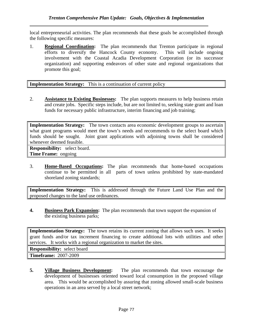local entrepreneurial activities. The plan recommends that these goals be accomplished through the following specific measures:

1. **Regional Coordination:** The plan recommends that Trenton participate in regional efforts to diversify the Hancock County economy. This will include ongoing involvement with the Coastal Acadia Development Corporation (or its successor organization) and supporting endeavors of other state and regional organizations that promote this goal;

**Implementation Strategy:** This is a continuation of current policy

2. **Assistance to Existing Businesses:** The plan supports measures to help business retain and create jobs. Specific steps include, but are not limited to, seeking state grant and loan funds for necessary public infrastructure, interim financing and job training;

**Implementation Strategy:** The town contacts area economic development groups to ascertain what grant programs would meet the town's needs and recommends to the select board which funds should be sought. Joint grant applications with adjoining towns shall be considered whenever deemed feasible.

**Responsibility:** select board. **Time Frame:** ongoing

3. **Home-Based Occupations:** The plan recommends that home-based occupations continue to be permitted in all parts of town unless prohibited by state-mandated shoreland zoning standards;

**Implementation Strategy:** This is addressed through the Future Land Use Plan and the proposed changes to the land use ordinances.

**4. Business Park Expansion:** The plan recommends that town support the expansion of the existing business parks;

**Implementation Strategy:** The town retains its current zoning that allows such uses. It seeks grant funds and/or tax increment financing to create additional lots with utilities and other services. It works with a regional organization to market the sites.

**Responsibility:** select board

**Timeframe:** 2007-2009

**5. Village Business Development:** The plan recommends that town encourage the development of businesses oriented toward local consumption in the proposed village area. This would be accomplished by assuring that zoning allowed small-scale business operations in an area served by a local street network;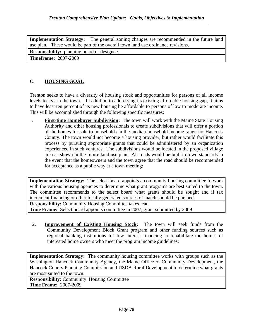**Implementation Strategy:** The general zoning changes are recommended in the future land use plan. These would be part of the overall town land use ordinance revisions. **Responsibility:** planning board or designee **Timeframe:** 2007-2009

# **C. HOUSING GOAL**

Trenton seeks to have a diversity of housing stock and opportunities for persons of all income levels to live in the town. In addition to addressing its existing affordable housing gap, it aims to have least ten percent of its new housing be affordable to persons of low to moderate income. This will be accomplished through the following specific measures:

1. **First-time Homebuyer Subdivision:** The town will work with the Maine State Housing Authority and other housing professionals to create subdivisions that will offer a portion of the homes for sale to households in the median household income range for Hancock County. The town would not become a housing provider, but rather would facilitate this process by pursuing appropriate grants that could be administered by an organization experienced in such ventures. The subdivisions would be located in the proposed village area as shown in the future land use plan. All roads would be built to town standards in the event that the homeowners and the town agree that the road should be recommended for acceptance as a public way at a town meeting;

**Implementation Strategy:** The select board appoints a community housing committee to work with the various housing agencies to determine what grant programs are best suited to the town. The committee recommends to the select board what grants should be sought and if tax increment financing or other locally generated sources of match should be pursued.

**Responsibility:** Community Housing Committee takes lead. **Time Frame:** Select board appoints committee in 2007, grant submitted by 2009

2. **Improvement of Existing Housing Stock:** The town will seek funds from the Community Development Block Grant program and other funding sources such as regional banking institutions for low interest financing to rehabilitate the homes of interested home owners who meet the program income guidelines;

**Implementation Strategy:** The community housing committee works with groups such as the Washington Hancock Community Agency, the Maine Office of Community Development, the Hancock County Planning Commission and USDA Rural Development to determine what grants are most suited to the town.

**Responsibility:** Community Housing Committee **Time Frame:** 2007-2009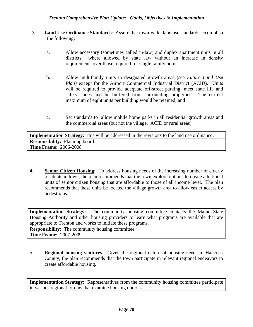- 3. **Land Use Ordinance Standards**: Assure that town-wide land use standards accomplish the following:
	- a. Allow accessory (sometimes called in-law) and duplex apartment units in all districts where allowed by state law without an increase in density requirements over those required for single family homes;
	- b. Allow multifamily units in designated growth areas (see *Future Land Use Plan)* except for the Airport Commercial Industrial District (ACID). Units will be required to provide adequate off-street parking, meet state life and safety codes and be buffered from surrounding properties. The current maximum of eight units per building would be retained; and
	- c. Set standards to allow mobile home parks in all residential growth areas and the commercial areas (but not the village, ACID or rural areas).

**Implementation Strategy:** This will be addressed in the revisions to the land use ordinance**. Responsibility:** Planning board **Time Frame:** 2006-2008

**4. Senior Citizen Housing**: To address housing needs of the increasing number of elderly residents in town, the plan recommends that the town explore options to create additional units of senior citizen housing that are affordable to those of all income level. The plan recommends that these units be located the village growth area to allow easier access by pedestrians.

**Implementation Strategy:** The community housing committee contacts the Maine State Housing Authority and other housing providers to learn what programs are available that are appropriate to Trenton and works to initiate these programs. **Responsibility:** The community housing committee **Time Frame:** 2007-2009

5. **Regional housing ventures**: Given the regional nature of housing needs in Hancock County, the plan recommends that the town participate in relevant regional endeavors to create affordable housing.

**Implementation Strategy:** Representatives from the community housing committee participate in various regional forums that examine housing options.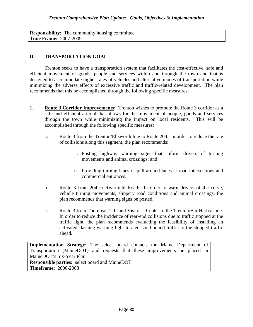**Responsibility:** The community housing committee **Time Frame:** 2007-2009

# **D. TRANSPORTATION GOAL**

Trenton seeks to have a transportation system that facilitates the cost-effective, safe and efficient movement of goods, people and services within and through the town and that is designed to accommodate higher rates of vehicles and alternative modes of transportation while minimizing the adverse effects of excessive traffic and traffic-related development. The plan recommends that this be accomplished through the following specific measures:

- **1.** Route 3 Corridor Improvements: Trenton wishes to promote the Route 3 corridor as a safe and efficient arterial that allows for the movement of people, goods and services through the town while minimizing the impact on local residents. This will be accomplished through the following specific measures:
	- a. Route 3 from the Trenton/Ellsworth line to Route 204: In order to reduce the rate of collisions along this segment, the plan recommends:
		- i. Posting highway warning signs that inform drivers of turning movements and animal crossings; and
		- ii. Providing turning lanes or pull-around lanes at road intersections and commercial entrances.
	- b. Route 3 from 204 to Riverfield Road: In order to warn drivers of the curve, vehicle turning movements, slippery road conditions and animal crossings, the plan recommends that warning signs be posted.
	- c. Route 3 from Thompson's Island Visitor's Center to the Trenton/Bar Harbor line: In order to reduce the incidence of rear-end collisions due to traffic stopped at the traffic light, the plan recommends evaluating the feasibility of installing an activated flashing warning light to alert southbound traffic to the stopped traffic ahead.

**Implementation Strategy:** The select board contacts the Maine Department of Transportation (MaineDOT) and requests that these improvements be placed in MaineDOT's Six-Year Plan **Responsible parties:** select board and MaineDOT

**Timeframe:** 2006-2008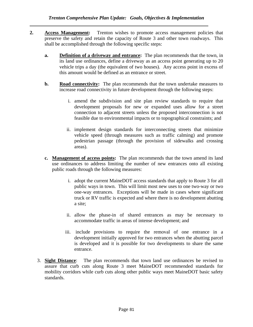- **2. Access Management:** Trenton wishes to promote access management policies that preserve the safety and retain the capacity of Route 3 and other town roadways. This shall be accomplished through the following specific steps:
	- **a. Definition of a driveway and entrance:** The plan recommends that the town, in its land use ordinances, define a driveway as an access point generating up to 20 vehicle trips a day (the equivalent of two houses). Any access point in excess of this amount would be defined as an entrance or street.
	- **b.** Road connectivity: The plan recommends that the town undertake measures to increase road connectivity in future development through the following steps:
		- i. amend the subdivision and site plan review standards to require that development proposals for new or expanded uses allow for a street connection to adjacent streets unless the proposed interconnection is not feasible due to environmental impacts or to topographical constraints; and
		- ii. implement design standards for interconnecting streets that minimize vehicle speed (through measures such as traffic calming) and promote pedestrian passage (through the provision of sidewalks and crossing areas).
	- **c. Management of access points:** The plan recommends that the town amend its land use ordinances to address limiting the number of new entrances onto all existing public roads through the following measures:
		- i. adopt the current MaineDOT access standards that apply to Route 3 for all public ways in town. This will limit most new uses to one two-way or two one-way entrances. Exceptions will be made in cases where significant truck or RV traffic is expected and where there is no development abutting a site;
		- ii. allow the phase-in of shared entrances as may be necessary to accommodate traffic in areas of intense development; and
		- iii. include provisions to require the removal of one entrance in a development initially approved for two entrances when the abutting parcel is developed and it is possible for two developments to share the same entrance.
	- 3. **Sight Distance**: The plan recommends that town land use ordinances be revised to assure that curb cuts along Route 3 meet MaineDOT recommended standards for mobility corridors while curb cuts along other public ways meet MaineDOT basic safety standards.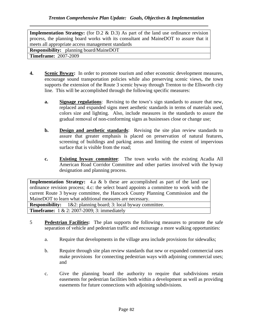**Implementation Strategy:** (for D.2 & D.3) As part of the land use ordinance revision process, the planning board works with its consultant and MaineDOT to assure that it meets all appropriate access management standards **Responsibility:** planning board/MaineDOT

**Timeframe:** 2007-2009

- **4. Scenic Byway:** In order to promote tourism and other economic development measures, encourage sound transportation policies while also preserving scenic views, the town supports the extension of the Route 3 scenic byway through Trenton to the Ellsworth city line. This will be accomplished through the following specific measures:
	- **a. Signage regulations**: Revising to the town's sign standards to assure that new, replaced and expanded signs meet aesthetic standards in terms of materials used, colors size and lighting. Also, include measures in the standards to assure the gradual removal of non-conforming signs as businesses close or change use;
	- **b. Design and aesthetic standards**: Revising the site plan review standards to assure that greater emphasis is placed on preservation of natural features, screening of buildings and parking areas and limiting the extent of impervious surface that is visible from the road;
	- **c. Existing byway committee**: The town works with the existing Acadia All American Road Corridor Committee and other parties involved with the byway designation and planning process.

**Implementation Strategy:** 4.a & b these are accomplished as part of the land use ordinance revision process; 4.c: the select board appoints a committee to work with the current Route 3 byway committee, the Hancock County Planning Commission and the MaineDOT to learn what additional measures are necessary.

**Responsibility:** 1&2: planning board; 3: local byway committee. **Timeframe:** 1 & 2: 2007-2009; 3: immediately

- 5 **Pedestrian Facilities:** The plan supports the following measures to promote the safe separation of vehicle and pedestrian traffic and encourage a more walking opportunities:
	- a. Require that developments in the village area include provisions for sidewalks;
	- b. Require through site plan review standards that new or expanded commercial uses make provisions for connecting pedestrian ways with adjoining commercial uses; and
	- c. Give the planning board the authority to require that subdivisions retain easements for pedestrian facilities both within a development as well as providing easements for future connections with adjoining subdivisions.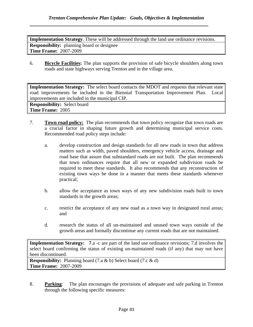**Implementation Strategy**. These will be addressed through the land use ordinance revisions. **Responsibility:** planning board or designee **Time Frame:** 2007-2009

6. **Bicycle Facilities:** The plan supports the provision of safe bicycle shoulders along town roads and state highways serving Trenton and in the village area.

**Implementation Strategy:** The select board contacts the MDOT and requests that relevant state road improvements be included in the Biennial Transportation Improvement Plan. Local improvements are included in the municipal CIP.

**Responsibility:** Select board **Time Frame:** 2005

- 7. **Town road policy:** The plan recommends that town policy recognize that town roads are a crucial factor in shaping future growth and determining municipal service costs. Recommended road policy steps include:
	- a. develop construction and design standards for all new roads in town that address matters such as width, paved shoulders, emergency vehicle access, drainage and road base that assure that substandard roads are not built. The plan recommends that town ordinances require that all new or expanded subdivision roads be required to meet these standards. It also recommends that any reconstruction of existing town ways be done in a manner that meets these standards whenever practical;
	- b. allow the acceptance as town ways of any new subdivision roads built to town standards in the growth areas;
	- c. restrict the acceptance of any new road as a town way in designated rural areas; and
	- d. research the status of all un-maintained and unused town ways outside of the growth areas and formally discontinue any current roads that are not maintained.

**Implementation Strategy:** 7.a -c are part of the land use ordinance revisions; 7.d involves the select board confirming the status of existing un-maintained roads (if any) that may not have been discontinued.

**Responsibility:** Planning board (7.a & b) Select board (7.c & d) **Time Frame:** 2007-2009

8. **Parking**: The plan encourages the provisions of adequate and safe parking in Trenton through the following specific measures: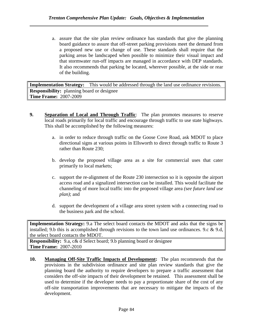a. assure that the site plan review ordinance has standards that give the planning board guidance to assure that off-street parking provisions meet the demand from a proposed new use or change of use. These standards shall require that the parking areas be landscaped when possible to minimize their visual impact and that stormwater run-off impacts are managed in accordance with DEP standards. It also recommends that parking be located, wherever possible, at the side or rear of the building.

**Implementation Strategy:** This would be addressed through the land use ordinance revisions. **Responsibility:** planning board or designee **Time Frame:** 2007-2009

- **9. Separation of Local and Through Traffic**: The plan promotes measures to reserve local roads primarily for local traffic and encourage through traffic to use state highways. This shall be accomplished by the following measures:
	- a. in order to reduce through traffic on the Goose Cove Road, ask MDOT to place directional signs at various points in Ellsworth to direct through traffic to Route 3 rather than Route 230;
	- b. develop the proposed village area as a site for commercial uses that cater primarily to local markets;
	- c. support the re-alignment of the Route 230 intersection so it is opposite the airport access road and a signalized intersection can be installed. This would facilitate the channeling of more local traffic into the proposed village area *(see future land use plan)*; and
	- d. support the development of a village area street system with a connecting road to the business park and the school.

**Implementation Strategy:** 9.a The select board contacts the MDOT and asks that the signs be installed; 9.b this is accomplished through revisions to the town land use ordinances. 9.c & 9.d, the select board contacts the MDOT.

**Responsibility:** 9.a, c& d Select board; 9.b planning board or designee **Time Frame:** 2007-2010

**10. Managing Off-Site Traffic Impacts of Development:** The plan recommends that the provisions in the subdivision ordinance and site plan review standards that give the planning board the authority to require developers to prepare a traffic assessment that considers the off-site impacts of their development be retained. This assessment shall be used to determine if the developer needs to pay a proportionate share of the cost of any off-site transportation improvements that are necessary to mitigate the impacts of the development.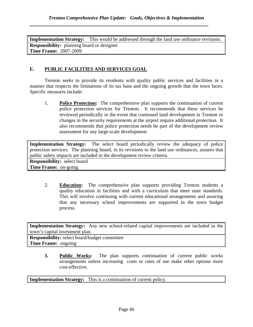**Implementation Strategy:** This would be addressed through the land use ordinance revisions. **Responsibility:** planning board or designee **Time Frame:** 2007-2009

#### **E. PUBLIC FACILITIES AND SERVICES GOAL**

 Trenton seeks to provide its residents with quality public services and facilities in a manner that respects the limitations of its tax base and the ongoing growth that the town faces. Specific measures include:

1. **Police Protection:** The comprehensive plan supports the continuation of current police protection services for Trenton. It recommends that these services be reviewed periodically in the event that continued land development in Trenton or changes in the security requirements at the airport require additional protection. It also recommends that police protection needs be part of the development review assessment for any large-scale development.

**Implementation Strategy:** The select board periodically review the adequacy of police protection services. The planning board, in its revisions to the land use ordinances, assures that public safety impacts are included in the development review criteria. **Responsibility:** select board

**Time Frame:** on-going

2. **Education:** The comprehensive plan supports providing Trenton students a quality education in facilities and with a curriculum that meet state standards. This will involve continuing with current educational arrangements and assuring that any necessary school improvements are supported in the town budget process.

**Implementation Strategy:** Any new school-related capital improvements are included in the town's capital investment plan.

**Responsibility:** select board/budget committee **Time Frame:** ongoing

> **3. Public Works:** The plan supports continuation of current public works arrangements unless increasing costs or rates of use make other options more cost-effective.

**Implementation Strategy:** This is a continuation of current policy.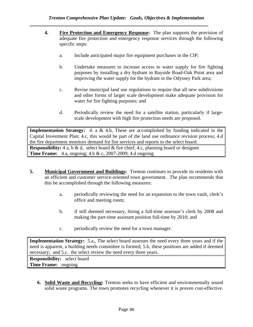- **4. Fire Protection and Emergency Response:** The plan supports the provision of adequate fire protection and emergency response services through the following specific steps:
	- a. Include anticipated major fire equipment purchases in the CIP;
	- b. Undertake measures to increase access to water supply for fire fighting purposes by installing a dry hydrant in Bayside Road-Oak Point area and improving the water supply for the hydrant in the Odyssey Park area;
	- c. Revise municipal land use regulations to require that all new subdivisions and other forms of larger scale development make adequate provision for water for fire fighting purposes; and
	- d. Periodically review the need for a satellite station, particularly if largescale development with high fire protection needs are proposed.

**Implementation Strategy:** 4. a & 4.b, These are accomplished by funding indicated in the Capital Investment Plan; 4.c, this would be part of the land use ordinance revision process; 4.d the fire department monitors demand for fire services and reports to the select board. **Responsibility:** 4 a, b & d, select board & fire chief; 4.c, planning board or designee **Time Frame:** 4.a, ongoing; 4.b & c, 2007-2009; 4.d ongoing

- **5. Municipal Government and Buildings:** Trenton continues to provide its residents with an efficient and customer service-oriented town government. The plan recommends that this be accomplished through the following measures:
	- a. periodically reviewing the need for an expansion to the town vault, clerk's office and meeting room;
	- b. if still deemed necessary, hiring a full-time assessor's clerk by 2008 and making the part-time assistant position full-time by 2010; and
	- c. periodically review the need for a town manager.

**Implementation Strategy:** 5.a,, The select board assesses the need every three years and if the need is apparent, a building needs committee is formed; 5.b, these positions are added if deemed necessary; and 5.c. the select review the need every three years.

**Responsibility:** select board **Time Frame:** ongoing

**6. Solid Waste and Recycling:** Trenton seeks to have efficient and environmentally sound solid waste programs. The town promotes recycling whenever it is proven cost-effective.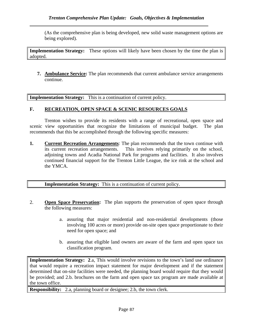(As the comprehensive plan is being developed, new solid waste management options are being explored).

**Implementation Strategy:** These options will likely have been chosen by the time the plan is adopted.

**7. Ambulance Service:** The plan recommends that current ambulance service arrangements continue.

**Implementation Strategy:** This is a continuation of current policy.

#### **F. RECREATION, OPEN SPACE & SCENIC RESOURCES GOALS**

Trenton wishes to provide its residents with a range of recreational, open space and scenic view opportunities that recognize the limitations of municipal budget. The plan recommends that this be accomplished through the following specific measures:

**1. Current Recreation Arrangements**: The plan recommends that the town continue with its current recreation arrangements. This involves relying primarily on the school, adjoining towns and Acadia National Park for programs and facilities. It also involves continued financial support for the Trenton Little League, the ice rink at the school and the YMCA.

**Implementation Strategy:** This is a continuation of current policy.

- 2. **Open Space Preservation:** The plan supports the preservation of open space through the following measures:
	- a. assuring that major residential and non-residential developments (those involving 100 acres or more) provide on-site open space proportionate to their need for open space; and
	- b. assuring that eligible land owners are aware of the farm and open space tax classification program.

**Implementation Strategy: 2.a, This would involve revisions to the town's land use ordinance** that would require a recreation impact statement for major development and if the statement determined that on-site facilities were needed, the planning board would require that they would be provided; and 2.b. brochures on the farm and open space tax program are made available at the town office.

**Responsibility:** 2.a, planning board or designee; 2.b, the town clerk.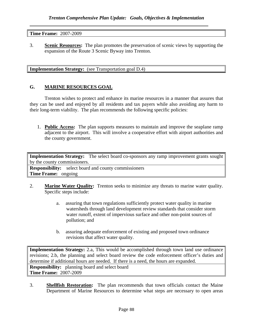**Time Frame:** 2007-2009

3. **Scenic Resources:** The plan promotes the preservation of scenic views by supporting the expansion of the Route 3 Scenic Byway into Trenton.

**Implementation Strategy:** (see Transportation goal D.4)

#### **G. MARINE RESOURCES GOAL**

 Trenton wishes to protect and enhance its marine resources in a manner that assures that they can be used and enjoyed by all residents and tax payers while also avoiding any harm to their long-term viability. The plan recommends the following specific policies:

1. **Public Access:** The plan supports measures to maintain and improve the seaplane ramp adjacent to the airport. This will involve a cooperative effort with airport authorities and the county government.

**Implementation Strategy:** The select board co-sponsors any ramp improvement grants sought by the county commissioners. **Responsibility:** select board and county commissioners **Time Frame:** ongoing

- 2. **Marine Water Quality:** Trenton seeks to minimize any threats to marine water quality. Specific steps include:
	- a. assuring that town regulations sufficiently protect water quality in marine watersheds through land development review standards that consider storm water runoff, extent of impervious surface and other non-point sources of pollution; and
	- b. assuring adequate enforcement of existing and proposed town ordinance revisions that affect water quality.

**Implementation Strategy:** 2.a, This would be accomplished through town land use ordinance revisions; 2.b, the planning and select board review the code enforcement officer's duties and determine if additional hours are needed. If there is a need, the hours are expanded.

**Responsibility:** planning board and select board **Time Frame:** 2007-2009

3. **Shellfish Restoration:** The plan recommends that town officials contact the Maine Department of Marine Resources to determine what steps are necessary to open areas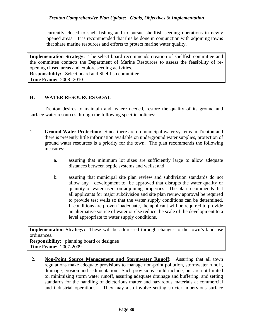currently closed to shell fishing and to pursue shellfish seeding operations in newly opened areas. It is recommended that this be done in conjunction with adjoining towns that share marine resources and efforts to protect marine water quality.

**Implementation Strategy:** The select board recommends creation of shellfish committee and the committee contacts the Department of Marine Resources to assess the feasibility of reopening closed areas and explore seeding activities.

**Responsibility:** Select board and Shellfish committee **Time Frame:** 2008 -2010

#### **H. WATER RESOURCES GOAL**

 Trenton desires to maintain and, where needed, restore the quality of its ground and surface water resources through the following specific policies:

- 1. **Ground Water Protection:** Since there are no municipal water systems in Trenton and there is presently little information available on underground water supplies, protection of ground water resources is a priority for the town. The plan recommends the following measures:
	- a. assuring that minimum lot sizes are sufficiently large to allow adequate distances between septic systems and wells; and
	- b. assuring that municipal site plan review and subdivision standards do not allow any development to be approved that disrupts the water quality or quantity of water users on adjoining properties. The plan recommends that all applicants for major subdivision and site plan review approval be required to provide test wells so that the water supply conditions can be determined. If conditions are proven inadequate, the applicant will be required to provide an alternative source of water or else reduce the scale of the development to a level appropriate to water supply conditions.

**Implementation Strategy:** These will be addressed through changes to the town's land use ordinances.

**Responsibility:** planning board or designee **Time Frame:** 2007-2009

2. **Non-Point Source Management and Stormwater Runoff:** Assuring that all town regulations make adequate provisions to manage non-point pollution, stormwater runoff, drainage, erosion and sedimentation. Such provisions could include, but are not limited to, minimizing storm water runoff, assuring adequate drainage and buffering, and setting standards for the handling of deleterious matter and hazardous materials at commercial and industrial operations. They may also involve setting stricter impervious surface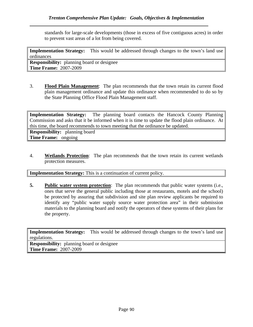standards for large-scale developments (those in excess of five contiguous acres) in order to prevent vast areas of a lot from being covered.

**Implementation Strategy:** This would be addressed through changes to the town's land use ordinances

**Responsibility:** planning board or designee **Time Frame:** 2007-2009

3. **Flood Plain Management**: The plan recommends that the town retain its current flood plain management ordinance and update this ordinance when recommended to do so by the State Planning Office Flood Plain Management staff.

**Implementation Strategy:** The planning board contacts the Hancock County Planning Commission and asks that it be informed when it is time to update the flood plain ordinance. At this time, the board recommends to town meeting that the ordinance be updated.

**Responsibility:** planning board **Time Frame:** ongoing

4. **Wetlands Protection**: The plan recommends that the town retain its current wetlands protection measures.

**Implementation Strategy:** This is a continuation of current policy.

**5.** Public water system protection: The plan recommends that public water systems (i.e., ones that serve the general public including those at restaurants, motels and the school) be protected by assuring that subdivision and site plan review applicants be required to identify any "public water supply source water protection area" in their submission materials to the planning board and notify the operators of these systems of their plans for the property.

**Implementation Strategy:** This would be addressed through changes to the town's land use regulations.

**Responsibility:** planning board or designee **Time Frame:** 2007-2009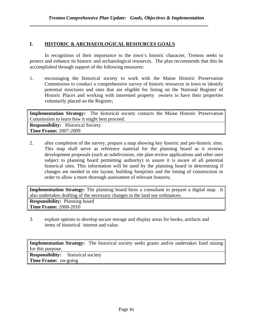#### **I. HISTORIC & ARCHAEOLOGICAL RESOURCES GOALS**

 In recognition of their importance to the town's historic character, Trenton seeks to protect and enhance its historic and archaeological resources. The plan recommends that this be accomplished through support of the following measures:

1. encouraging the historical society to work with the Maine Historic Preservation Commission to conduct a comprehensive survey of historic resources in town to identify potential structures and sites that are eligible for listing on the National Register of Historic Places and working with interested property owners to have their properties voluntarily placed on the Register;

**Implementation Strategy:** The historical society contacts the Maine Historic Preservation Commission to learn how it might best proceed. **Responsibility:** Historical Society **Time Frame:** 2007-2009

2. after completion of the survey, prepare a map showing key historic and pre-historic sites. This map shall serve as reference material for the planning board as it reviews development proposals (such as subdivisions, site plan review applications and other uses subject to planning board permitting authority) to assure it is aware of all potential historical sites. This information will be used by the planning board in determining if changes are needed in site layout, building footprints and the timing of construction in order to allow a more thorough assessment of relevant features;

**Implementation Strategy:** The planning board hires a consultant to prepare a digital map. It also undertakes drafting of the necessary changes in the land use ordinances. **Responsibility:** Planning board **Time Frame:** 2008-2010

3. explore options to develop secure storage and display areas for books, artifacts and items of historical interest and value.

**Implementation Strategy:** The historical society seeks grants and/or undertakes fund raising for this purpose.

**Responsibility:** historical society **Time Frame:** on-going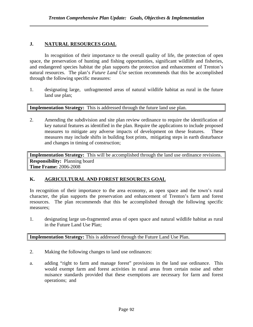# **J. NATURAL RESOURCES GOAL**

In recognition of their importance to the overall quality of life, the protection of open space, the preservation of hunting and fishing opportunities, significant wildlife and fisheries, and endangered species habitat the plan supports the protection and enhancement of Trenton's natural resources. The plan's *Future Land Use* section recommends that this be accomplished through the following specific measures:

1. designating large, unfragmented areas of natural wildlife habitat as rural in the future land use plan;

**Implementation Strategy:** This is addressed through the future land use plan.

2. Amending the subdivision and site plan review ordinance to require the identification of key natural features as identified in the plan. Require the applications to include proposed measures to mitigate any adverse impacts of development on these features. These measures may include shifts in building foot prints, mitigating steps in earth disturbance and changes in timing of construction;

**Implementation Strategy:** This will be accomplished through the land use ordinance revisions. **Responsibility:** Planning board **Time Frame:** 2006-2008

#### **K. AGRICULTURAL AND FOREST RESOURCES GOAL**

In recognition of their importance to the area economy, as open space and the town's rural character, the plan supports the preservation and enhancement of Trenton's farm and forest resources. The plan recommends that this be accomplished through the following specific measures;

1. designating large un-fragmented areas of open space and natural wildlife habitat as rural in the Future Land Use Plan;

**Implementation Strategy:** This is addressed through the Future Land Use Plan.

- 2. Making the following changes to land use ordinances:
- a. adding "right to farm and manage forest" provisions in the land use ordinance. This would exempt farm and forest activities in rural areas from certain noise and other nuisance standards provided that these exemptions are necessary for farm and forest operations; and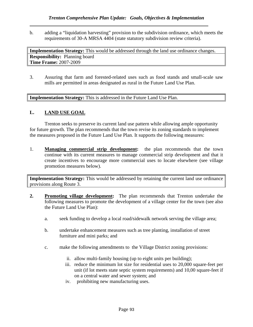b. adding a "liquidation harvesting" provision to the subdivision ordinance, which meets the requirements of 30-A MRSA 4404 (state statutory subdivision review criteria).

**Implementation Strategy:** This would be addressed through the land use ordinance changes. **Responsibility:** Planning board **Time Frame:** 2007-2009

3. Assuring that farm and forested-related uses such as food stands and small-scale saw mills are permitted in areas designated as rural in the Future Land Use Plan.

**Implementation Strategy:** This is addressed in the Future Land Use Plan.

#### **L. LAND USE GOAL**

Trenton seeks to preserve its current land use pattern while allowing ample opportunity for future growth. The plan recommends that the town revise its zoning standards to implement the measures proposed in the Future Land Use Plan. It supports the following measures:

1. **Managing commercial strip development:** the plan recommends that the town continue with its current measures to manage commercial strip development and that it create incentives to encourage more commercial uses to locate elsewhere (see village promotion measures below).

**Implementation Strategy:** This would be addressed by retaining the current land use ordinance provisions along Route 3.

- **2. Promoting village development:** The plan recommends that Trenton undertake the following measures to promote the development of a village center for the town (see also the Future Land Use Plan):
	- a. seek funding to develop a local road/sidewalk network serving the village area;
	- b. undertake enhancement measures such as tree planting, installation of street furniture and mini parks; and
	- c. make the following amendments to the Village District zoning provisions:
		- ii. allow multi-family housing (up to eight units per building);
		- iii. reduce the minimum lot size for residential uses to 20,000 square-feet per unit (if lot meets state septic system requirements) and 10,00 square-feet if on a central water and sewer system; and
		- iv. prohibiting new manufacturing uses.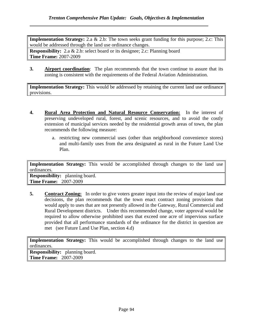**Implementation Strategy:** 2.a & 2.b: The town seeks grant funding for this purpose; 2.c: This would be addressed through the land use ordinance changes.

**Responsibility:** 2.a & 2.b: select board or its designee; 2.c: Planning board **Time Frame:** 2007-2009

**3. Airport coordination**: The plan recommends that the town continue to assure that its zoning is consistent with the requirements of the Federal Aviation Administration.

**Implementation Strategy:** This would be addressed by retaining the current land use ordinance provisions.

- **4. Rural Area Protection and Natural Resource Conservation:** In the interest of preserving undeveloped rural, forest, and scenic resources, and to avoid the costly extension of municipal services needed by the residential growth areas of town, the plan recommends the following measure:
	- a. restricting new commercial uses (other than neighborhood convenience stores) and multi-family uses from the area designated as rural in the Future Land Use Plan.

**Implementation Strategy:** This would be accomplished through changes to the land use ordinances. **Responsibility:** planning board. **Time Frame:** 2007-2009

**5. Contract Zoning:** In order to give voters greater input into the review of major land use decisions, the plan recommends that the town enact contract zoning provisions that would apply to uses that are not presently allowed in the Gateway, Rural Commercial and Rural Development districts. Under this recommended change, voter approval would be required to allow otherwise prohibited uses that exceed one acre of impervious surface provided that all performance standards of the ordinance for the district in question are met (see Future Land Use Plan, section 4.d)

**Implementation Strategy:** This would be accomplished through changes to the land use ordinances.

**Responsibility:** planning board. **Time Frame:** 2007-2009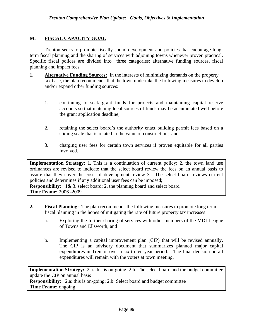#### **M. FISCAL CAPACITY GOAL**

Trenton seeks to promote fiscally sound development and policies that encourage longterm fiscal planning and the sharing of services with adjoining towns whenever proven practical. Specific fiscal polices are divided into three categories: alternative funding sources, fiscal planning and impact fees.

- **1. Alternative Funding Sources:** In the interests of minimizing demands on the property tax base, the plan recommends that the town undertake the following measures to develop and/or expand other funding sources:
	- 1. continuing to seek grant funds for projects and maintaining capital reserve accounts so that matching local sources of funds may be accumulated well before the grant application deadline;
	- 2. retaining the select board's the authority enact building permit fees based on a sliding scale that is related to the value of construction; and
	- 3. charging user fees for certain town services if proven equitable for all parties involved.

**Implementation Strategy:** 1. This is a continuation of current policy; 2. the town land use ordinances are revised to indicate that the select board review the fees on an annual basis to assure that they cover the costs of development review 3. The select board reviews current policies and determines if any additional user fees can be imposed;

**Responsibility:** 1& 3. select board; 2. the planning board and select board **Time Frame:** 2006 -2009

- **2. Fiscal Planning:** The plan recommends the following measures to promote long term fiscal planning in the hopes of mitigating the rate of future property tax increases:
	- a. Exploring the further sharing of services with other members of the MDI League of Towns and Ellsworth; and
	- b. Implementing a capital improvement plan (CIP) that will be revised annually. The CIP is an advisory document that summarizes planned major capital expenditures in Trenton over a six to ten-year period. The final decision on all expenditures will remain with the voters at town meeting.

**Implementation Strategy:** 2.a. this is on-going; 2.b. The select board and the budget committee update the CIP on annual basis

**Responsibility:** 2.a: this is on-going; 2.b: Select board and budget committee **Time Frame:** ongoing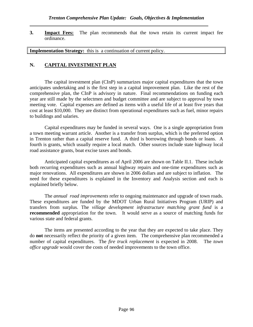**3.** Impact Fees: The plan recommends that the town retain its current impact fee ordinance.

**Implementation Strategy:** this is a continuation of current policy.

#### **N. CAPITAL INVESTMENT PLAN**

The capital investment plan (CInP) summarizes major capital expenditures that the town anticipates undertaking and is the first step in a capital improvement plan. Like the rest of the comprehensive plan, the CInP is advisory in nature. Final recommendations on funding each year are still made by the selectmen and budget committee and are subject to approval by town meeting vote. Capital expenses are defined as items with a useful life of at least five years that cost at least \$10,000. They are distinct from operational expenditures such as fuel, minor repairs to buildings and salaries.

 Capital expenditures may be funded in several ways. One is a single appropriation from a town meeting warrant article. Another is a transfer from surplus, which is the preferred option in Trenton rather than a capital reserve fund. A third is borrowing through bonds or loans. A fourth is grants, which usually require a local match. Other sources include state highway local road assistance grants, boat excise taxes and bonds.

 Anticipated capital expenditures as of April 2006 are shown on Table II.1. These include both recurring expenditures such as annual highway repairs and one-time expenditures such as major renovations. All expenditures are shown in 2006 dollars and are subject to inflation. The need for these expenditures is explained in the Inventory and Analysis section and each is explained briefly below.

The *annual road improvements* refer to ongoing maintenance and upgrade of town roads. These expenditures are funded by the MDOT Urban Rural Initiatives Program (URIP) and transfers from surplus. The *village development infrastructure matching grant fund* is a **recommended** appropriation for the town. It would serve as a source of matching funds for various state and federal grants.

The items are presented according to the year that they are expected to take place. They do **not** necessarily reflect the priority of a given item. The comprehensive plan recommended a number of capital expenditures. The *fire truck replacement* is expected in 2008. The *town office upgrade* would cover the costs of needed improvements to the town office.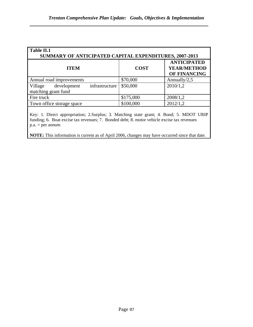| Table II.1<br>SUMMARY OF ANTICIPATED CAPITAL EXPENDITURES, 2007-2013 |                                                          |  |  |
|----------------------------------------------------------------------|----------------------------------------------------------|--|--|
| <b>COST</b>                                                          | <b>ANTICIPATED</b><br><b>YEAR/METHOD</b><br>OF FINANCING |  |  |
| \$70,000                                                             | Annually/ $2,5$                                          |  |  |
| \$50,000                                                             | 2010/1,2                                                 |  |  |
| \$175,000                                                            | 2008/1,2                                                 |  |  |
| \$100,000                                                            | 2012/1,2                                                 |  |  |
|                                                                      |                                                          |  |  |

Key: 1. Direct appropriation; 2.Surplus; 3. Matching state grant; 4. Bond; 5. MDOT URIP funding; 6. Boat excise tax revenues; 7. Bonded debt; 8. motor vehicle excise tax revenues  $p.a. = per annum$ 

**NOTE:** This information is current as of April 2006, changes may have occurred since that date.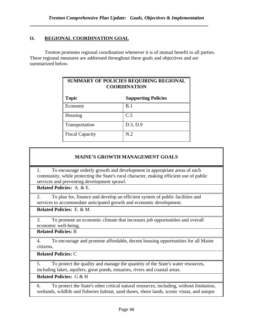# **O. REGIONAL COORDINATION GOAL**

Trenton promotes regional coordination whenever it is of mutual benefit to all parties. These regional measures are addressed throughout these goals and objectives and are summarized below.

| SUMMARY OF POLICIES REQUIRING REGIONAL<br><b>COORDINATION</b> |                            |  |
|---------------------------------------------------------------|----------------------------|--|
| <b>Topic</b>                                                  | <b>Supporting Policies</b> |  |
| Economy                                                       | B.1                        |  |
| Housing                                                       | C.5                        |  |
| Transportation                                                | D.3, D.9                   |  |
| <b>Fiscal Capacity</b>                                        | N.2                        |  |

# **MAINE'S GROWTH MANAGEMENT GOALS**

1. To encourage orderly growth and development in appropriate areas of each community, while protecting the State's rural character, making efficient use of public services and preventing development sprawl.

**Related Policies:** A. & E.

2. To plan for, finance and develop an efficient system of public facilities and services to accommodate anticipated growth and economic development.

**Related Policies:** E. & M.

3. To promote an economic climate that increases job opportunities and overall economic well-being.

**Related Policies:** B

4. To encourage and promote affordable, decent housing opportunities for all Maine citizens.

**Related Policies:** C

5. To protect the quality and manage the quantity of the State's water resources, including lakes, aquifers, great ponds, estuaries, rivers and coastal areas.

**Related Policies:** G & H

6. To protect the State's other critical natural resources, including, without limitation, wetlands, wildlife and fisheries habitat, sand dunes, shore lands, scenic vistas, and unique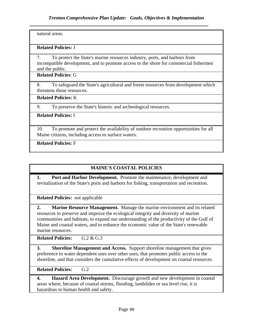natural areas.

#### **Related Policies:** J

7. To protect the State's marine resources industry, ports, and harbors from incompatible development, and to promote access to the shore for commercial fishermen and the public.

**Related Policies**: G

8. To safeguard the State's agricultural and forest resources from development which threatens those resources.

**Related Policies:** K

9. To preserve the State's historic and archeological resources.

#### **Related Policies:** I

10. To promote and protect the availability of outdoor recreation opportunities for all Maine citizens, including access to surface waters.

**Related Policies:** F

## **MAINE'S COASTAL POLICIES**

**1. Port and Harbor Development.** Promote the maintenance, development and revitalization of the State's ports and harbors for fishing, transportation and recreation.

**Related Policies:** not applicable

**2. Marine Resource Management.** Manage the marine environment and its related resources to preserve and improve the ecological integrity and diversity of marine communities and habitats, to expand our understanding of the productivity of the Gulf of Maine and coastal waters, and to enhance the economic value of the State's renewable marine resources.

**Related Policies:** G.2 & G.3

**3. Shoreline Management and Access.** Support shoreline management that gives preference to water dependent uses over other uses, that promotes public access to the shoreline, and that considers the cumulative effects of development on coastal resources.

**Related Policies:** G.2

**4. Hazard Area Development.** Discourage growth and new development in coastal areas where, because of coastal storms, flooding, landslides or sea level rise, it is hazardous to human health and safety.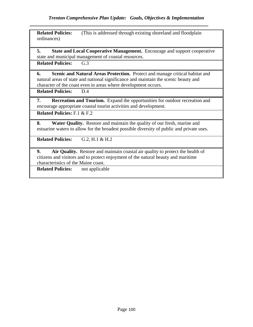**Related Policies:** (This is addressed through existing shoreland and floodplain ordinances)

**5. State and Local Cooperative Management.** Encourage and support cooperative state and municipal management of coastal resources.

**Related Policies:** G.3

**6. Scenic and Natural Areas Protection.** Protect and manage critical habitat and natural areas of state and national significance and maintain the scenic beauty and character of the coast even in areas where development occurs.

**Related Policies:** D.4

**7. Recreation and Tourism.** Expand the opportunities for outdoor recreation and encourage appropriate coastal tourist activities and development.

**Related Policies:** F.1 & F.2

**8. Water Quality.** Restore and maintain the quality of our fresh, marine and estuarine waters to allow for the broadest possible diversity of public and private uses.

**Related Policies:** G.2, H.1 & H.2

**9. Air Quality.** Restore and maintain coastal air quality to protect the health of citizens and visitors and to protect enjoyment of the natural beauty and maritime characteristics of the Maine coast.

**Related Policies:** not applicable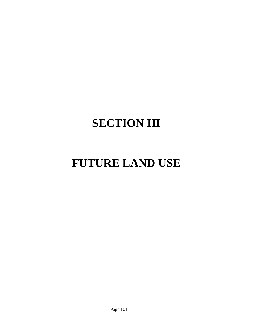# **SECTION III**

# **FUTURE LAND USE**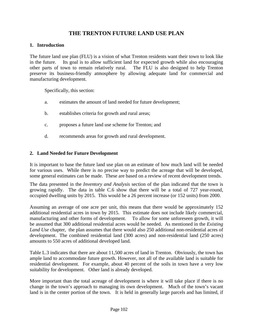# **THE TRENTON FUTURE LAND USE PLAN**

#### **1. Introduction**

The future land use plan (FLU) is a vision of what Trenton residents want their town to look like in the future. Its goal is to allow sufficient land for expected growth while also encouraging other parts of town to remain relatively rural. The FLU is also designed to help Trenton preserve its business-friendly atmosphere by allowing adequate land for commercial and manufacturing development.

Specifically, this section:

- a. estimates the amount of land needed for future development;
- b. establishes criteria for growth and rural areas;
- c. proposes a future land use scheme for Trenton; and
- d. recommends areas for growth and rural development.

#### **2. Land Needed for Future Development**

It is important to base the future land use plan on an estimate of how much land will be needed for various uses. While there is no precise way to predict the acreage that will be developed, some general estimates can be made. These are based on a review of recent development trends.

The data presented in the *Inventory and Analysis* section of the plan indicated that the town is growing rapidly. The data in table C.6 show that there will be a total of 727 year-round, occupied dwelling units by 2015. This would be a 26 percent increase (or 152 units) from 2000.

Assuming an average of one acre per unit, this means that there would be approximately 152 additional residential acres in town by 2015. This estimate does not include likely commercial, manufacturing and other forms of development. To allow for some unforeseen growth, it will be assumed that 300 additional residential acres would be needed. As mentioned in the *Existing Land Use* chapter, the plan assumes that there would also 250 additional non-residential acres of development. The combined residential land (300 acres) and non-residential land (250 acres) amounts to 550 acres of additional developed land.

Table L.3 indicates that there are about 11,500 acres of land in Trenton. Obviously, the town has ample land to accommodate future growth. However, not all of the available land is suitable for residential development. For example, about 40 percent of the soils in town have a very low suitability for development. Other land is already developed.

More important than the total acreage of development is where it will take place if there is no change in the town's approach to managing its own development. Much of the town's vacant land is in the center portion of the town. It is held in generally large parcels and has limited, if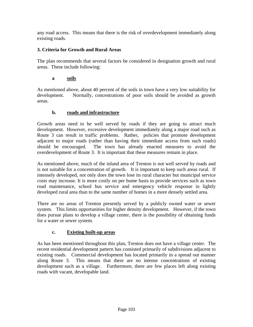any road access. This means that there is the risk of overdevelopment immediately along existing roads.

#### **3. Criteria for Growth and Rural Areas**

The plan recommends that several factors be considered in designation growth and rural areas. These include following:

#### **a soils**

As mentioned above, about 40 percent of the soils in town have a very low suitability for development. Normally, concentrations of poor soils should be avoided as growth areas.

#### **b. roads and infrastructure**

Growth areas need to be well served by roads if they are going to attract much development. However, excessive development immediately along a major road such as Route 3 can result in traffic problems. Rather, policies that promote development adjacent to major roads (rather than having their immediate access from such roads) should be encouraged. The town has already enacted measures to avoid the overdevelopment of Route 3. It is important that these measures remain in place.

As mentioned above, much of the inland area of Trenton is not well served by roads and is not suitable for a concentration of growth. It is important to keep such areas rural. If intensely developed, not only does the town lose its rural character but municipal service costs may increase. It is more costly on per home basis to provide services such as town road maintenance, school bus service and emergency vehicle response in lightly developed rural area than to the same number of homes in a more densely settled area.

There are no areas of Trenton presently served by a publicly owned water or sewer system. This limits opportunities for higher density development. However, if the town does pursue plans to develop a village center, there is the possibility of obtaining funds for a water or sewer system.

#### **c. Existing built-up areas**

As has been mentioned throughout this plan, Trenton does not have a village center. The recent residential development pattern has consisted primarily of subdivisions adjacent to existing roads. Commercial development has located primarily in a spread out manner along Route 3. This means that there are no intense concentrations of existing development such as a village. Furthermore, there are few places left along existing roads with vacant, developable land.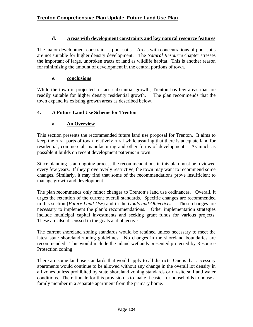#### **d. Areas with development constraints and key natural resource features**

The major development constraint is poor soils. Areas with concentrations of poor soils are not suitable for higher density development. The *Natural Resource* chapter stresses the important of large, unbroken tracts of land as wildlife habitat. This is another reason for minimizing the amount of development in the central portions of town.

#### **e. conclusions**

While the town is projected to face substantial growth, Trenton has few areas that are readily suitable for higher density residential growth. The plan recommends that the town expand its existing growth areas as described below.

#### **4. A Future Land Use Scheme for Trenton**

#### **a. An Overview**

This section presents the recommended future land use proposal for Trenton. It aims to keep the rural parts of town relatively rural while assuring that there is adequate land for residential, commercial, manufacturing and other forms of development. As much as possible it builds on recent development patterns in town.

Since planning is an ongoing process the recommendations in this plan must be reviewed every few years. If they prove overly restrictive, the town may want to recommend some changes. Similarly, it may find that some of the recommendations prove insufficient to manage growth and development.

The plan recommends only minor changes to Trenton's land use ordinances. Overall, it urges the retention of the current overall standards. Specific changes are recommended in this section (*Future Land Use*) and in the *Goals and Objectives*. These changes are necessary to implement the plan's recommendations. Other implementation strategies include municipal capital investments and seeking grant funds for various projects. These are also discussed in the goals and objectives.

The current shoreland zoning standards would be retained unless necessary to meet the latest state shoreland zoning guidelines. No changes in the shoreland boundaries are recommended. This would include the inland wetlands presented protected by Resource Protection zoning.

There are some land use standards that would apply to all districts. One is that accessory apartments would continue to be allowed without any change in the overall lot density in all zones unless prohibited by state shoreland zoning standards or on-site soil and water conditions. The rationale for this provision is to make it easier for households to house a family member in a separate apartment from the primary home.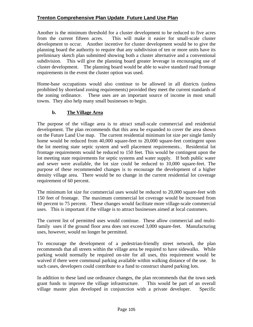Another is the minimum threshold for a cluster development to be reduced to five acres from the current fifteen acres. This will make it easier for small-scale cluster development to occur. Another incentive for cluster development would be to give the planning board the authority to require that any subdivision of ten or more units have its preliminary sketch plan submitted showing both a cluster alternative and a conventional subdivision. This will give the planning board greater leverage in encouraging use of cluster development. The planning board would be able to waive standard road frontage requirements in the event the cluster option was used.

Home-base occupations would also continue to be allowed in all districts (unless prohibited by shoreland zoning requirements) provided they meet the current standards of the zoning ordinance. These uses are an important source of income in most small towns. They also help many small businesses to begin.

#### **b. The Village Area**

The purpose of the village area is to attract small-scale commercial and residential development. The plan recommends that this area be expanded to cover the area shown on the Future Land Use map. The current residential minimum lot size per single family home would be reduced from 40,000 square-feet to 20,000 square-feet contingent upon the lot meeting state septic system and well placement requirements.. Residential lot frontage requirements would be reduced to 150 feet. This would be contingent upon the lot meeting state requirements for septic systems and water supply. If both public water and sewer were available, the lot size could be reduced to 10,000 square-feet. The purpose of these recommended changes is to encourage the development of a higher density village area. There would be no change in the current residential lot coverage requirement of 60 percent.

The minimum lot size for commercial uses would be reduced to 20,000 square-feet with 150 feet of frontage. The maximum commercial lot coverage would be increased from 60 percent to 75 percent. These changes would facilitate more village-scale commercial uses. This is important if the village is to attract businesses aimed at local customers.

The current list of permitted uses would continue. These allow commercial and multifamily uses if the ground floor area does not exceed 3,000 square-feet. Manufacturing uses, however, would no longer be permitted.

To encourage the development of a pedestrian-friendly street network, the plan recommends that all streets within the village area be required to have sidewalks. While parking would normally be required on-site for all uses, this requirement would be waived if there were communal parking available within walking distance of the use. In such cases, developers could contribute to a fund to construct shared parking lots.

In addition to these land use ordinance changes, the plan recommends that the town seek grant funds to improve the village infrastructure. This would be part of an overall village master plan developed in conjunction with a private developer. Specific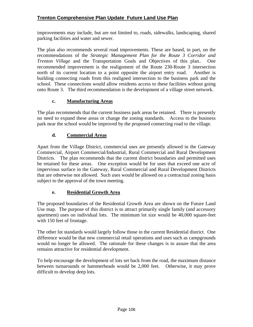improvements may include, but are not limited to, roads, sidewalks, landscaping, shared parking facilities and water and sewer.

The plan also recommends several road improvements. These are based, in part, on the recommendations of the *Strategic Management Plan for the Route 3 Corridor and Trenton Village* and the Transportation Goals and Objectives of this plan.. One recommended improvement is the realignment of the Route 230-Route 3 intersection north of its current location to a point opposite the airport entry road. Another is building connecting roads from this realigned intersection to the business park and the school. These connections would allow residents access to these facilities without going onto Route 3. The third recommendation is the development of a village street network.

## **c. Manufacturing Areas**

The plan recommends that the current business park areas be retained. There is presently no need to expand these areas or change the zoning standards. Access to the business park near the school would be improved by the proposed connecting road to the village.

#### **d. Commercial Areas**

Apart from the Village District, commercial uses are presently allowed in the Gateway Commercial, Airport Commercial/Industrial, Rural Commercial and Rural Development Districts. The plan recommends that the current district boundaries and permitted uses be retained for these areas. One exception would be for uses that exceed one acre of impervious surface in the Gateway, Rural Commercial and Rural Development Districts that are otherwise not allowed. Such uses would be allowed on a contractual zoning basis subject to the approval of the town meeting.

## **e. Residential Growth Area**

The proposed boundaries of the Residential Growth Area are shown on the Future Land Use map. The purpose of this district is to attract primarily single family (and accessory apartment) uses on individual lots. The minimum lot size would be 40,000 square-feet with 150 feet of frontage.

The other lot standards would largely follow those in the current Residential district. One difference would be that new commercial retail operations and uses such as campgrounds would no longer be allowed. The rationale for these changes is to assure that the area remains attractive for residential development.

To help encourage the development of lots set back from the road, the maximum distance between turnarounds or hammerheads would be 2,000 feet. Otherwise, it may prove difficult to develop deep lots.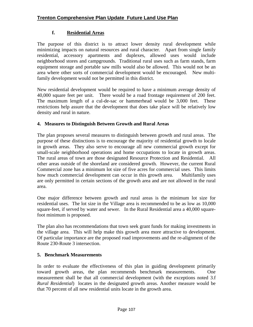## **f. Residential Areas**

The purpose of this district is to attract lower density rural development while minimizing impacts on natural resources and rural character. Apart from single family residential, accessory apartments and duplexes, allowed uses would include neighborhood stores and campgrounds. Traditional rural uses such as farm stands, farm equipment storage and portable saw mills would also be allowed. This would not be an area where other sorts of commercial development would be encouraged. New multifamily development would not be permitted in this district.

New residential development would be required to have a minimum average density of 40,000 square feet per unit. There would be a road frontage requirement of 200 feet. The maximum length of a cul-de-sac or hammerhead would be 3,000 feet. These restrictions help assure that the development that does take place will be relatively low density and rural in nature.

## **4. Measures to Distinguish Between Growth and Rural Areas**

The plan proposes several measures to distinguish between growth and rural areas. The purpose of these distinctions is to encourage the majority of residential growth to locale in growth areas. They also serve to encourage all new commercial growth except for small-scale neighborhood operations and home occupations to locate in growth areas. The rural areas of town are those designated Resource Protection and Residential. All other areas outside of the shoreland are considered growth. However, the current Rural Commercial zone has a minimum lot size of five acres for commercial uses. This limits how much commercial development can occur in this growth area. Multifamily uses are only permitted in certain sections of the growth area and are not allowed in the rural area.

One major difference between growth and rural areas is the minimum lot size for residential uses. The lot size in the Village area is recommended to be as low as 10,000 square-feet, if served by water and sewer. In the Rural Residential area a 40,000 squarefoot minimum is proposed.

The plan also has recommendations that town seek grant funds for making investments in the village area. This will help make this growth area more attractive to development. Of particular importance are the proposed road improvements and the re-alignment of the Route 230-Route 3 intersection.

#### **5. Benchmark Measurements**

In order to evaluate the effectiveness of this plan in guiding development primarily toward growth areas, the plan recommends benchmark measurements. One measurement shall be that all commercial development (with the exceptions noted 3.f *Rural Residential*) locates in the designated growth areas. Another measure would be that 70 percent of all new residential units locate in the growth area.